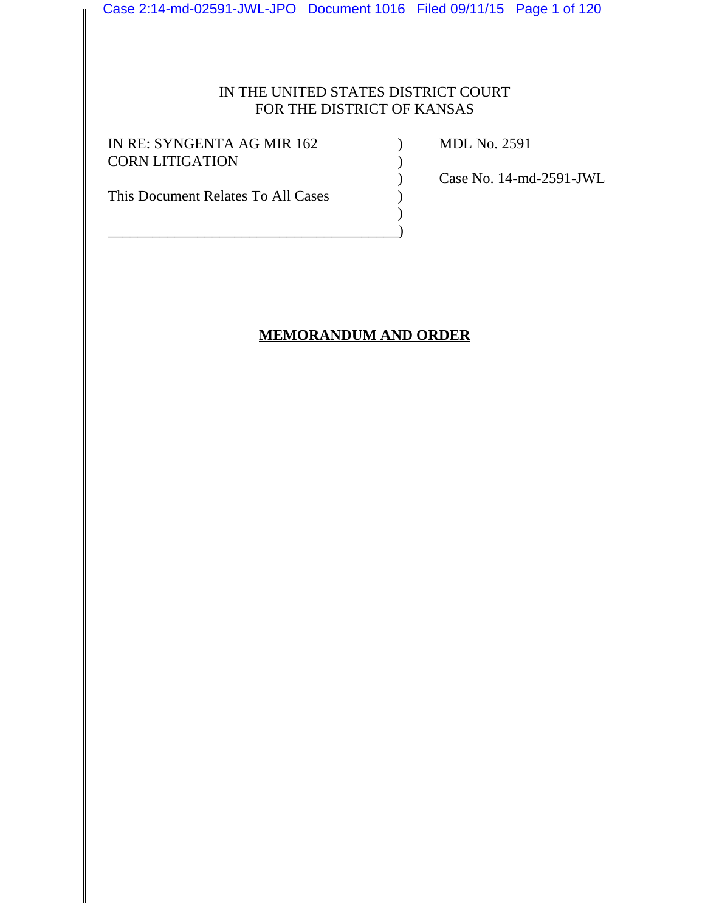Case 2:14-md-02591-JWL-JPO Document 1016 Filed 09/11/15 Page 1 of 120

## IN THE UNITED STATES DISTRICT COURT FOR THE DISTRICT OF KANSAS

 $\mathcal{L}$ 

IN RE: SYNGENTA AG MIR 162 (a) MDL No. 2591 CORN LITIGATION )

This Document Relates To All Cases  $\qquad \qquad$  )

\_\_\_\_\_\_\_\_\_\_\_\_\_\_\_\_\_\_\_\_\_\_\_\_\_\_\_\_\_\_\_\_\_\_\_\_\_\_\_)

) Case No. 14-md-2591-JWL

# **MEMORANDUM AND ORDER**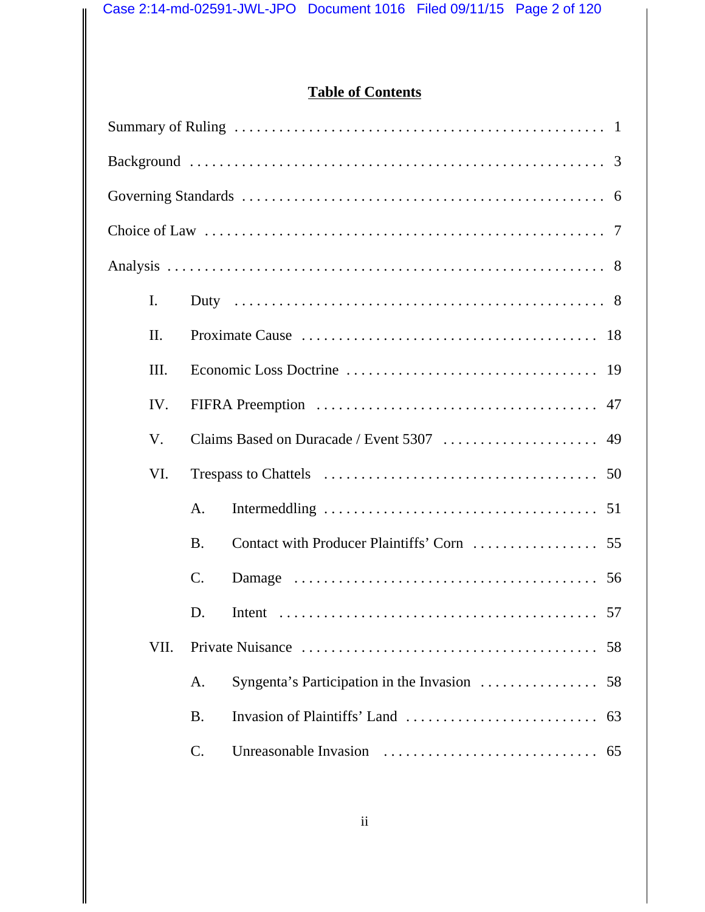# **Table of Contents**

| I.   |           |                                                |  |  |  |  |
|------|-----------|------------------------------------------------|--|--|--|--|
| Π.   |           |                                                |  |  |  |  |
| Ш.   |           |                                                |  |  |  |  |
| IV.  |           |                                                |  |  |  |  |
| V.   |           |                                                |  |  |  |  |
| VI.  |           |                                                |  |  |  |  |
|      | A.        |                                                |  |  |  |  |
|      | <b>B.</b> |                                                |  |  |  |  |
|      | C.        |                                                |  |  |  |  |
|      | D.        | 57                                             |  |  |  |  |
| VII. | 58        |                                                |  |  |  |  |
|      | A.        | Syngenta's Participation in the Invasion<br>58 |  |  |  |  |
|      | <b>B.</b> | 63                                             |  |  |  |  |
|      | C.        |                                                |  |  |  |  |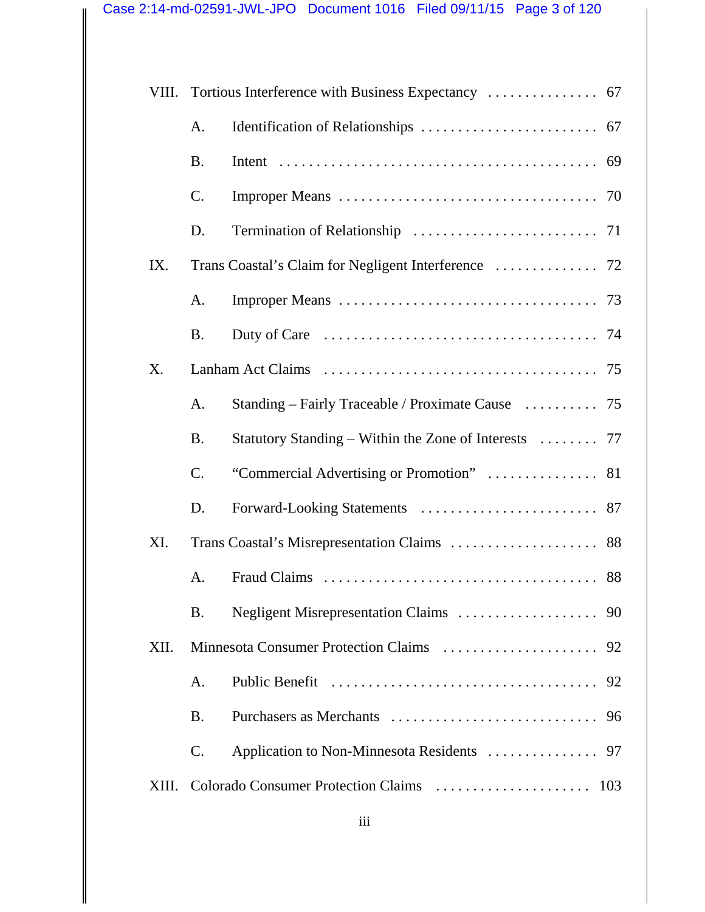|       | A.        |                                                       |  |  |
|-------|-----------|-------------------------------------------------------|--|--|
|       | <b>B.</b> |                                                       |  |  |
|       | C.        |                                                       |  |  |
|       | D.        |                                                       |  |  |
| IX.   |           |                                                       |  |  |
|       | A.        |                                                       |  |  |
|       | <b>B.</b> |                                                       |  |  |
| X.    |           |                                                       |  |  |
|       | A.        | Standing – Fairly Traceable / Proximate Cause  75     |  |  |
|       | <b>B.</b> | Statutory Standing – Within the Zone of Interests  77 |  |  |
|       | C.        |                                                       |  |  |
|       | D.        |                                                       |  |  |
| XI.   |           |                                                       |  |  |
|       | A.        |                                                       |  |  |
|       | <b>B.</b> | 90                                                    |  |  |
| XII.  |           |                                                       |  |  |
|       | A.        |                                                       |  |  |
|       | <b>B.</b> |                                                       |  |  |
|       | C.        |                                                       |  |  |
| XIII. |           |                                                       |  |  |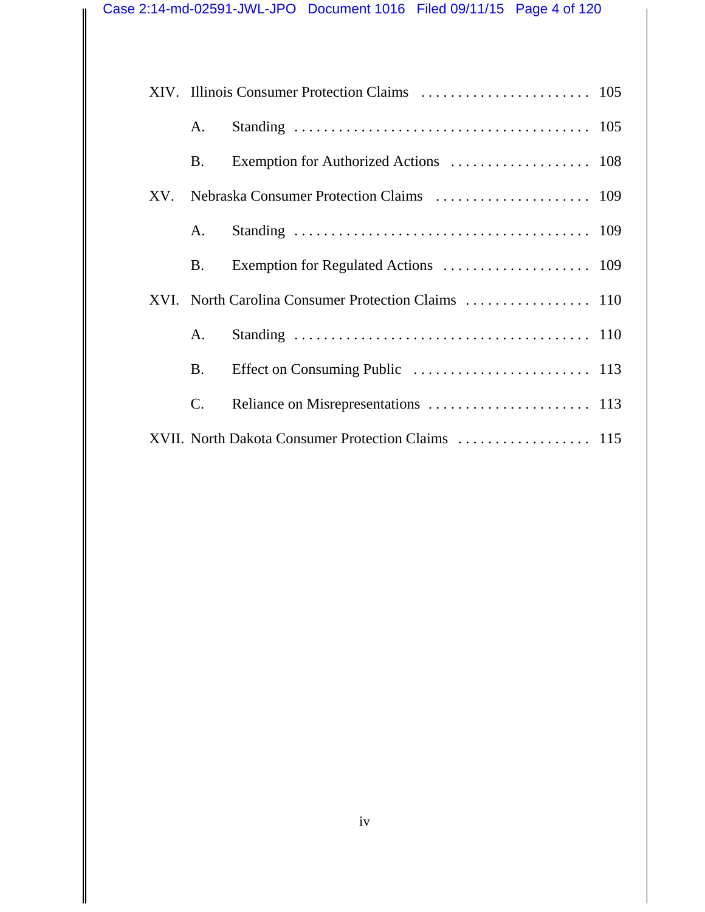|  |                                                     | A.             |  |  |
|--|-----------------------------------------------------|----------------|--|--|
|  |                                                     | <b>B</b> .     |  |  |
|  |                                                     |                |  |  |
|  |                                                     | A.             |  |  |
|  |                                                     | <b>B.</b>      |  |  |
|  | XVI. North Carolina Consumer Protection Claims  110 |                |  |  |
|  |                                                     | A.             |  |  |
|  |                                                     | <b>B.</b>      |  |  |
|  |                                                     | $\mathbf{C}$ . |  |  |
|  |                                                     |                |  |  |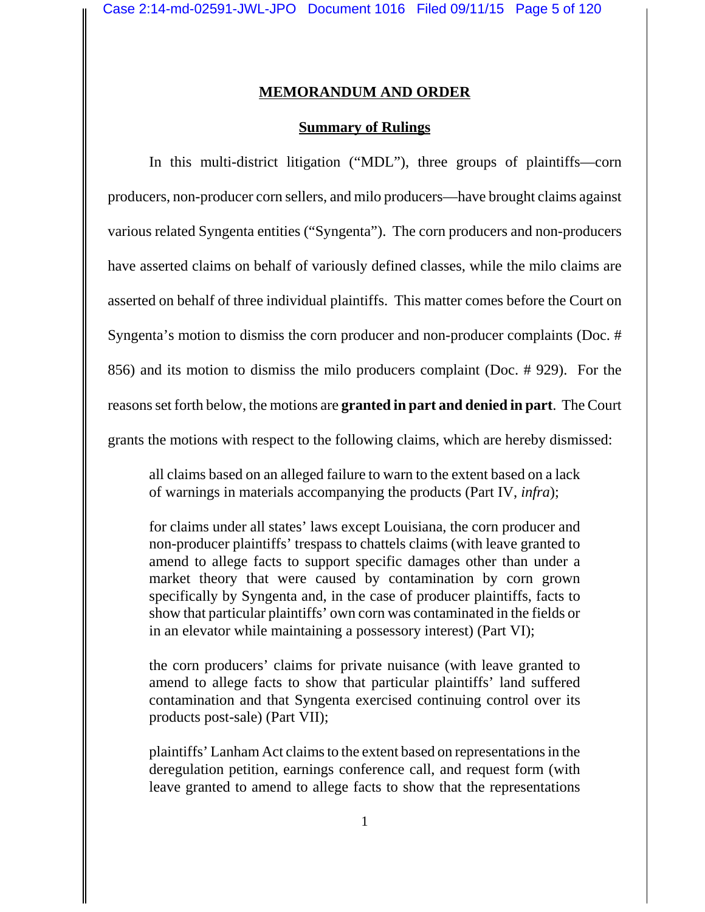#### **MEMORANDUM AND ORDER**

#### **Summary of Rulings**

In this multi-district litigation ("MDL"), three groups of plaintiffs—corn producers, non-producer corn sellers, and milo producers—have brought claims against various related Syngenta entities ("Syngenta"). The corn producers and non-producers have asserted claims on behalf of variously defined classes, while the milo claims are asserted on behalf of three individual plaintiffs. This matter comes before the Court on Syngenta's motion to dismiss the corn producer and non-producer complaints (Doc. # 856) and its motion to dismiss the milo producers complaint (Doc. # 929). For the reasons set forth below, the motions are **granted in part and denied in part**. The Court grants the motions with respect to the following claims, which are hereby dismissed:

all claims based on an alleged failure to warn to the extent based on a lack of warnings in materials accompanying the products (Part IV, *infra*);

for claims under all states' laws except Louisiana, the corn producer and non-producer plaintiffs' trespass to chattels claims (with leave granted to amend to allege facts to support specific damages other than under a market theory that were caused by contamination by corn grown specifically by Syngenta and, in the case of producer plaintiffs, facts to show that particular plaintiffs' own corn was contaminated in the fields or in an elevator while maintaining a possessory interest) (Part VI);

the corn producers' claims for private nuisance (with leave granted to amend to allege facts to show that particular plaintiffs' land suffered contamination and that Syngenta exercised continuing control over its products post-sale) (Part VII);

plaintiffs' Lanham Act claims to the extent based on representations in the deregulation petition, earnings conference call, and request form (with leave granted to amend to allege facts to show that the representations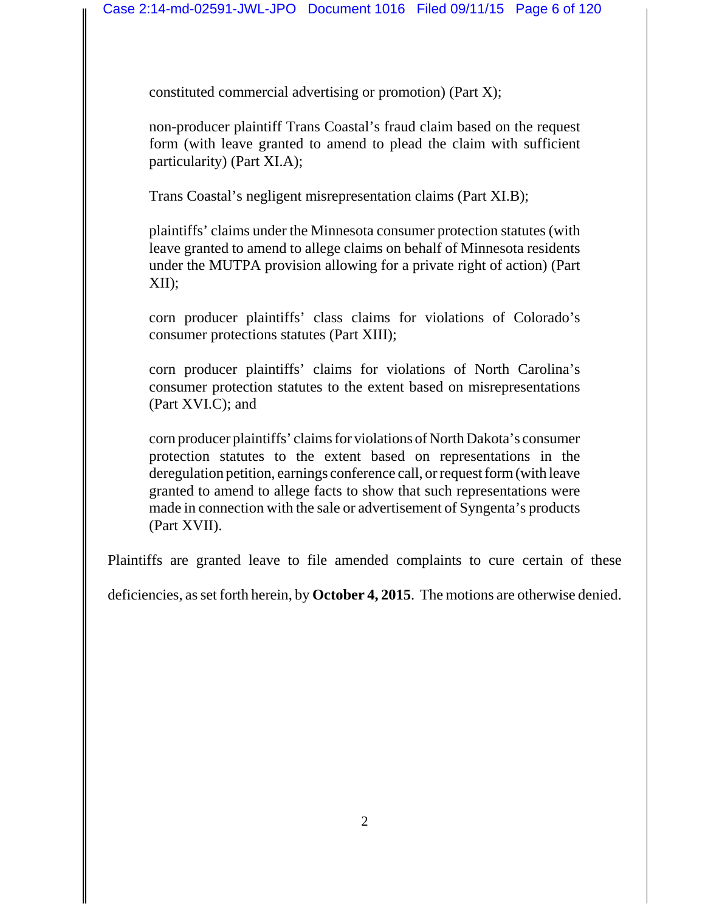constituted commercial advertising or promotion) (Part X);

non-producer plaintiff Trans Coastal's fraud claim based on the request form (with leave granted to amend to plead the claim with sufficient particularity) (Part XI.A);

Trans Coastal's negligent misrepresentation claims (Part XI.B);

plaintiffs' claims under the Minnesota consumer protection statutes (with leave granted to amend to allege claims on behalf of Minnesota residents under the MUTPA provision allowing for a private right of action) (Part XII);

corn producer plaintiffs' class claims for violations of Colorado's consumer protections statutes (Part XIII);

corn producer plaintiffs' claims for violations of North Carolina's consumer protection statutes to the extent based on misrepresentations (Part XVI.C); and

corn producer plaintiffs' claims for violations of North Dakota's consumer protection statutes to the extent based on representations in the deregulation petition, earnings conference call, or request form (with leave granted to amend to allege facts to show that such representations were made in connection with the sale or advertisement of Syngenta's products (Part XVII).

Plaintiffs are granted leave to file amended complaints to cure certain of these

deficiencies, as set forth herein, by **October 4, 2015**. The motions are otherwise denied.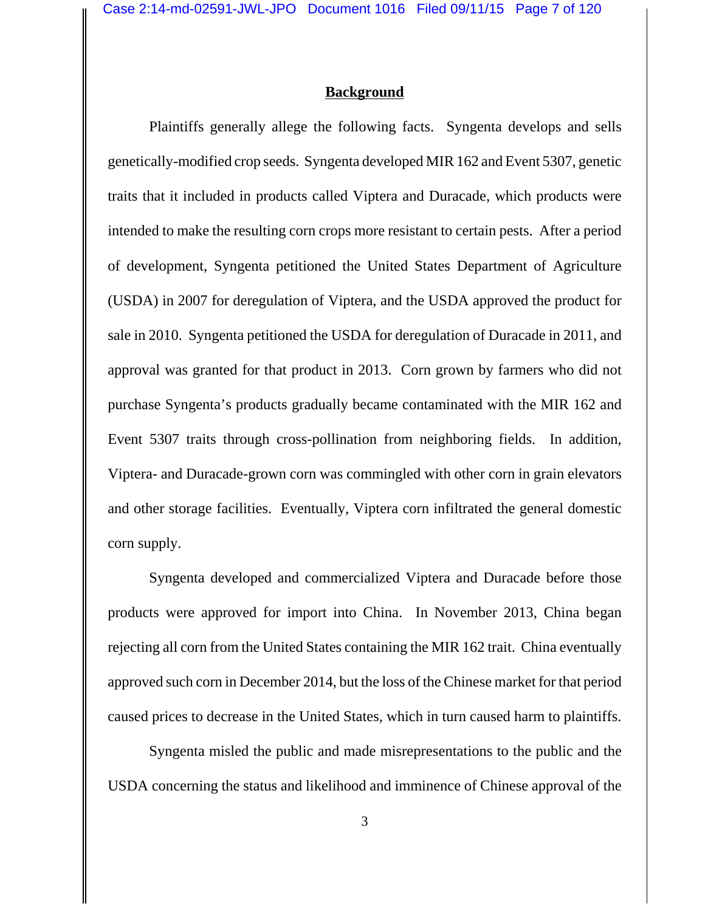## **Background**

Plaintiffs generally allege the following facts. Syngenta develops and sells genetically-modified crop seeds. Syngenta developed MIR 162 and Event 5307, genetic traits that it included in products called Viptera and Duracade, which products were intended to make the resulting corn crops more resistant to certain pests. After a period of development, Syngenta petitioned the United States Department of Agriculture (USDA) in 2007 for deregulation of Viptera, and the USDA approved the product for sale in 2010. Syngenta petitioned the USDA for deregulation of Duracade in 2011, and approval was granted for that product in 2013. Corn grown by farmers who did not purchase Syngenta's products gradually became contaminated with the MIR 162 and Event 5307 traits through cross-pollination from neighboring fields. In addition, Viptera- and Duracade-grown corn was commingled with other corn in grain elevators and other storage facilities. Eventually, Viptera corn infiltrated the general domestic corn supply.

Syngenta developed and commercialized Viptera and Duracade before those products were approved for import into China. In November 2013, China began rejecting all corn from the United States containing the MIR 162 trait. China eventually approved such corn in December 2014, but the loss of the Chinese market for that period caused prices to decrease in the United States, which in turn caused harm to plaintiffs.

Syngenta misled the public and made misrepresentations to the public and the USDA concerning the status and likelihood and imminence of Chinese approval of the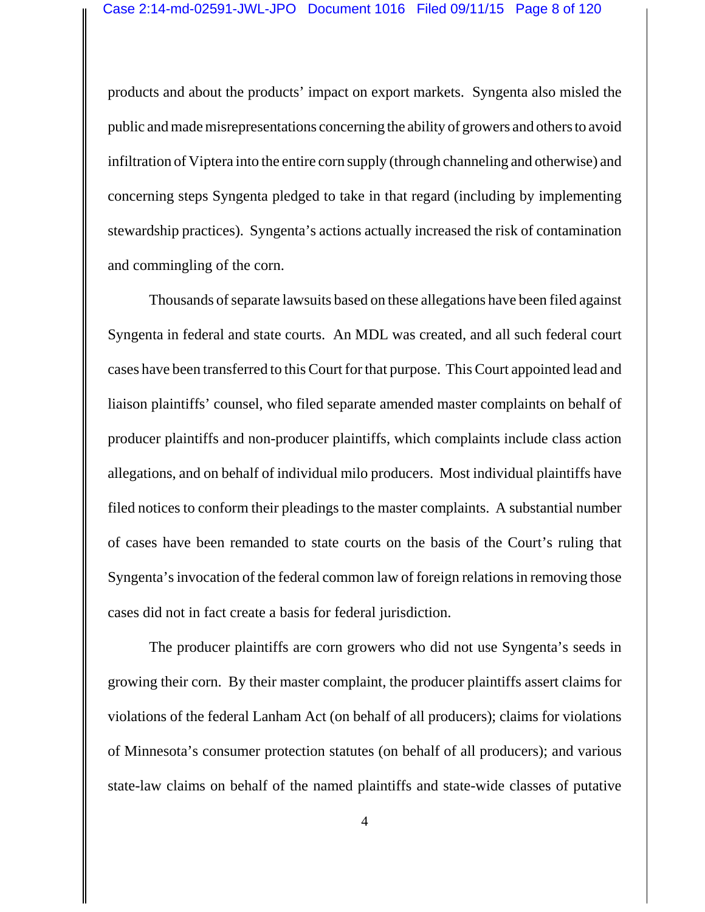products and about the products' impact on export markets. Syngenta also misled the public and made misrepresentations concerning the ability of growers and others to avoid infiltration of Viptera into the entire corn supply (through channeling and otherwise) and concerning steps Syngenta pledged to take in that regard (including by implementing stewardship practices). Syngenta's actions actually increased the risk of contamination and commingling of the corn.

Thousands of separate lawsuits based on these allegations have been filed against Syngenta in federal and state courts. An MDL was created, and all such federal court cases have been transferred to this Court for that purpose. This Court appointed lead and liaison plaintiffs' counsel, who filed separate amended master complaints on behalf of producer plaintiffs and non-producer plaintiffs, which complaints include class action allegations, and on behalf of individual milo producers. Most individual plaintiffs have filed notices to conform their pleadings to the master complaints. A substantial number of cases have been remanded to state courts on the basis of the Court's ruling that Syngenta's invocation of the federal common law of foreign relations in removing those cases did not in fact create a basis for federal jurisdiction.

The producer plaintiffs are corn growers who did not use Syngenta's seeds in growing their corn. By their master complaint, the producer plaintiffs assert claims for violations of the federal Lanham Act (on behalf of all producers); claims for violations of Minnesota's consumer protection statutes (on behalf of all producers); and various state-law claims on behalf of the named plaintiffs and state-wide classes of putative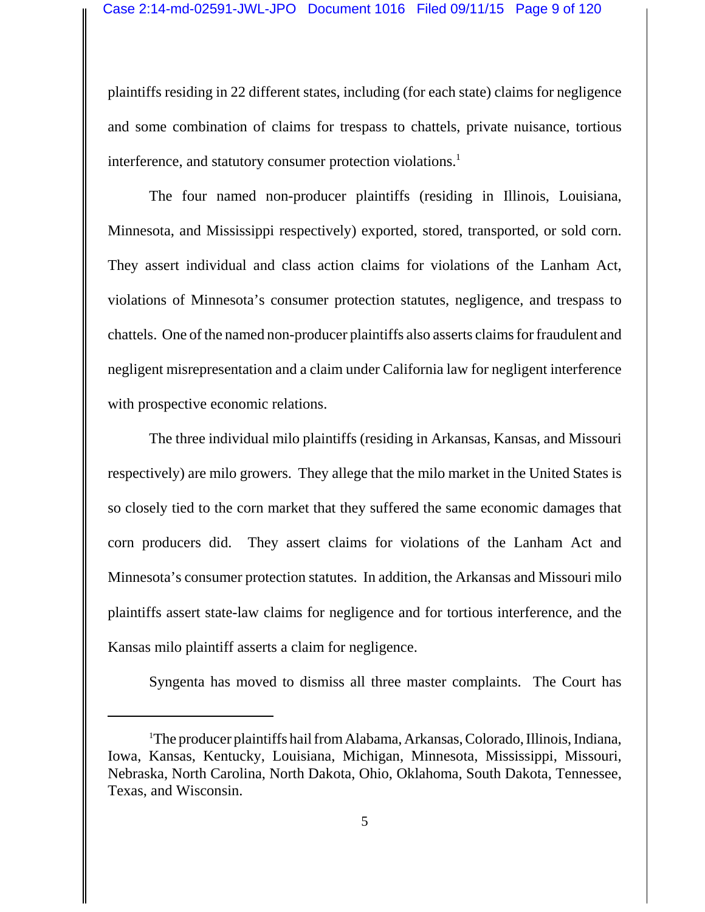plaintiffs residing in 22 different states, including (for each state) claims for negligence and some combination of claims for trespass to chattels, private nuisance, tortious interference, and statutory consumer protection violations.<sup>1</sup>

The four named non-producer plaintiffs (residing in Illinois, Louisiana, Minnesota, and Mississippi respectively) exported, stored, transported, or sold corn. They assert individual and class action claims for violations of the Lanham Act, violations of Minnesota's consumer protection statutes, negligence, and trespass to chattels. One of the named non-producer plaintiffs also asserts claims for fraudulent and negligent misrepresentation and a claim under California law for negligent interference with prospective economic relations.

The three individual milo plaintiffs (residing in Arkansas, Kansas, and Missouri respectively) are milo growers. They allege that the milo market in the United States is so closely tied to the corn market that they suffered the same economic damages that corn producers did. They assert claims for violations of the Lanham Act and Minnesota's consumer protection statutes. In addition, the Arkansas and Missouri milo plaintiffs assert state-law claims for negligence and for tortious interference, and the Kansas milo plaintiff asserts a claim for negligence.

Syngenta has moved to dismiss all three master complaints. The Court has

<sup>1</sup> The producer plaintiffs hail from Alabama, Arkansas, Colorado, Illinois, Indiana, Iowa, Kansas, Kentucky, Louisiana, Michigan, Minnesota, Mississippi, Missouri, Nebraska, North Carolina, North Dakota, Ohio, Oklahoma, South Dakota, Tennessee, Texas, and Wisconsin.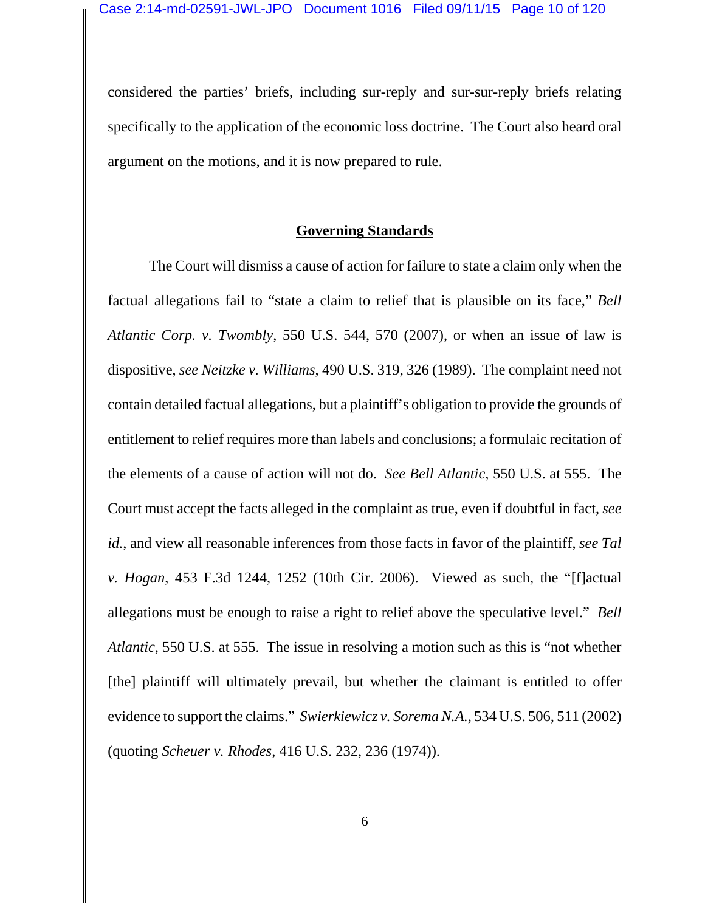considered the parties' briefs, including sur-reply and sur-sur-reply briefs relating specifically to the application of the economic loss doctrine. The Court also heard oral argument on the motions, and it is now prepared to rule.

#### **Governing Standards**

The Court will dismiss a cause of action for failure to state a claim only when the factual allegations fail to "state a claim to relief that is plausible on its face," *Bell Atlantic Corp. v. Twombly*, 550 U.S. 544, 570 (2007), or when an issue of law is dispositive, *see Neitzke v. Williams*, 490 U.S. 319, 326 (1989). The complaint need not contain detailed factual allegations, but a plaintiff's obligation to provide the grounds of entitlement to relief requires more than labels and conclusions; a formulaic recitation of the elements of a cause of action will not do. *See Bell Atlantic*, 550 U.S. at 555. The Court must accept the facts alleged in the complaint as true, even if doubtful in fact, *see id.*, and view all reasonable inferences from those facts in favor of the plaintiff, *see Tal v. Hogan*, 453 F.3d 1244, 1252 (10th Cir. 2006). Viewed as such, the "[f]actual allegations must be enough to raise a right to relief above the speculative level." *Bell Atlantic*, 550 U.S. at 555. The issue in resolving a motion such as this is "not whether [the] plaintiff will ultimately prevail, but whether the claimant is entitled to offer evidence to support the claims." *Swierkiewicz v. Sorema N.A.*, 534 U.S. 506, 511 (2002) (quoting *Scheuer v. Rhodes*, 416 U.S. 232, 236 (1974)).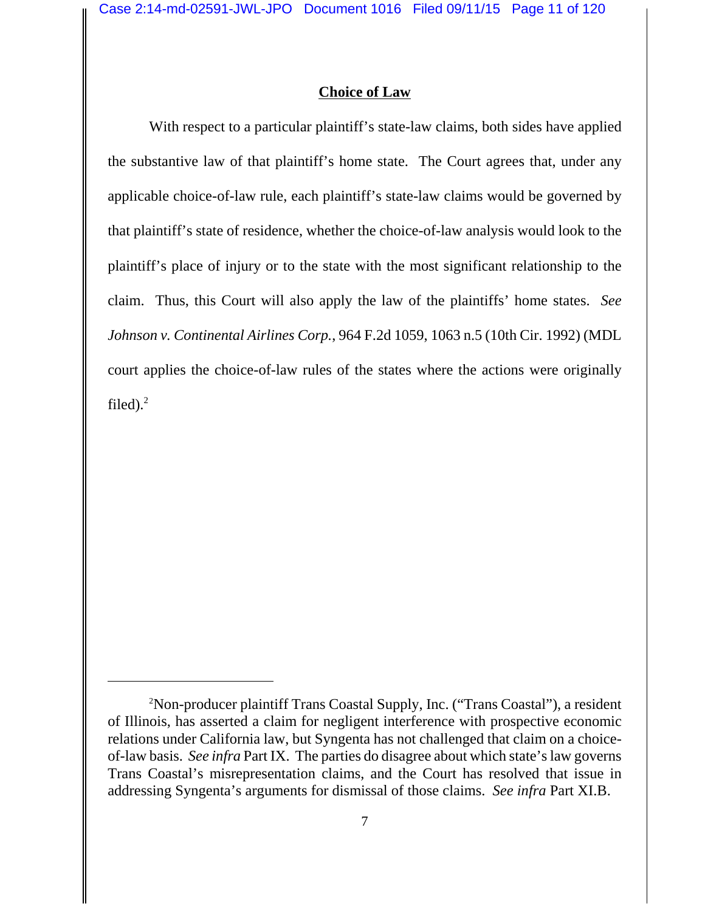## **Choice of Law**

With respect to a particular plaintiff's state-law claims, both sides have applied the substantive law of that plaintiff's home state. The Court agrees that, under any applicable choice-of-law rule, each plaintiff's state-law claims would be governed by that plaintiff's state of residence, whether the choice-of-law analysis would look to the plaintiff's place of injury or to the state with the most significant relationship to the claim. Thus, this Court will also apply the law of the plaintiffs' home states. *See Johnson v. Continental Airlines Corp.*, 964 F.2d 1059, 1063 n.5 (10th Cir. 1992) (MDL court applies the choice-of-law rules of the states where the actions were originally filed).<sup>2</sup>

<sup>2</sup> Non-producer plaintiff Trans Coastal Supply, Inc. ("Trans Coastal"), a resident of Illinois, has asserted a claim for negligent interference with prospective economic relations under California law, but Syngenta has not challenged that claim on a choiceof-law basis. *See infra* Part IX. The parties do disagree about which state's law governs Trans Coastal's misrepresentation claims, and the Court has resolved that issue in addressing Syngenta's arguments for dismissal of those claims. *See infra* Part XI.B.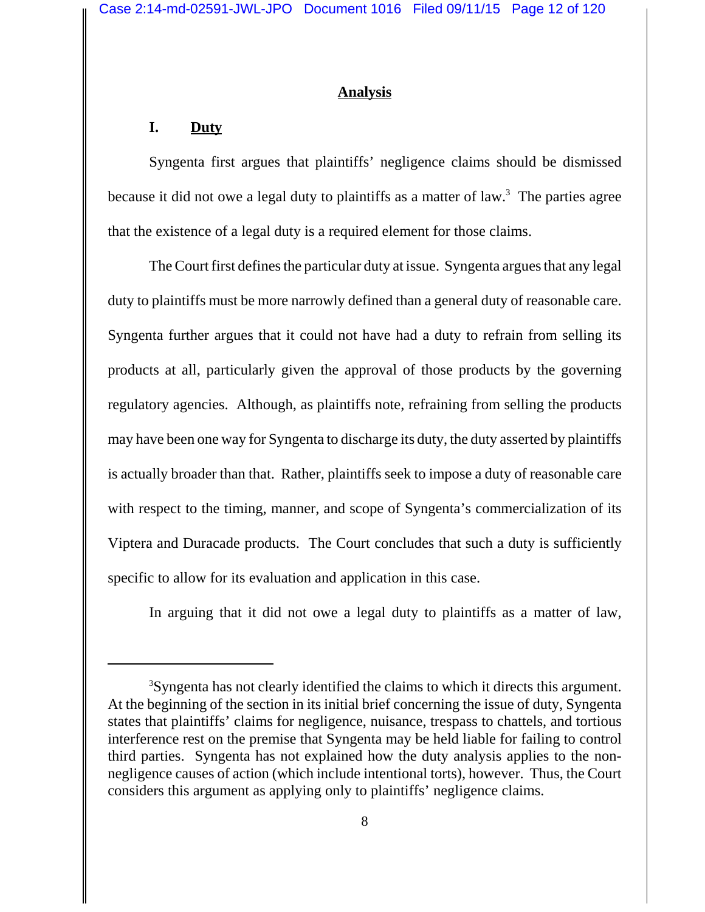#### **Analysis**

### **I. Duty**

Syngenta first argues that plaintiffs' negligence claims should be dismissed because it did not owe a legal duty to plaintiffs as a matter of law.<sup>3</sup> The parties agree that the existence of a legal duty is a required element for those claims.

The Court first defines the particular duty at issue. Syngenta argues that any legal duty to plaintiffs must be more narrowly defined than a general duty of reasonable care. Syngenta further argues that it could not have had a duty to refrain from selling its products at all, particularly given the approval of those products by the governing regulatory agencies. Although, as plaintiffs note, refraining from selling the products may have been one way for Syngenta to discharge its duty, the duty asserted by plaintiffs is actually broader than that. Rather, plaintiffs seek to impose a duty of reasonable care with respect to the timing, manner, and scope of Syngenta's commercialization of its Viptera and Duracade products. The Court concludes that such a duty is sufficiently specific to allow for its evaluation and application in this case.

In arguing that it did not owe a legal duty to plaintiffs as a matter of law,

<sup>&</sup>lt;sup>3</sup>Syngenta has not clearly identified the claims to which it directs this argument. At the beginning of the section in its initial brief concerning the issue of duty, Syngenta states that plaintiffs' claims for negligence, nuisance, trespass to chattels, and tortious interference rest on the premise that Syngenta may be held liable for failing to control third parties. Syngenta has not explained how the duty analysis applies to the nonnegligence causes of action (which include intentional torts), however. Thus, the Court considers this argument as applying only to plaintiffs' negligence claims.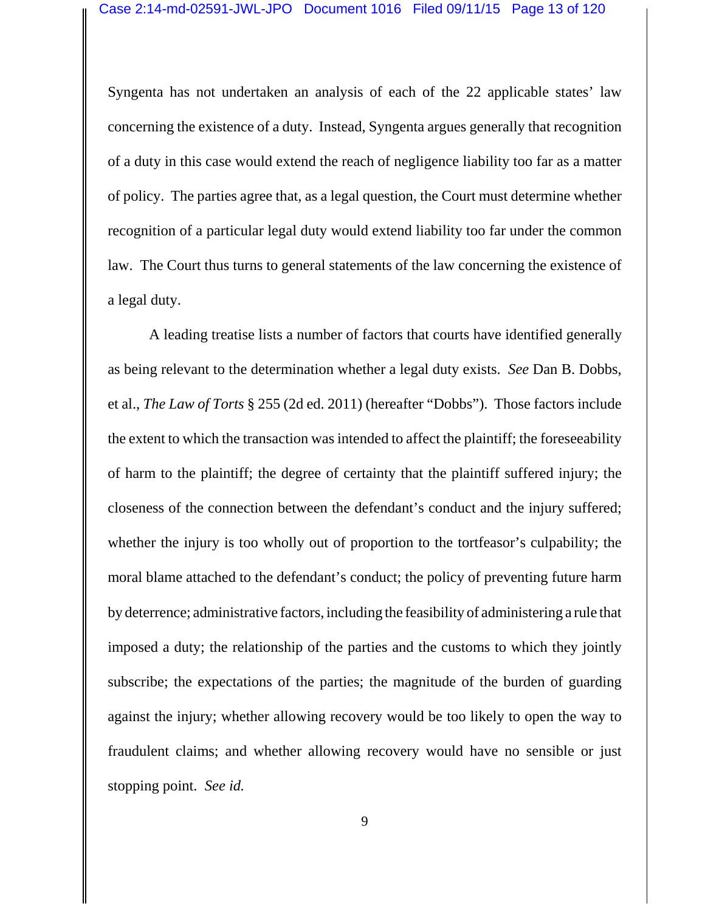Syngenta has not undertaken an analysis of each of the 22 applicable states' law concerning the existence of a duty. Instead, Syngenta argues generally that recognition of a duty in this case would extend the reach of negligence liability too far as a matter of policy. The parties agree that, as a legal question, the Court must determine whether recognition of a particular legal duty would extend liability too far under the common law. The Court thus turns to general statements of the law concerning the existence of a legal duty.

A leading treatise lists a number of factors that courts have identified generally as being relevant to the determination whether a legal duty exists. *See* Dan B. Dobbs, et al., *The Law of Torts* § 255 (2d ed. 2011) (hereafter "Dobbs"). Those factors include the extent to which the transaction was intended to affect the plaintiff; the foreseeability of harm to the plaintiff; the degree of certainty that the plaintiff suffered injury; the closeness of the connection between the defendant's conduct and the injury suffered; whether the injury is too wholly out of proportion to the tortfeasor's culpability; the moral blame attached to the defendant's conduct; the policy of preventing future harm by deterrence; administrative factors, including the feasibility of administering a rule that imposed a duty; the relationship of the parties and the customs to which they jointly subscribe; the expectations of the parties; the magnitude of the burden of guarding against the injury; whether allowing recovery would be too likely to open the way to fraudulent claims; and whether allowing recovery would have no sensible or just stopping point. *See id.*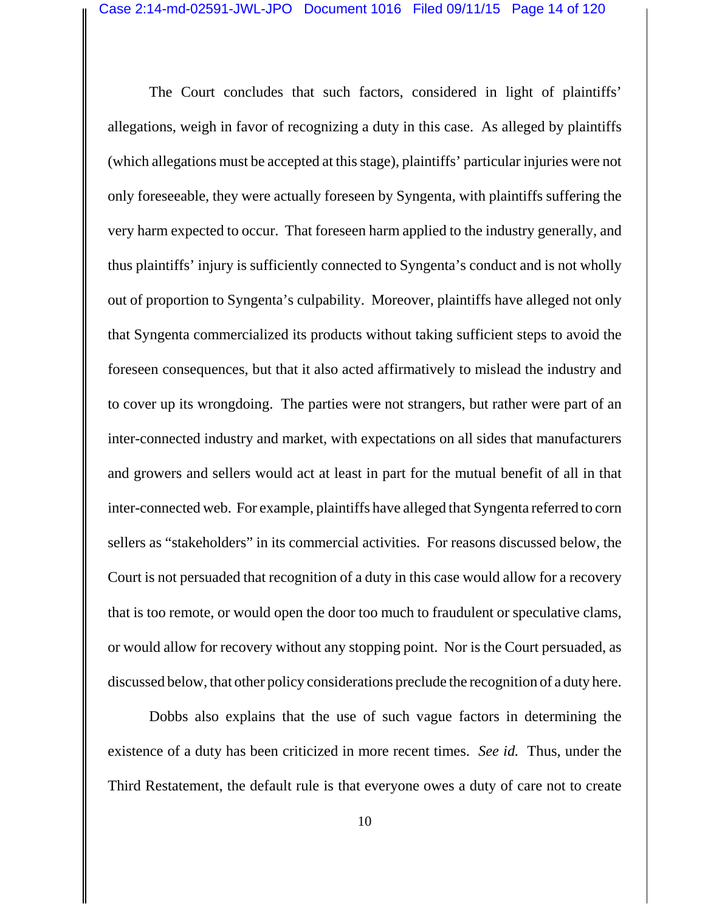The Court concludes that such factors, considered in light of plaintiffs' allegations, weigh in favor of recognizing a duty in this case. As alleged by plaintiffs (which allegations must be accepted at this stage), plaintiffs' particular injuries were not only foreseeable, they were actually foreseen by Syngenta, with plaintiffs suffering the very harm expected to occur. That foreseen harm applied to the industry generally, and thus plaintiffs' injury is sufficiently connected to Syngenta's conduct and is not wholly out of proportion to Syngenta's culpability. Moreover, plaintiffs have alleged not only that Syngenta commercialized its products without taking sufficient steps to avoid the foreseen consequences, but that it also acted affirmatively to mislead the industry and to cover up its wrongdoing. The parties were not strangers, but rather were part of an inter-connected industry and market, with expectations on all sides that manufacturers and growers and sellers would act at least in part for the mutual benefit of all in that inter-connected web. For example, plaintiffs have alleged that Syngenta referred to corn sellers as "stakeholders" in its commercial activities. For reasons discussed below, the Court is not persuaded that recognition of a duty in this case would allow for a recovery that is too remote, or would open the door too much to fraudulent or speculative clams, or would allow for recovery without any stopping point. Nor is the Court persuaded, as discussed below, that other policy considerations preclude the recognition of a duty here.

Dobbs also explains that the use of such vague factors in determining the existence of a duty has been criticized in more recent times. *See id.* Thus, under the Third Restatement, the default rule is that everyone owes a duty of care not to create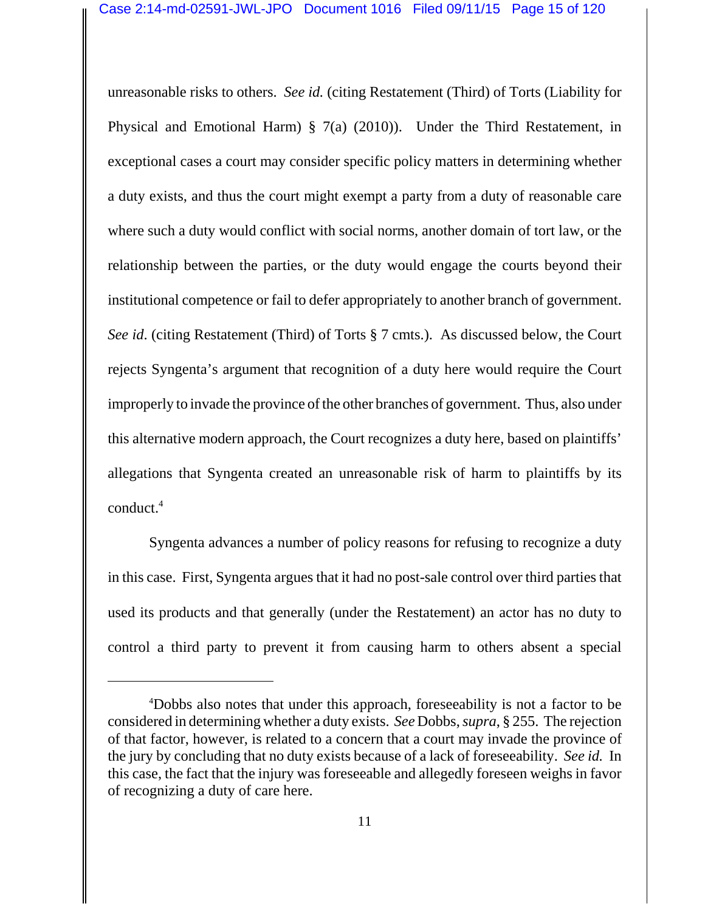unreasonable risks to others. *See id.* (citing Restatement (Third) of Torts (Liability for Physical and Emotional Harm) § 7(a) (2010)). Under the Third Restatement, in exceptional cases a court may consider specific policy matters in determining whether a duty exists, and thus the court might exempt a party from a duty of reasonable care where such a duty would conflict with social norms, another domain of tort law, or the relationship between the parties, or the duty would engage the courts beyond their institutional competence or fail to defer appropriately to another branch of government. *See id*. (citing Restatement (Third) of Torts § 7 cmts.). As discussed below, the Court rejects Syngenta's argument that recognition of a duty here would require the Court improperly to invade the province of the other branches of government. Thus, also under this alternative modern approach, the Court recognizes a duty here, based on plaintiffs' allegations that Syngenta created an unreasonable risk of harm to plaintiffs by its conduct.4

Syngenta advances a number of policy reasons for refusing to recognize a duty in this case. First, Syngenta argues that it had no post-sale control over third parties that used its products and that generally (under the Restatement) an actor has no duty to control a third party to prevent it from causing harm to others absent a special

<sup>4</sup> Dobbs also notes that under this approach, foreseeability is not a factor to be considered in determining whether a duty exists. *See* Dobbs, *supra*, § 255. The rejection of that factor, however, is related to a concern that a court may invade the province of the jury by concluding that no duty exists because of a lack of foreseeability. *See id.* In this case, the fact that the injury was foreseeable and allegedly foreseen weighs in favor of recognizing a duty of care here.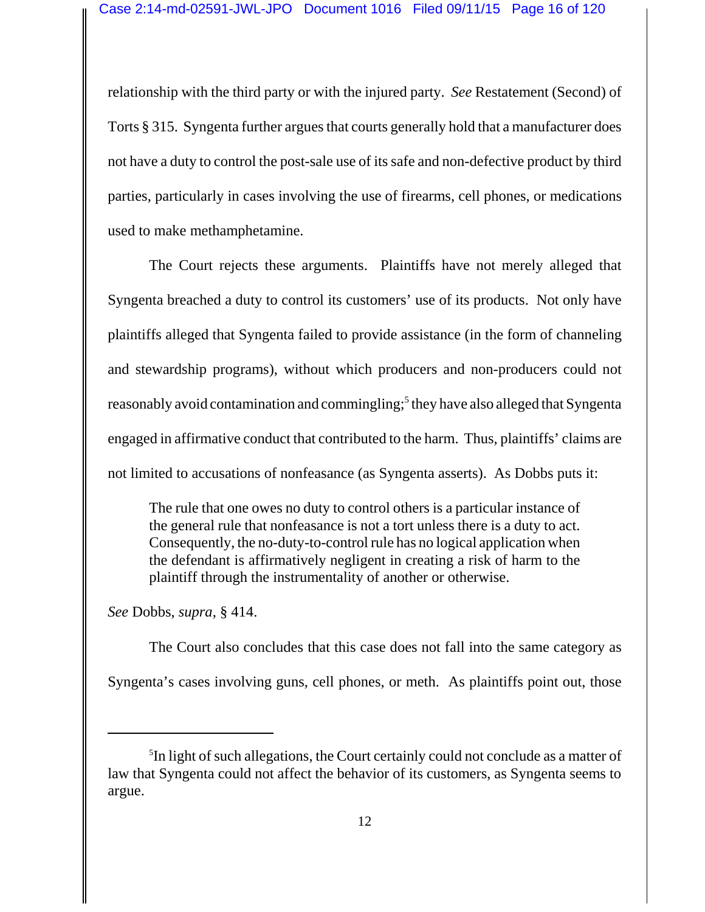relationship with the third party or with the injured party. *See* Restatement (Second) of Torts § 315. Syngenta further argues that courts generally hold that a manufacturer does not have a duty to control the post-sale use of its safe and non-defective product by third parties, particularly in cases involving the use of firearms, cell phones, or medications used to make methamphetamine.

The Court rejects these arguments. Plaintiffs have not merely alleged that Syngenta breached a duty to control its customers' use of its products. Not only have plaintiffs alleged that Syngenta failed to provide assistance (in the form of channeling and stewardship programs), without which producers and non-producers could not reasonably avoid contamination and commingling;<sup>5</sup> they have also alleged that Syngenta engaged in affirmative conduct that contributed to the harm. Thus, plaintiffs' claims are not limited to accusations of nonfeasance (as Syngenta asserts). As Dobbs puts it:

The rule that one owes no duty to control others is a particular instance of the general rule that nonfeasance is not a tort unless there is a duty to act. Consequently, the no-duty-to-control rule has no logical application when the defendant is affirmatively negligent in creating a risk of harm to the plaintiff through the instrumentality of another or otherwise.

*See* Dobbs, *supra*, § 414.

The Court also concludes that this case does not fall into the same category as Syngenta's cases involving guns, cell phones, or meth. As plaintiffs point out, those

<sup>&</sup>lt;sup>5</sup>In light of such allegations, the Court certainly could not conclude as a matter of law that Syngenta could not affect the behavior of its customers, as Syngenta seems to argue.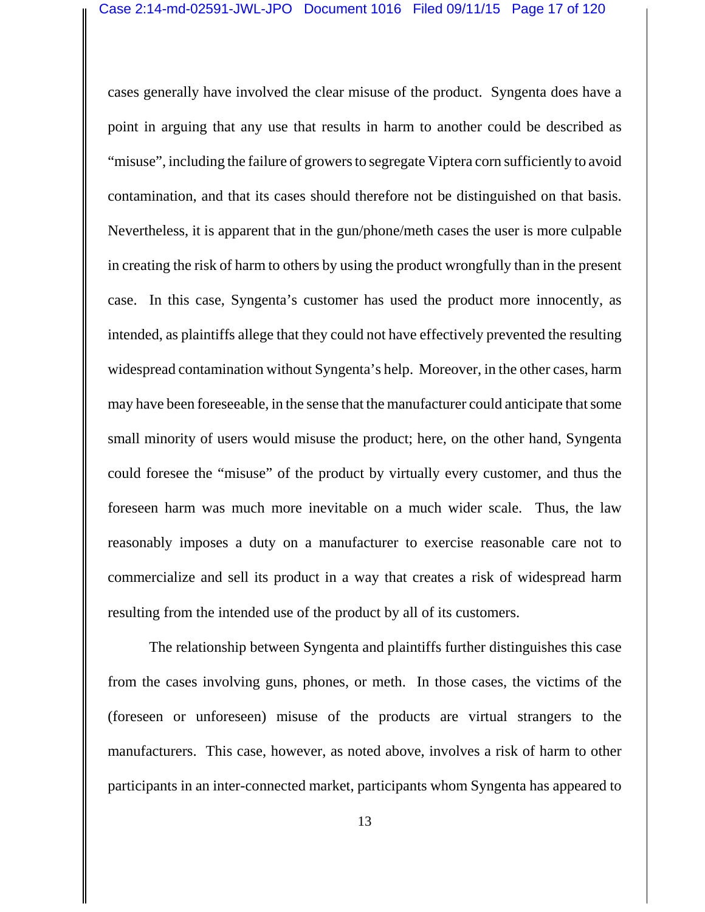cases generally have involved the clear misuse of the product. Syngenta does have a point in arguing that any use that results in harm to another could be described as "misuse", including the failure of growers to segregate Viptera corn sufficiently to avoid contamination, and that its cases should therefore not be distinguished on that basis. Nevertheless, it is apparent that in the gun/phone/meth cases the user is more culpable in creating the risk of harm to others by using the product wrongfully than in the present case. In this case, Syngenta's customer has used the product more innocently, as intended, as plaintiffs allege that they could not have effectively prevented the resulting widespread contamination without Syngenta's help. Moreover, in the other cases, harm may have been foreseeable, in the sense that the manufacturer could anticipate that some small minority of users would misuse the product; here, on the other hand, Syngenta could foresee the "misuse" of the product by virtually every customer, and thus the foreseen harm was much more inevitable on a much wider scale. Thus, the law reasonably imposes a duty on a manufacturer to exercise reasonable care not to commercialize and sell its product in a way that creates a risk of widespread harm resulting from the intended use of the product by all of its customers.

The relationship between Syngenta and plaintiffs further distinguishes this case from the cases involving guns, phones, or meth. In those cases, the victims of the (foreseen or unforeseen) misuse of the products are virtual strangers to the manufacturers. This case, however, as noted above, involves a risk of harm to other participants in an inter-connected market, participants whom Syngenta has appeared to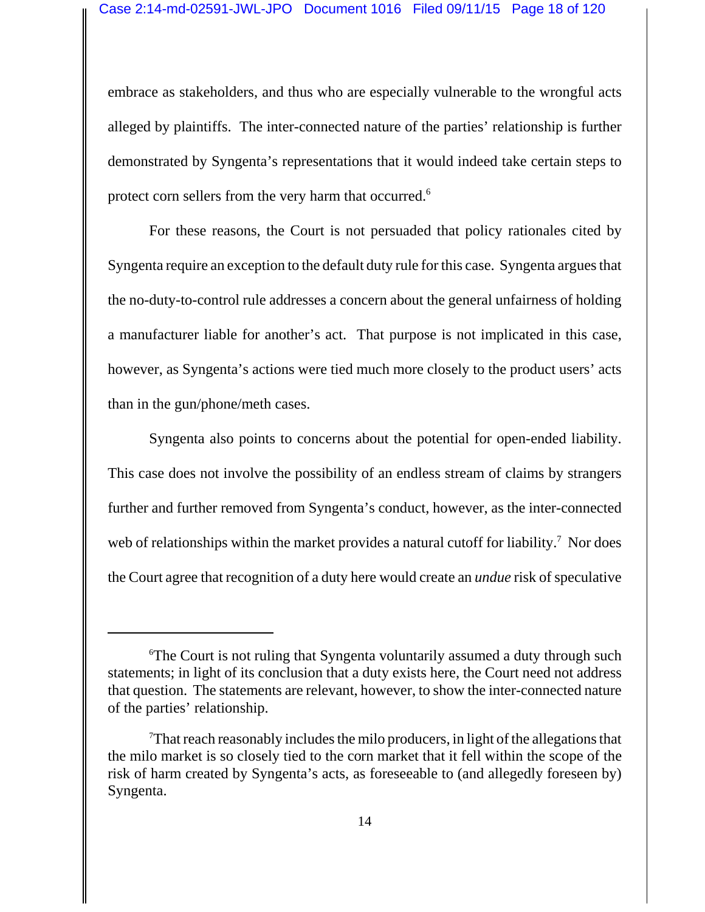embrace as stakeholders, and thus who are especially vulnerable to the wrongful acts alleged by plaintiffs. The inter-connected nature of the parties' relationship is further demonstrated by Syngenta's representations that it would indeed take certain steps to protect corn sellers from the very harm that occurred.<sup>6</sup>

For these reasons, the Court is not persuaded that policy rationales cited by Syngenta require an exception to the default duty rule for this case. Syngenta argues that the no-duty-to-control rule addresses a concern about the general unfairness of holding a manufacturer liable for another's act. That purpose is not implicated in this case, however, as Syngenta's actions were tied much more closely to the product users' acts than in the gun/phone/meth cases.

Syngenta also points to concerns about the potential for open-ended liability. This case does not involve the possibility of an endless stream of claims by strangers further and further removed from Syngenta's conduct, however, as the inter-connected web of relationships within the market provides a natural cutoff for liability.<sup>7</sup> Nor does the Court agree that recognition of a duty here would create an *undue* risk of speculative

<sup>6</sup> The Court is not ruling that Syngenta voluntarily assumed a duty through such statements; in light of its conclusion that a duty exists here, the Court need not address that question. The statements are relevant, however, to show the inter-connected nature of the parties' relationship.

<sup>7</sup> That reach reasonably includes the milo producers, in light of the allegations that the milo market is so closely tied to the corn market that it fell within the scope of the risk of harm created by Syngenta's acts, as foreseeable to (and allegedly foreseen by) Syngenta.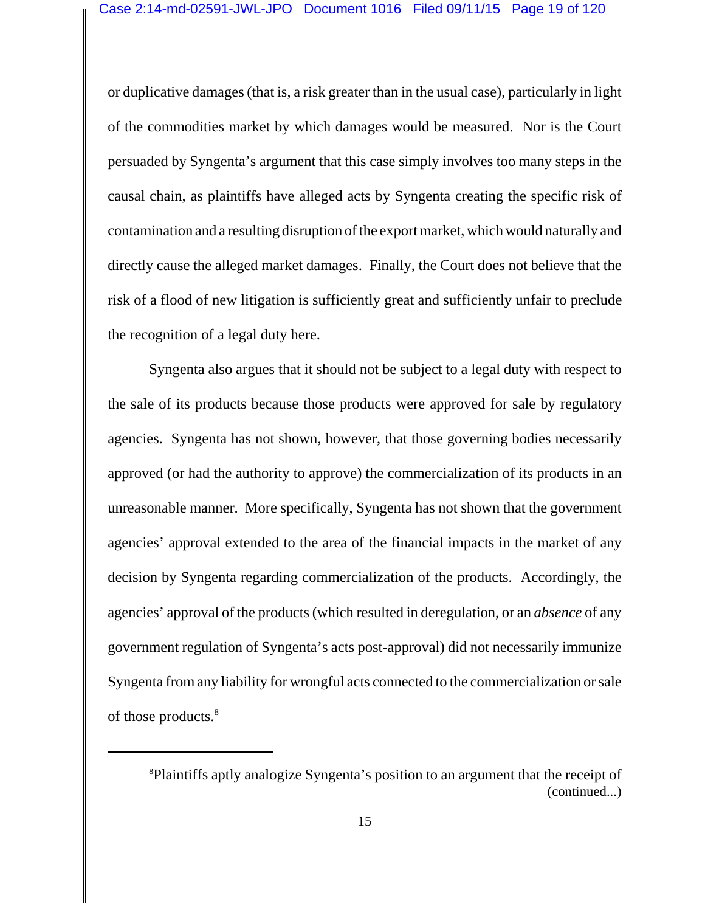or duplicative damages (that is, a risk greater than in the usual case), particularly in light of the commodities market by which damages would be measured. Nor is the Court persuaded by Syngenta's argument that this case simply involves too many steps in the causal chain, as plaintiffs have alleged acts by Syngenta creating the specific risk of contamination and a resulting disruption of the export market, which would naturally and directly cause the alleged market damages. Finally, the Court does not believe that the risk of a flood of new litigation is sufficiently great and sufficiently unfair to preclude the recognition of a legal duty here.

Syngenta also argues that it should not be subject to a legal duty with respect to the sale of its products because those products were approved for sale by regulatory agencies. Syngenta has not shown, however, that those governing bodies necessarily approved (or had the authority to approve) the commercialization of its products in an unreasonable manner. More specifically, Syngenta has not shown that the government agencies' approval extended to the area of the financial impacts in the market of any decision by Syngenta regarding commercialization of the products. Accordingly, the agencies' approval of the products (which resulted in deregulation, or an *absence* of any government regulation of Syngenta's acts post-approval) did not necessarily immunize Syngenta from any liability for wrongful acts connected to the commercialization or sale of those products.<sup>8</sup>

<sup>8</sup> Plaintiffs aptly analogize Syngenta's position to an argument that the receipt of (continued...)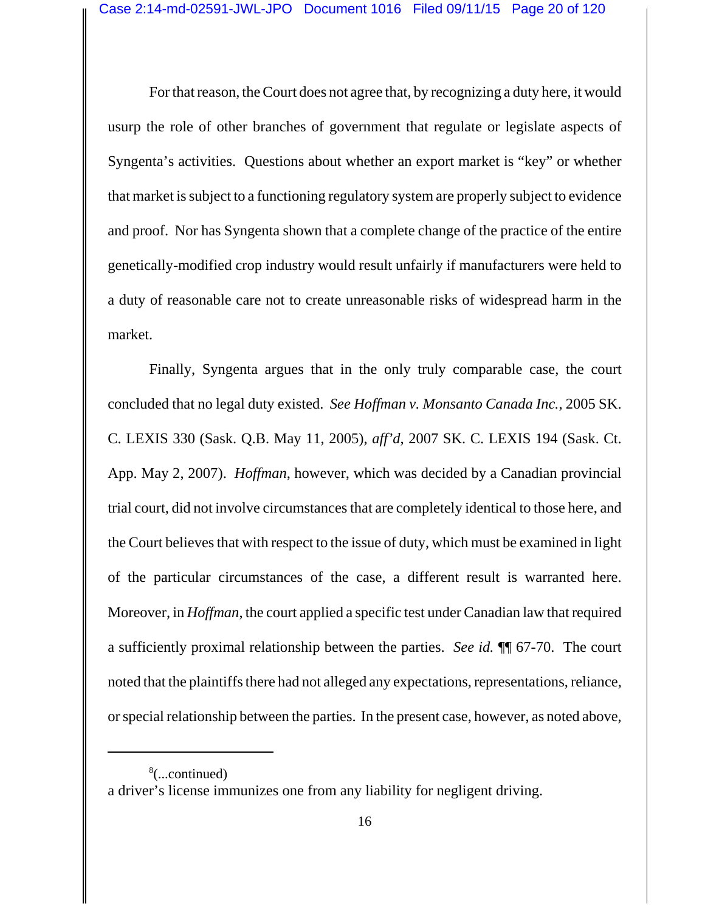For that reason, the Court does not agree that, by recognizing a duty here, it would usurp the role of other branches of government that regulate or legislate aspects of Syngenta's activities. Questions about whether an export market is "key" or whether that market is subject to a functioning regulatory system are properly subject to evidence and proof. Nor has Syngenta shown that a complete change of the practice of the entire genetically-modified crop industry would result unfairly if manufacturers were held to a duty of reasonable care not to create unreasonable risks of widespread harm in the market.

Finally, Syngenta argues that in the only truly comparable case, the court concluded that no legal duty existed. *See Hoffman v. Monsanto Canada Inc.*, 2005 SK. C. LEXIS 330 (Sask. Q.B. May 11, 2005), *aff'd*, 2007 SK. C. LEXIS 194 (Sask. Ct. App. May 2, 2007). *Hoffman*, however, which was decided by a Canadian provincial trial court, did not involve circumstances that are completely identical to those here, and the Court believes that with respect to the issue of duty, which must be examined in light of the particular circumstances of the case, a different result is warranted here. Moreover, in *Hoffman*, the court applied a specific test under Canadian law that required a sufficiently proximal relationship between the parties. *See id.* ¶¶ 67-70. The court noted that the plaintiffs there had not alleged any expectations, representations, reliance, or special relationship between the parties. In the present case, however, as noted above,

<sup>8</sup> (...continued) a driver's license immunizes one from any liability for negligent driving.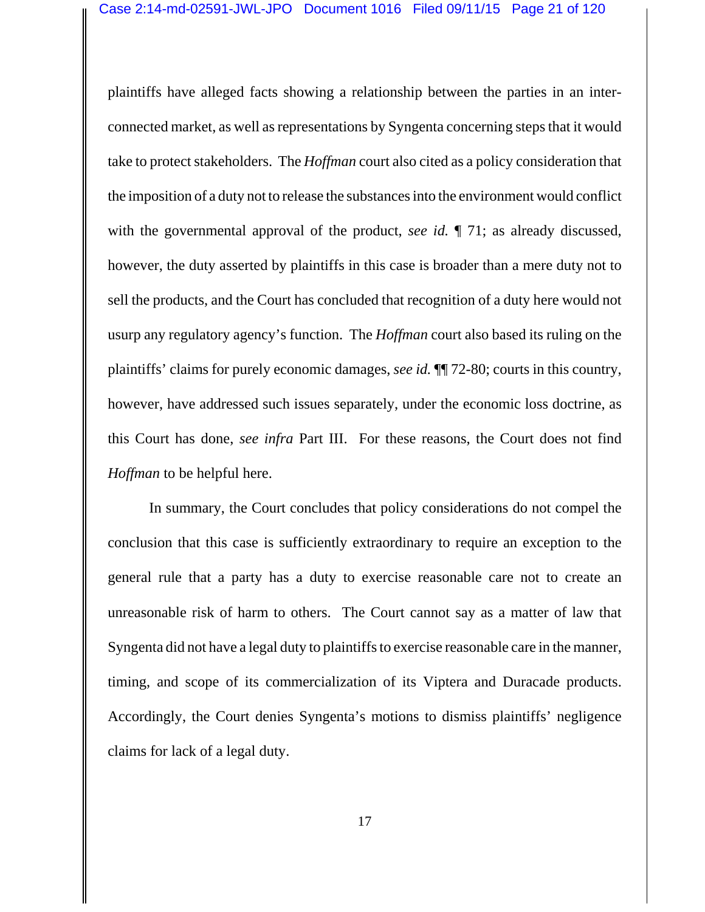plaintiffs have alleged facts showing a relationship between the parties in an interconnected market, as well as representations by Syngenta concerning steps that it would take to protect stakeholders. The *Hoffman* court also cited as a policy consideration that the imposition of a duty not to release the substances into the environment would conflict with the governmental approval of the product, *see id.* ¶ 71; as already discussed, however, the duty asserted by plaintiffs in this case is broader than a mere duty not to sell the products, and the Court has concluded that recognition of a duty here would not usurp any regulatory agency's function. The *Hoffman* court also based its ruling on the plaintiffs' claims for purely economic damages, *see id.* ¶¶ 72-80; courts in this country, however, have addressed such issues separately, under the economic loss doctrine, as this Court has done, *see infra* Part III. For these reasons, the Court does not find *Hoffman* to be helpful here.

In summary, the Court concludes that policy considerations do not compel the conclusion that this case is sufficiently extraordinary to require an exception to the general rule that a party has a duty to exercise reasonable care not to create an unreasonable risk of harm to others. The Court cannot say as a matter of law that Syngenta did not have a legal duty to plaintiffs to exercise reasonable care in the manner, timing, and scope of its commercialization of its Viptera and Duracade products. Accordingly, the Court denies Syngenta's motions to dismiss plaintiffs' negligence claims for lack of a legal duty.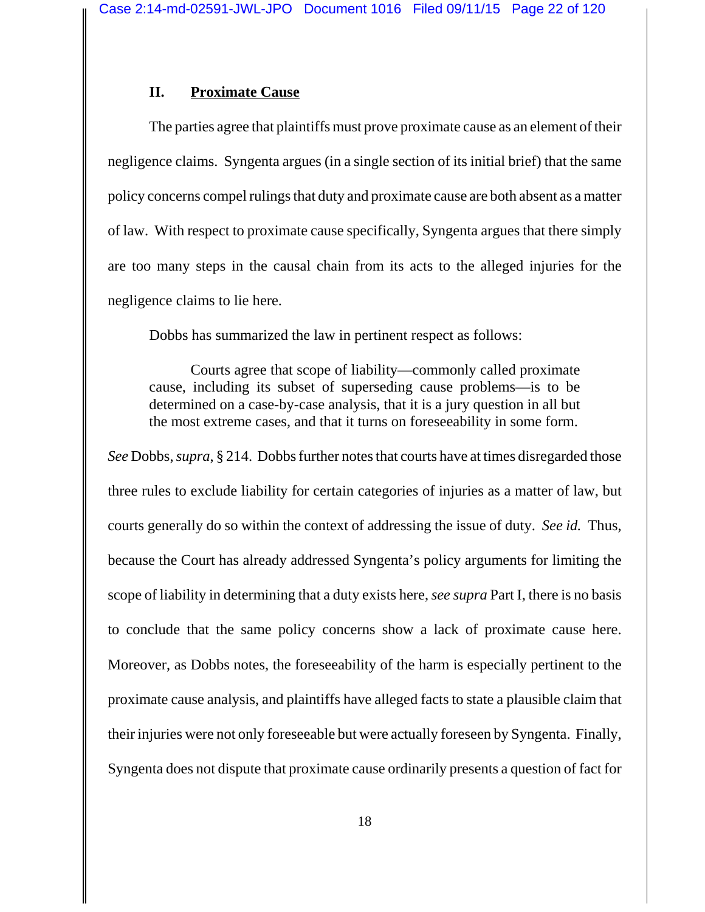# **II. Proximate Cause**

The parties agree that plaintiffs must prove proximate cause as an element of their negligence claims. Syngenta argues (in a single section of its initial brief) that the same policy concerns compel rulings that duty and proximate cause are both absent as a matter of law. With respect to proximate cause specifically, Syngenta argues that there simply are too many steps in the causal chain from its acts to the alleged injuries for the negligence claims to lie here.

Dobbs has summarized the law in pertinent respect as follows:

Courts agree that scope of liability—commonly called proximate cause, including its subset of superseding cause problems—is to be determined on a case-by-case analysis, that it is a jury question in all but the most extreme cases, and that it turns on foreseeability in some form.

*See* Dobbs, *supra*, § 214. Dobbs further notes that courts have at times disregarded those three rules to exclude liability for certain categories of injuries as a matter of law, but courts generally do so within the context of addressing the issue of duty. *See id.* Thus, because the Court has already addressed Syngenta's policy arguments for limiting the scope of liability in determining that a duty exists here, *see supra* Part I, there is no basis to conclude that the same policy concerns show a lack of proximate cause here. Moreover, as Dobbs notes, the foreseeability of the harm is especially pertinent to the proximate cause analysis, and plaintiffs have alleged facts to state a plausible claim that their injuries were not only foreseeable but were actually foreseen by Syngenta. Finally, Syngenta does not dispute that proximate cause ordinarily presents a question of fact for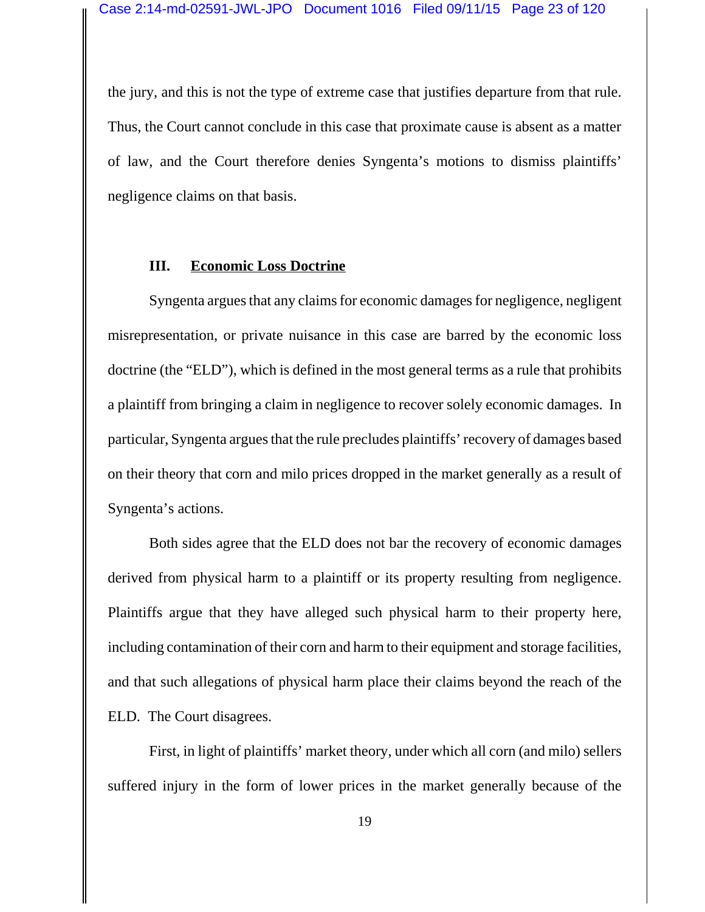the jury, and this is not the type of extreme case that justifies departure from that rule. Thus, the Court cannot conclude in this case that proximate cause is absent as a matter of law, and the Court therefore denies Syngenta's motions to dismiss plaintiffs' negligence claims on that basis.

#### **III. Economic Loss Doctrine**

Syngenta argues that any claims for economic damages for negligence, negligent misrepresentation, or private nuisance in this case are barred by the economic loss doctrine (the "ELD"), which is defined in the most general terms as a rule that prohibits a plaintiff from bringing a claim in negligence to recover solely economic damages. In particular, Syngenta argues that the rule precludes plaintiffs' recovery of damages based on their theory that corn and milo prices dropped in the market generally as a result of Syngenta's actions.

Both sides agree that the ELD does not bar the recovery of economic damages derived from physical harm to a plaintiff or its property resulting from negligence. Plaintiffs argue that they have alleged such physical harm to their property here, including contamination of their corn and harm to their equipment and storage facilities, and that such allegations of physical harm place their claims beyond the reach of the ELD. The Court disagrees.

First, in light of plaintiffs' market theory, under which all corn (and milo) sellers suffered injury in the form of lower prices in the market generally because of the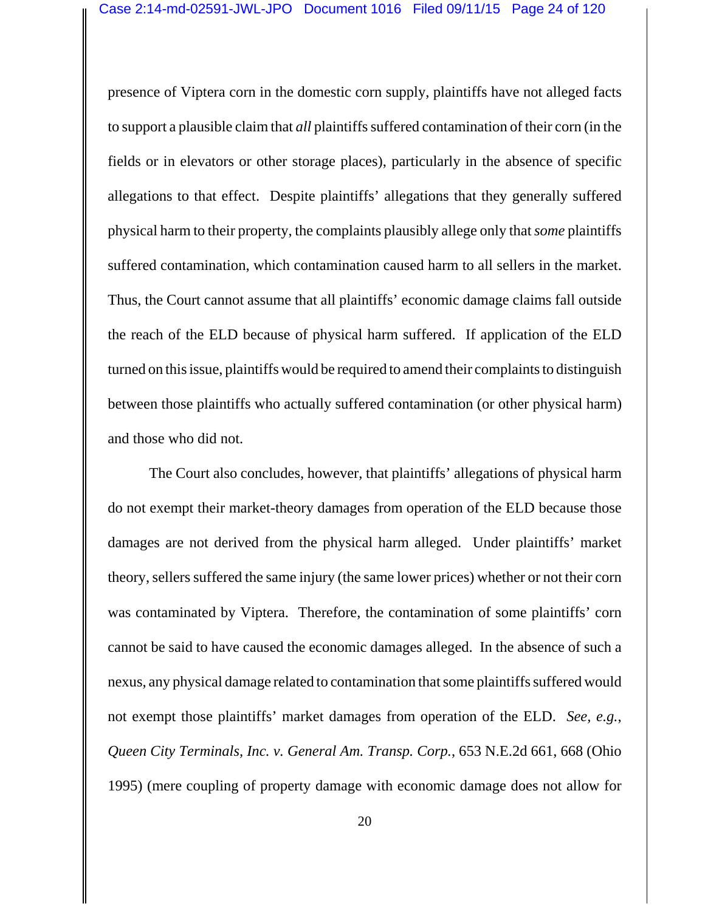presence of Viptera corn in the domestic corn supply, plaintiffs have not alleged facts to support a plausible claim that *all* plaintiffs suffered contamination of their corn (in the fields or in elevators or other storage places), particularly in the absence of specific allegations to that effect. Despite plaintiffs' allegations that they generally suffered physical harm to their property, the complaints plausibly allege only that *some* plaintiffs suffered contamination, which contamination caused harm to all sellers in the market. Thus, the Court cannot assume that all plaintiffs' economic damage claims fall outside the reach of the ELD because of physical harm suffered. If application of the ELD turned on this issue, plaintiffs would be required to amend their complaints to distinguish between those plaintiffs who actually suffered contamination (or other physical harm) and those who did not.

The Court also concludes, however, that plaintiffs' allegations of physical harm do not exempt their market-theory damages from operation of the ELD because those damages are not derived from the physical harm alleged. Under plaintiffs' market theory, sellers suffered the same injury (the same lower prices) whether or not their corn was contaminated by Viptera. Therefore, the contamination of some plaintiffs' corn cannot be said to have caused the economic damages alleged. In the absence of such a nexus, any physical damage related to contamination that some plaintiffs suffered would not exempt those plaintiffs' market damages from operation of the ELD. *See, e.g.*, *Queen City Terminals, Inc. v. General Am. Transp. Corp.*, 653 N.E.2d 661, 668 (Ohio 1995) (mere coupling of property damage with economic damage does not allow for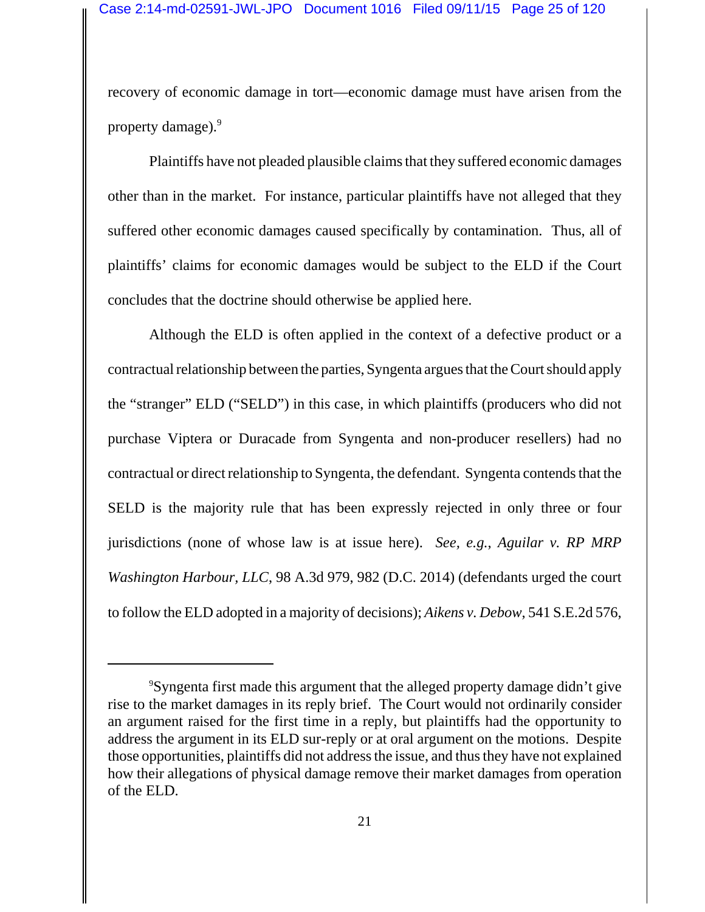recovery of economic damage in tort—economic damage must have arisen from the property damage).<sup>9</sup>

Plaintiffs have not pleaded plausible claims that they suffered economic damages other than in the market. For instance, particular plaintiffs have not alleged that they suffered other economic damages caused specifically by contamination. Thus, all of plaintiffs' claims for economic damages would be subject to the ELD if the Court concludes that the doctrine should otherwise be applied here.

Although the ELD is often applied in the context of a defective product or a contractual relationship between the parties, Syngenta argues that the Court should apply the "stranger" ELD ("SELD") in this case, in which plaintiffs (producers who did not purchase Viptera or Duracade from Syngenta and non-producer resellers) had no contractual or direct relationship to Syngenta, the defendant. Syngenta contends that the SELD is the majority rule that has been expressly rejected in only three or four jurisdictions (none of whose law is at issue here). *See, e.g.*, *Aguilar v. RP MRP Washington Harbour, LLC*, 98 A.3d 979, 982 (D.C. 2014) (defendants urged the court to follow the ELD adopted in a majority of decisions); *Aikens v. Debow*, 541 S.E.2d 576,

<sup>9</sup> Syngenta first made this argument that the alleged property damage didn't give rise to the market damages in its reply brief. The Court would not ordinarily consider an argument raised for the first time in a reply, but plaintiffs had the opportunity to address the argument in its ELD sur-reply or at oral argument on the motions. Despite those opportunities, plaintiffs did not address the issue, and thus they have not explained how their allegations of physical damage remove their market damages from operation of the ELD.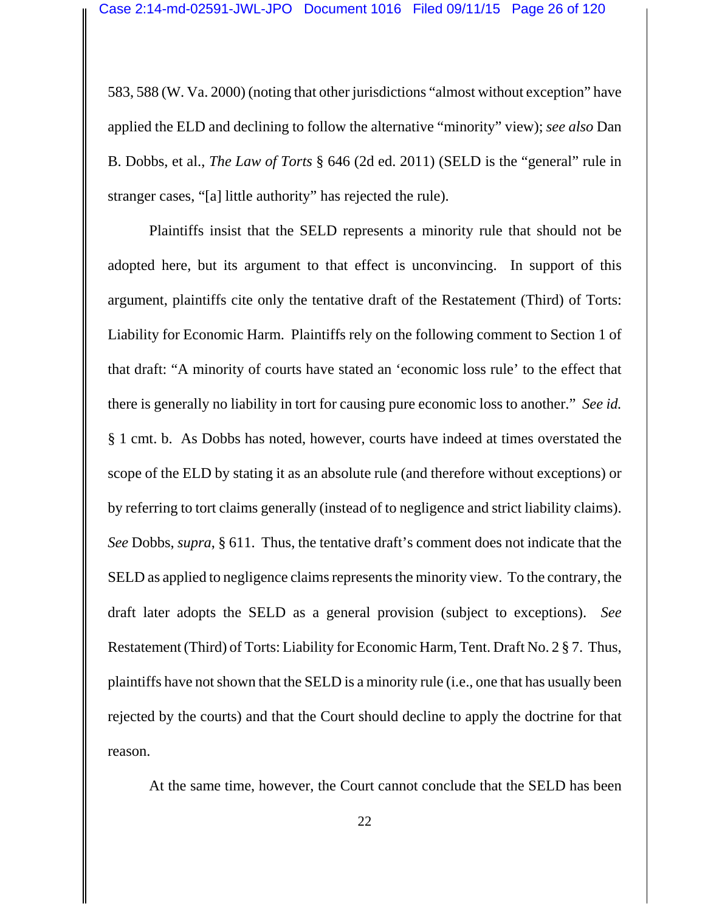583, 588 (W. Va. 2000) (noting that other jurisdictions "almost without exception" have applied the ELD and declining to follow the alternative "minority" view); *see also* Dan B. Dobbs, et al., *The Law of Torts* § 646 (2d ed. 2011) (SELD is the "general" rule in stranger cases, "[a] little authority" has rejected the rule).

Plaintiffs insist that the SELD represents a minority rule that should not be adopted here, but its argument to that effect is unconvincing. In support of this argument, plaintiffs cite only the tentative draft of the Restatement (Third) of Torts: Liability for Economic Harm. Plaintiffs rely on the following comment to Section 1 of that draft: "A minority of courts have stated an 'economic loss rule' to the effect that there is generally no liability in tort for causing pure economic loss to another." *See id.* § 1 cmt. b. As Dobbs has noted, however, courts have indeed at times overstated the scope of the ELD by stating it as an absolute rule (and therefore without exceptions) or by referring to tort claims generally (instead of to negligence and strict liability claims). *See* Dobbs, *supra*, § 611. Thus, the tentative draft's comment does not indicate that the SELD as applied to negligence claims represents the minority view. To the contrary, the draft later adopts the SELD as a general provision (subject to exceptions). *See* Restatement (Third) of Torts: Liability for Economic Harm, Tent. Draft No. 2 § 7. Thus, plaintiffs have not shown that the SELD is a minority rule (i.e., one that has usually been rejected by the courts) and that the Court should decline to apply the doctrine for that reason.

At the same time, however, the Court cannot conclude that the SELD has been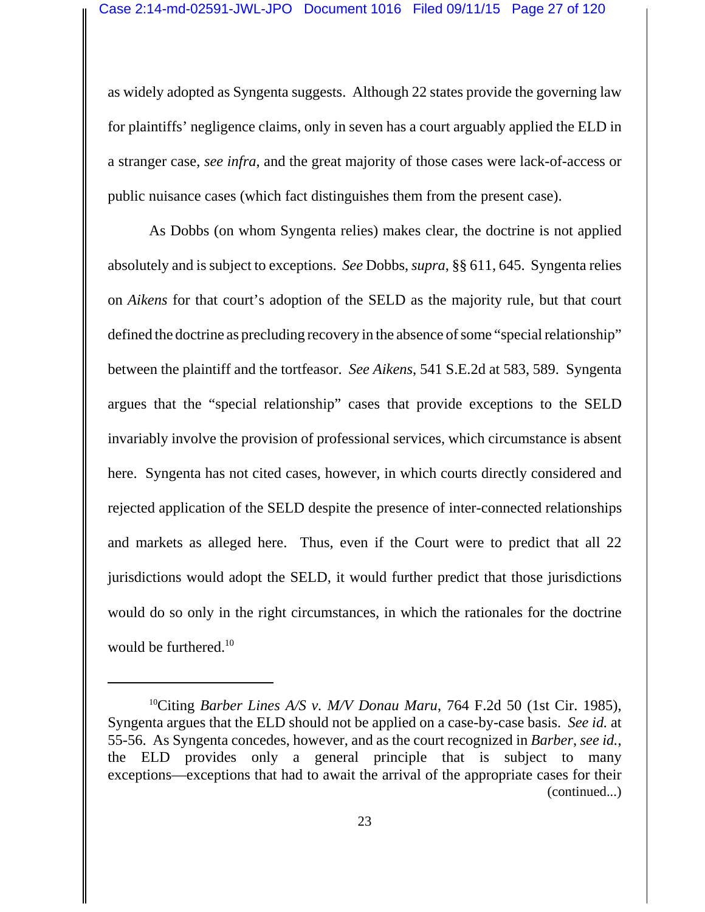as widely adopted as Syngenta suggests. Although 22 states provide the governing law for plaintiffs' negligence claims, only in seven has a court arguably applied the ELD in a stranger case, *see infra*, and the great majority of those cases were lack-of-access or public nuisance cases (which fact distinguishes them from the present case).

As Dobbs (on whom Syngenta relies) makes clear, the doctrine is not applied absolutely and is subject to exceptions. *See* Dobbs, *supra*, §§ 611, 645. Syngenta relies on *Aikens* for that court's adoption of the SELD as the majority rule, but that court defined the doctrine as precluding recovery in the absence of some "special relationship" between the plaintiff and the tortfeasor. *See Aikens*, 541 S.E.2d at 583, 589. Syngenta argues that the "special relationship" cases that provide exceptions to the SELD invariably involve the provision of professional services, which circumstance is absent here. Syngenta has not cited cases, however, in which courts directly considered and rejected application of the SELD despite the presence of inter-connected relationships and markets as alleged here. Thus, even if the Court were to predict that all 22 jurisdictions would adopt the SELD, it would further predict that those jurisdictions would do so only in the right circumstances, in which the rationales for the doctrine would be furthered.<sup>10</sup>

<sup>10</sup>Citing *Barber Lines A/S v. M/V Donau Maru*, 764 F.2d 50 (1st Cir. 1985), Syngenta argues that the ELD should not be applied on a case-by-case basis. *See id.* at 55-56. As Syngenta concedes, however, and as the court recognized in *Barber*, *see id.*, the ELD provides only a general principle that is subject to many exceptions—exceptions that had to await the arrival of the appropriate cases for their (continued...)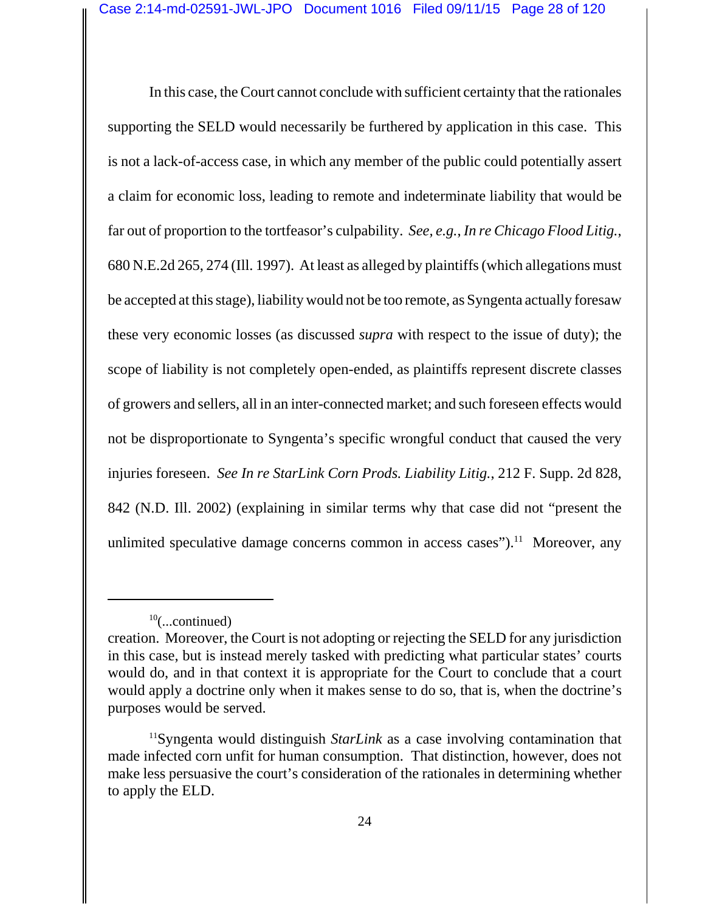In this case, the Court cannot conclude with sufficient certainty that the rationales supporting the SELD would necessarily be furthered by application in this case. This is not a lack-of-access case, in which any member of the public could potentially assert a claim for economic loss, leading to remote and indeterminate liability that would be far out of proportion to the tortfeasor's culpability. *See, e.g.*, *In re Chicago Flood Litig.*, 680 N.E.2d 265, 274 (Ill. 1997). At least as alleged by plaintiffs (which allegations must be accepted at this stage), liability would not be too remote, as Syngenta actually foresaw these very economic losses (as discussed *supra* with respect to the issue of duty); the scope of liability is not completely open-ended, as plaintiffs represent discrete classes of growers and sellers, all in an inter-connected market; and such foreseen effects would not be disproportionate to Syngenta's specific wrongful conduct that caused the very injuries foreseen. *See In re StarLink Corn Prods. Liability Litig.*, 212 F. Supp. 2d 828, 842 (N.D. Ill. 2002) (explaining in similar terms why that case did not "present the unlimited speculative damage concerns common in access cases").<sup>11</sup> Moreover, any

 $10$ (...continued)

creation. Moreover, the Court is not adopting or rejecting the SELD for any jurisdiction in this case, but is instead merely tasked with predicting what particular states' courts would do, and in that context it is appropriate for the Court to conclude that a court would apply a doctrine only when it makes sense to do so, that is, when the doctrine's purposes would be served.

<sup>11</sup>Syngenta would distinguish *StarLink* as a case involving contamination that made infected corn unfit for human consumption. That distinction, however, does not make less persuasive the court's consideration of the rationales in determining whether to apply the ELD.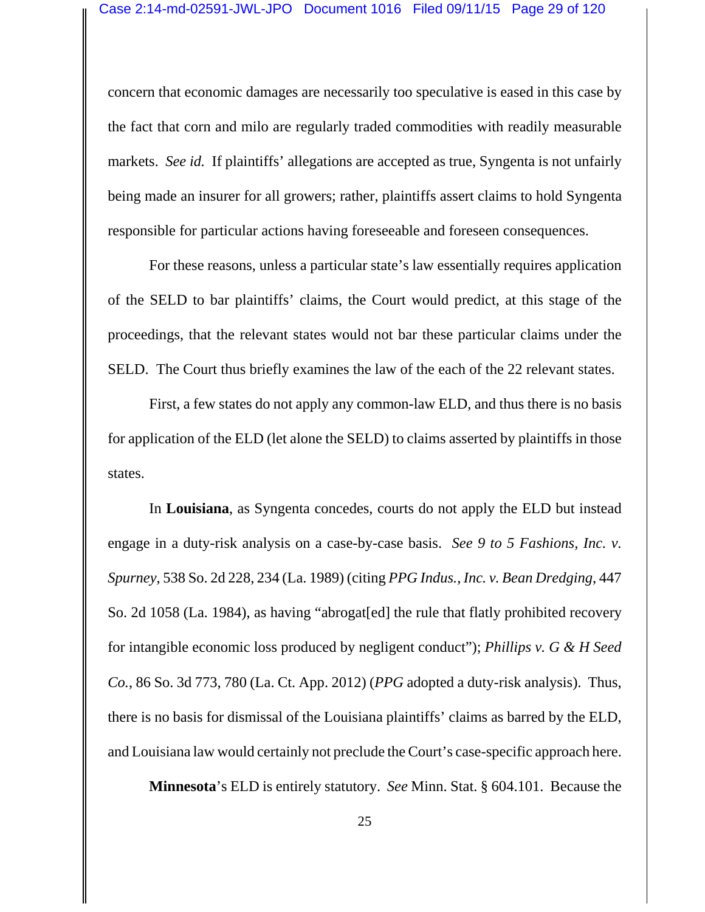concern that economic damages are necessarily too speculative is eased in this case by the fact that corn and milo are regularly traded commodities with readily measurable markets. *See id.* If plaintiffs' allegations are accepted as true, Syngenta is not unfairly being made an insurer for all growers; rather, plaintiffs assert claims to hold Syngenta responsible for particular actions having foreseeable and foreseen consequences.

For these reasons, unless a particular state's law essentially requires application of the SELD to bar plaintiffs' claims, the Court would predict, at this stage of the proceedings, that the relevant states would not bar these particular claims under the SELD. The Court thus briefly examines the law of the each of the 22 relevant states.

First, a few states do not apply any common-law ELD, and thus there is no basis for application of the ELD (let alone the SELD) to claims asserted by plaintiffs in those states.

In **Louisiana**, as Syngenta concedes, courts do not apply the ELD but instead engage in a duty-risk analysis on a case-by-case basis. *See 9 to 5 Fashions, Inc. v. Spurney*, 538 So. 2d 228, 234 (La. 1989) (citing *PPG Indus., Inc. v. Bean Dredging*, 447 So. 2d 1058 (La. 1984), as having "abrogat[ed] the rule that flatly prohibited recovery for intangible economic loss produced by negligent conduct"); *Phillips v. G & H Seed Co.*, 86 So. 3d 773, 780 (La. Ct. App. 2012) (*PPG* adopted a duty-risk analysis). Thus, there is no basis for dismissal of the Louisiana plaintiffs' claims as barred by the ELD, and Louisiana law would certainly not preclude the Court's case-specific approach here.

**Minnesota**'s ELD is entirely statutory. *See* Minn. Stat. § 604.101. Because the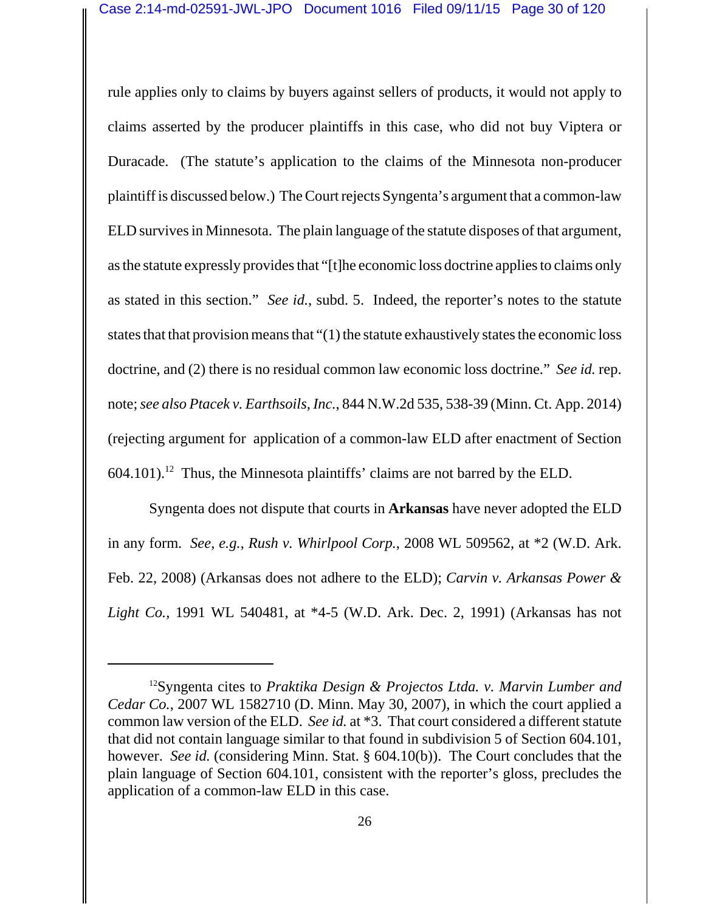rule applies only to claims by buyers against sellers of products, it would not apply to claims asserted by the producer plaintiffs in this case, who did not buy Viptera or Duracade. (The statute's application to the claims of the Minnesota non-producer plaintiff is discussed below.) The Court rejects Syngenta's argument that a common-law ELD survives in Minnesota. The plain language of the statute disposes of that argument, as the statute expressly provides that "[t]he economic loss doctrine applies to claims only as stated in this section." *See id.*, subd. 5. Indeed, the reporter's notes to the statute states that that provision means that "(1) the statute exhaustively states the economic loss doctrine, and (2) there is no residual common law economic loss doctrine." *See id.* rep. note; *see also Ptacek v. Earthsoils, Inc.*, 844 N.W.2d 535, 538-39 (Minn. Ct. App. 2014) (rejecting argument for application of a common-law ELD after enactment of Section  $604.101$ .<sup>12</sup> Thus, the Minnesota plaintiffs' claims are not barred by the ELD.

Syngenta does not dispute that courts in **Arkansas** have never adopted the ELD in any form. *See, e.g.*, *Rush v. Whirlpool Corp.*, 2008 WL 509562, at \*2 (W.D. Ark. Feb. 22, 2008) (Arkansas does not adhere to the ELD); *Carvin v. Arkansas Power & Light Co.*, 1991 WL 540481, at \*4-5 (W.D. Ark. Dec. 2, 1991) (Arkansas has not

<sup>12</sup>Syngenta cites to *Praktika Design & Projectos Ltda. v. Marvin Lumber and Cedar Co.*, 2007 WL 1582710 (D. Minn. May 30, 2007), in which the court applied a common law version of the ELD. *See id.* at \*3. That court considered a different statute that did not contain language similar to that found in subdivision 5 of Section 604.101, however. *See id.* (considering Minn. Stat. § 604.10(b)). The Court concludes that the plain language of Section 604.101, consistent with the reporter's gloss, precludes the application of a common-law ELD in this case.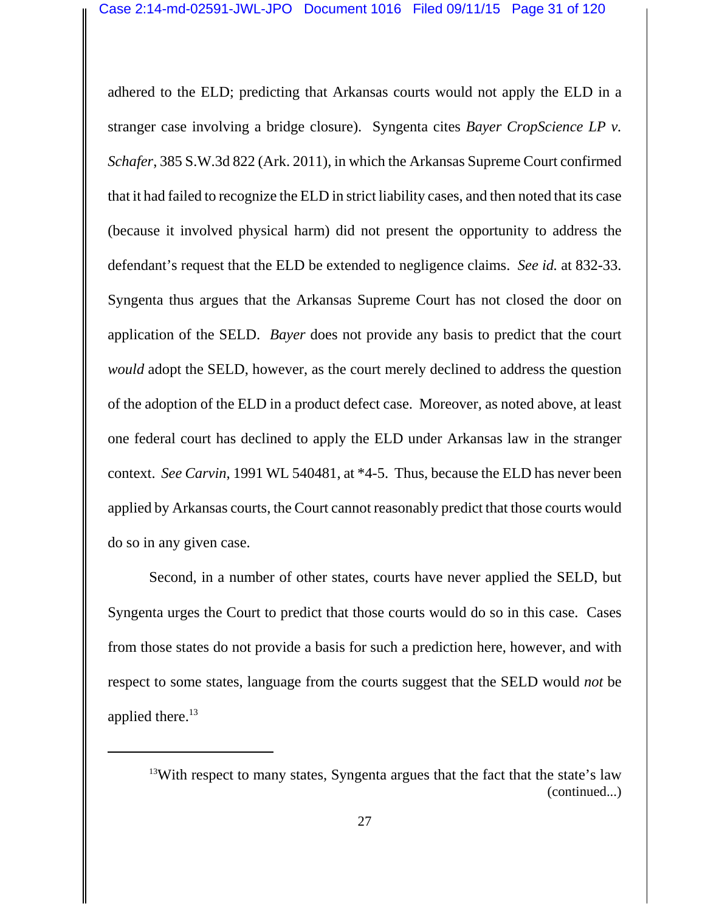adhered to the ELD; predicting that Arkansas courts would not apply the ELD in a stranger case involving a bridge closure). Syngenta cites *Bayer CropScience LP v. Schafer*, 385 S.W.3d 822 (Ark. 2011), in which the Arkansas Supreme Court confirmed that it had failed to recognize the ELD in strict liability cases, and then noted that its case (because it involved physical harm) did not present the opportunity to address the defendant's request that the ELD be extended to negligence claims. *See id.* at 832-33. Syngenta thus argues that the Arkansas Supreme Court has not closed the door on application of the SELD. *Bayer* does not provide any basis to predict that the court *would* adopt the SELD, however, as the court merely declined to address the question of the adoption of the ELD in a product defect case. Moreover, as noted above, at least one federal court has declined to apply the ELD under Arkansas law in the stranger context. *See Carvin*, 1991 WL 540481, at \*4-5. Thus, because the ELD has never been applied by Arkansas courts, the Court cannot reasonably predict that those courts would do so in any given case.

Second, in a number of other states, courts have never applied the SELD, but Syngenta urges the Court to predict that those courts would do so in this case. Cases from those states do not provide a basis for such a prediction here, however, and with respect to some states, language from the courts suggest that the SELD would *not* be applied there. $^{13}$ 

 $13$ With respect to many states, Syngenta argues that the fact that the state's law (continued...)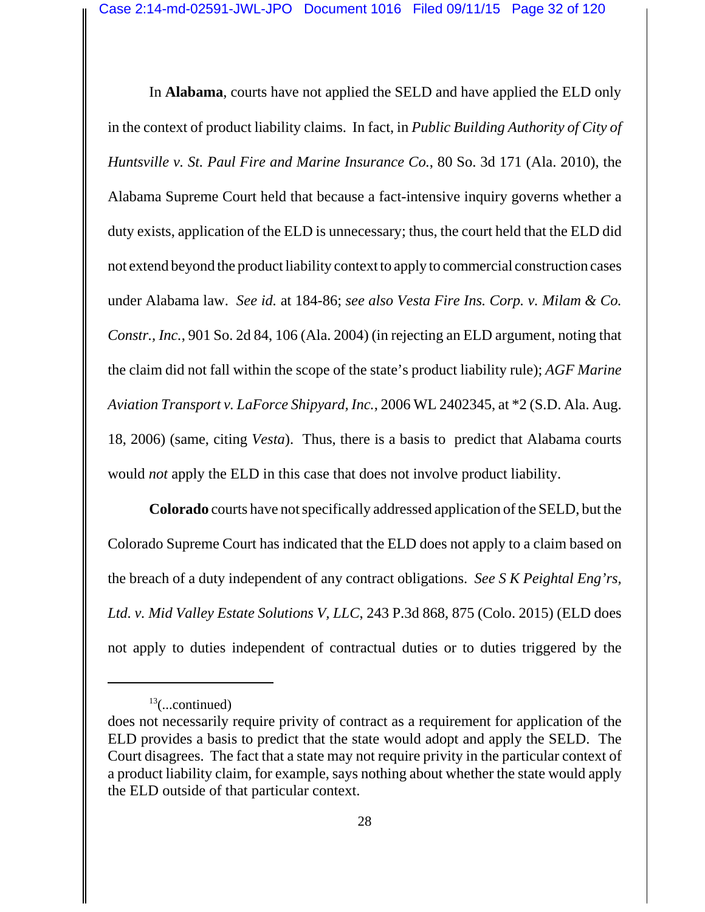In **Alabama**, courts have not applied the SELD and have applied the ELD only in the context of product liability claims. In fact, in *Public Building Authority of City of Huntsville v. St. Paul Fire and Marine Insurance Co.*, 80 So. 3d 171 (Ala. 2010), the Alabama Supreme Court held that because a fact-intensive inquiry governs whether a duty exists, application of the ELD is unnecessary; thus, the court held that the ELD did not extend beyond the product liability context to apply to commercial construction cases under Alabama law. *See id.* at 184-86; *see also Vesta Fire Ins. Corp. v. Milam & Co. Constr., Inc.*, 901 So. 2d 84, 106 (Ala. 2004) (in rejecting an ELD argument, noting that the claim did not fall within the scope of the state's product liability rule); *AGF Marine Aviation Transport v. LaForce Shipyard, Inc.*, 2006 WL 2402345, at \*2 (S.D. Ala. Aug. 18, 2006) (same, citing *Vesta*). Thus, there is a basis to predict that Alabama courts would *not* apply the ELD in this case that does not involve product liability.

**Colorado** courts have not specifically addressed application of the SELD, but the Colorado Supreme Court has indicated that the ELD does not apply to a claim based on the breach of a duty independent of any contract obligations. *See S K Peightal Eng'rs, Ltd. v. Mid Valley Estate Solutions V, LLC*, 243 P.3d 868, 875 (Colo. 2015) (ELD does not apply to duties independent of contractual duties or to duties triggered by the

 $13$ (...continued)

does not necessarily require privity of contract as a requirement for application of the ELD provides a basis to predict that the state would adopt and apply the SELD. The Court disagrees. The fact that a state may not require privity in the particular context of a product liability claim, for example, says nothing about whether the state would apply the ELD outside of that particular context.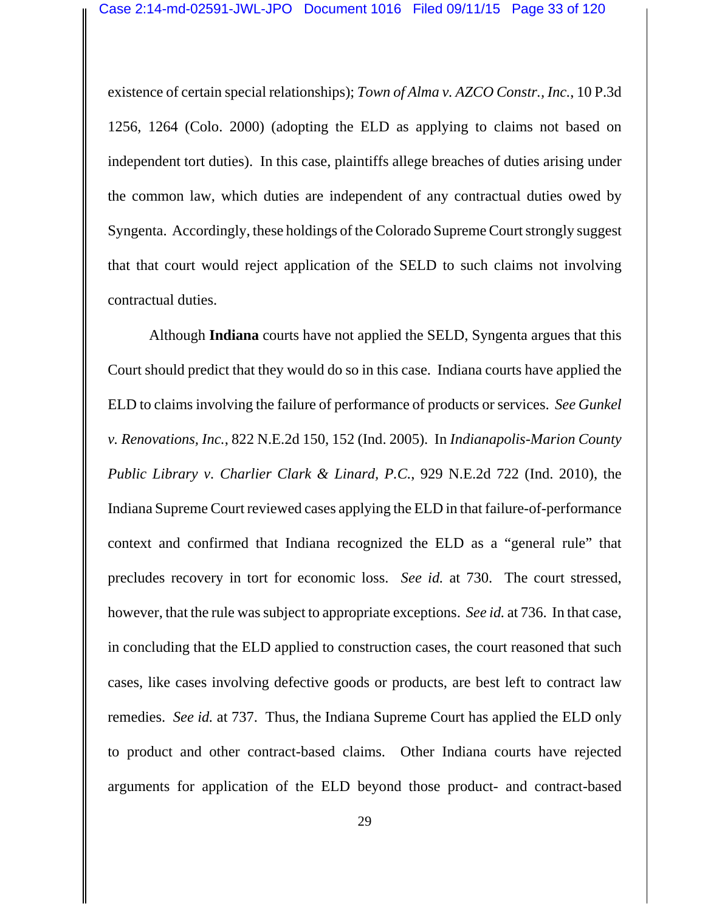existence of certain special relationships); *Town of Alma v. AZCO Constr., Inc.*, 10 P.3d 1256, 1264 (Colo. 2000) (adopting the ELD as applying to claims not based on independent tort duties). In this case, plaintiffs allege breaches of duties arising under the common law, which duties are independent of any contractual duties owed by Syngenta. Accordingly, these holdings of the Colorado Supreme Court strongly suggest that that court would reject application of the SELD to such claims not involving contractual duties.

Although **Indiana** courts have not applied the SELD, Syngenta argues that this Court should predict that they would do so in this case. Indiana courts have applied the ELD to claims involving the failure of performance of products or services. *See Gunkel v. Renovations, Inc.*, 822 N.E.2d 150, 152 (Ind. 2005). In *Indianapolis-Marion County Public Library v. Charlier Clark & Linard, P.C.*, 929 N.E.2d 722 (Ind. 2010), the Indiana Supreme Court reviewed cases applying the ELD in that failure-of-performance context and confirmed that Indiana recognized the ELD as a "general rule" that precludes recovery in tort for economic loss. *See id.* at 730. The court stressed, however, that the rule was subject to appropriate exceptions. *See id.* at 736. In that case, in concluding that the ELD applied to construction cases, the court reasoned that such cases, like cases involving defective goods or products, are best left to contract law remedies. *See id.* at 737. Thus, the Indiana Supreme Court has applied the ELD only to product and other contract-based claims. Other Indiana courts have rejected arguments for application of the ELD beyond those product- and contract-based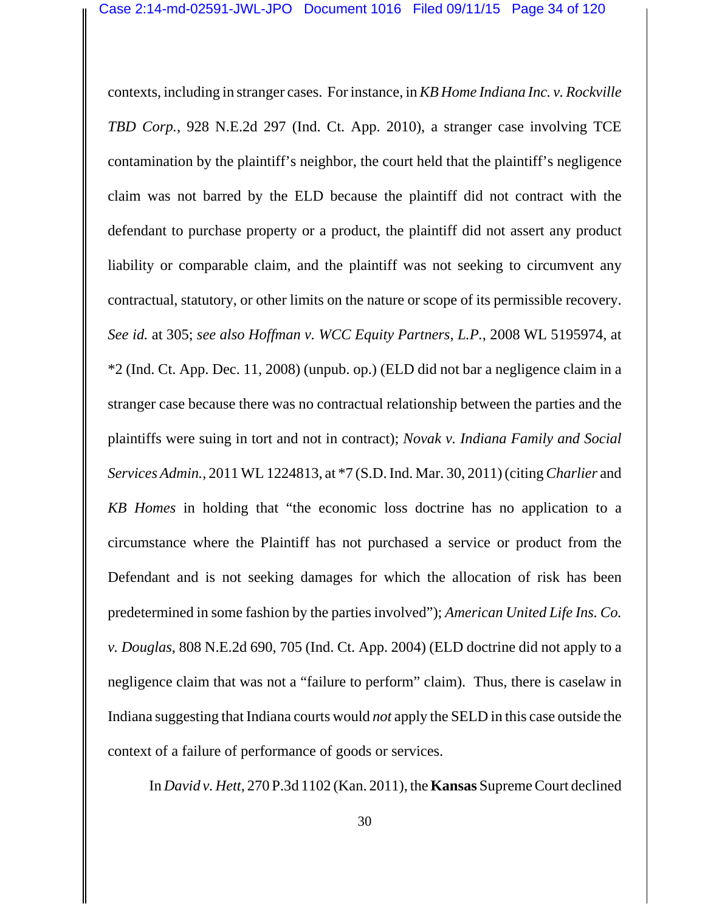contexts, including in stranger cases.For instance, in *KB Home Indiana Inc. v. Rockville TBD Corp.*, 928 N.E.2d 297 (Ind. Ct. App. 2010), a stranger case involving TCE contamination by the plaintiff's neighbor, the court held that the plaintiff's negligence claim was not barred by the ELD because the plaintiff did not contract with the defendant to purchase property or a product, the plaintiff did not assert any product liability or comparable claim, and the plaintiff was not seeking to circumvent any contractual, statutory, or other limits on the nature or scope of its permissible recovery. *See id.* at 305; *see also Hoffman v. WCC Equity Partners, L.P.*, 2008 WL 5195974, at \*2 (Ind. Ct. App. Dec. 11, 2008) (unpub. op.) (ELD did not bar a negligence claim in a stranger case because there was no contractual relationship between the parties and the plaintiffs were suing in tort and not in contract); *Novak v. Indiana Family and Social Services Admin.*, 2011 WL 1224813, at \*7 (S.D. Ind. Mar. 30, 2011) (citing *Charlier* and *KB Homes* in holding that "the economic loss doctrine has no application to a circumstance where the Plaintiff has not purchased a service or product from the Defendant and is not seeking damages for which the allocation of risk has been predetermined in some fashion by the parties involved"); *American United Life Ins. Co. v. Douglas*, 808 N.E.2d 690, 705 (Ind. Ct. App. 2004) (ELD doctrine did not apply to a negligence claim that was not a "failure to perform" claim). Thus, there is caselaw in Indiana suggesting that Indiana courts would *not* apply the SELD in this case outside the context of a failure of performance of goods or services.

In *David v. Hett*, 270 P.3d 1102 (Kan. 2011), the **Kansas** Supreme Court declined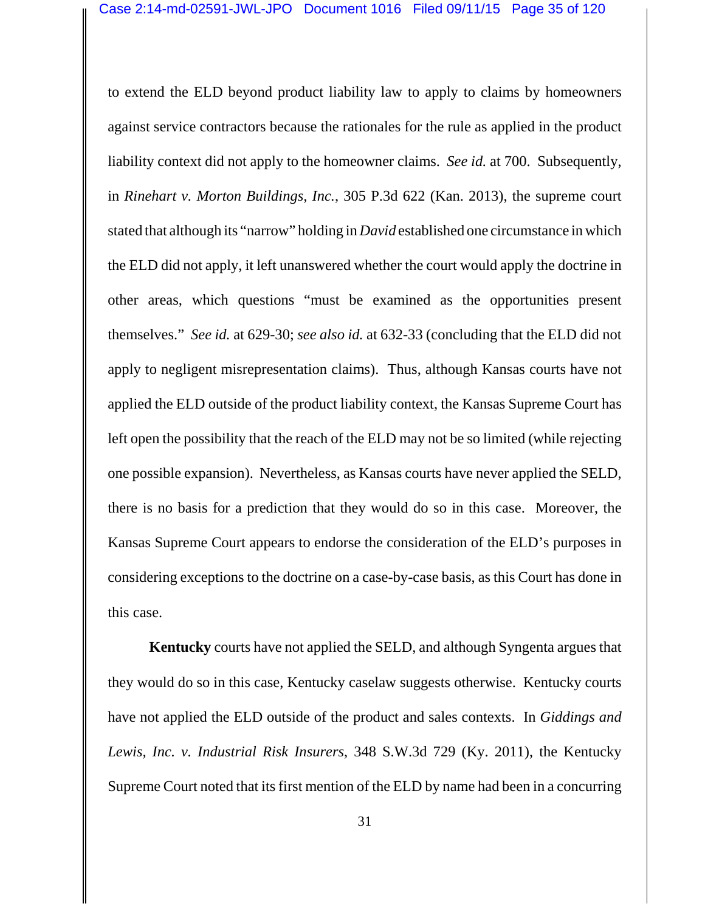to extend the ELD beyond product liability law to apply to claims by homeowners against service contractors because the rationales for the rule as applied in the product liability context did not apply to the homeowner claims. *See id.* at 700. Subsequently, in *Rinehart v. Morton Buildings, Inc.*, 305 P.3d 622 (Kan. 2013), the supreme court stated that although its "narrow" holding in *David* established one circumstance in which the ELD did not apply, it left unanswered whether the court would apply the doctrine in other areas, which questions "must be examined as the opportunities present themselves." *See id.* at 629-30; *see also id.* at 632-33 (concluding that the ELD did not apply to negligent misrepresentation claims). Thus, although Kansas courts have not applied the ELD outside of the product liability context, the Kansas Supreme Court has left open the possibility that the reach of the ELD may not be so limited (while rejecting one possible expansion). Nevertheless, as Kansas courts have never applied the SELD, there is no basis for a prediction that they would do so in this case. Moreover, the Kansas Supreme Court appears to endorse the consideration of the ELD's purposes in considering exceptions to the doctrine on a case-by-case basis, as this Court has done in this case.

**Kentucky** courts have not applied the SELD, and although Syngenta argues that they would do so in this case, Kentucky caselaw suggests otherwise. Kentucky courts have not applied the ELD outside of the product and sales contexts. In *Giddings and Lewis, Inc. v. Industrial Risk Insurers*, 348 S.W.3d 729 (Ky. 2011), the Kentucky Supreme Court noted that its first mention of the ELD by name had been in a concurring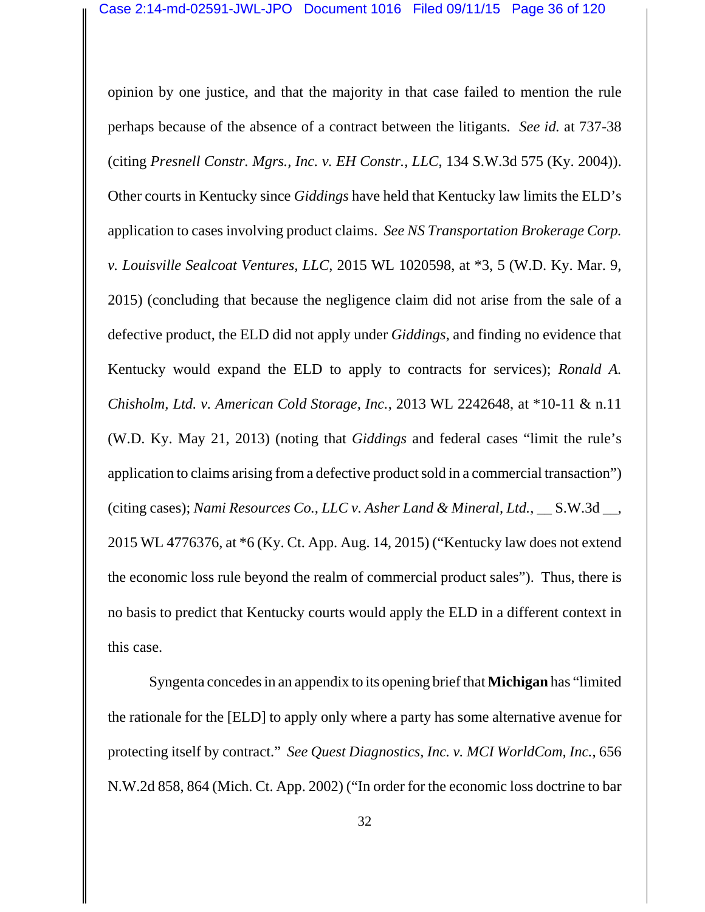opinion by one justice, and that the majority in that case failed to mention the rule perhaps because of the absence of a contract between the litigants. *See id.* at 737-38 (citing *Presnell Constr. Mgrs., Inc. v. EH Constr., LLC*, 134 S.W.3d 575 (Ky. 2004)). Other courts in Kentucky since *Giddings* have held that Kentucky law limits the ELD's application to cases involving product claims. *See NS Transportation Brokerage Corp. v. Louisville Sealcoat Ventures, LLC*, 2015 WL 1020598, at \*3, 5 (W.D. Ky. Mar. 9, 2015) (concluding that because the negligence claim did not arise from the sale of a defective product, the ELD did not apply under *Giddings*, and finding no evidence that Kentucky would expand the ELD to apply to contracts for services); *Ronald A. Chisholm, Ltd. v. American Cold Storage, Inc.*, 2013 WL 2242648, at \*10-11 & n.11 (W.D. Ky. May 21, 2013) (noting that *Giddings* and federal cases "limit the rule's application to claims arising from a defective product sold in a commercial transaction") (citing cases); *Nami Resources Co., LLC v. Asher Land & Mineral, Ltd.*, \_\_ S.W.3d \_\_, 2015 WL 4776376, at \*6 (Ky. Ct. App. Aug. 14, 2015) ("Kentucky law does not extend the economic loss rule beyond the realm of commercial product sales"). Thus, there is no basis to predict that Kentucky courts would apply the ELD in a different context in this case.

Syngenta concedes in an appendix to its opening brief that **Michigan** has "limited the rationale for the [ELD] to apply only where a party has some alternative avenue for protecting itself by contract." *See Quest Diagnostics, Inc. v. MCI WorldCom, Inc.*, 656 N.W.2d 858, 864 (Mich. Ct. App. 2002) ("In order for the economic loss doctrine to bar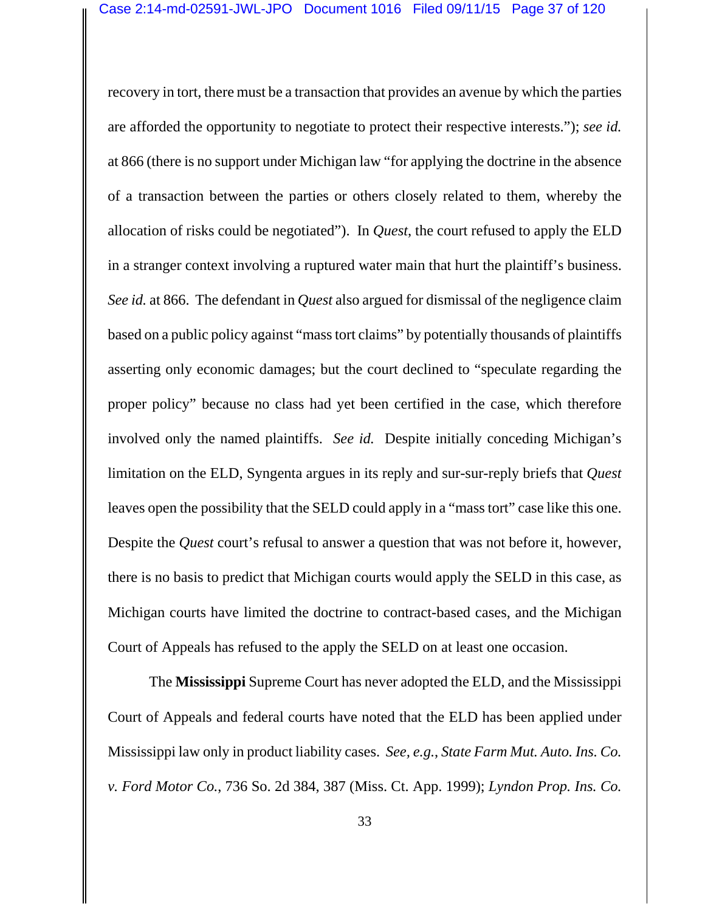recovery in tort, there must be a transaction that provides an avenue by which the parties are afforded the opportunity to negotiate to protect their respective interests."); *see id.* at 866 (there is no support under Michigan law "for applying the doctrine in the absence of a transaction between the parties or others closely related to them, whereby the allocation of risks could be negotiated"). In *Quest*, the court refused to apply the ELD in a stranger context involving a ruptured water main that hurt the plaintiff's business. *See id.* at 866. The defendant in *Quest* also argued for dismissal of the negligence claim based on a public policy against "mass tort claims" by potentially thousands of plaintiffs asserting only economic damages; but the court declined to "speculate regarding the proper policy" because no class had yet been certified in the case, which therefore involved only the named plaintiffs. *See id.* Despite initially conceding Michigan's limitation on the ELD, Syngenta argues in its reply and sur-sur-reply briefs that *Quest* leaves open the possibility that the SELD could apply in a "mass tort" case like this one. Despite the *Quest* court's refusal to answer a question that was not before it, however, there is no basis to predict that Michigan courts would apply the SELD in this case, as Michigan courts have limited the doctrine to contract-based cases, and the Michigan Court of Appeals has refused to the apply the SELD on at least one occasion.

The **Mississippi** Supreme Court has never adopted the ELD, and the Mississippi Court of Appeals and federal courts have noted that the ELD has been applied under Mississippi law only in product liability cases. *See, e.g.*, *State Farm Mut. Auto. Ins. Co. v. Ford Motor Co.*, 736 So. 2d 384, 387 (Miss. Ct. App. 1999); *Lyndon Prop. Ins. Co.*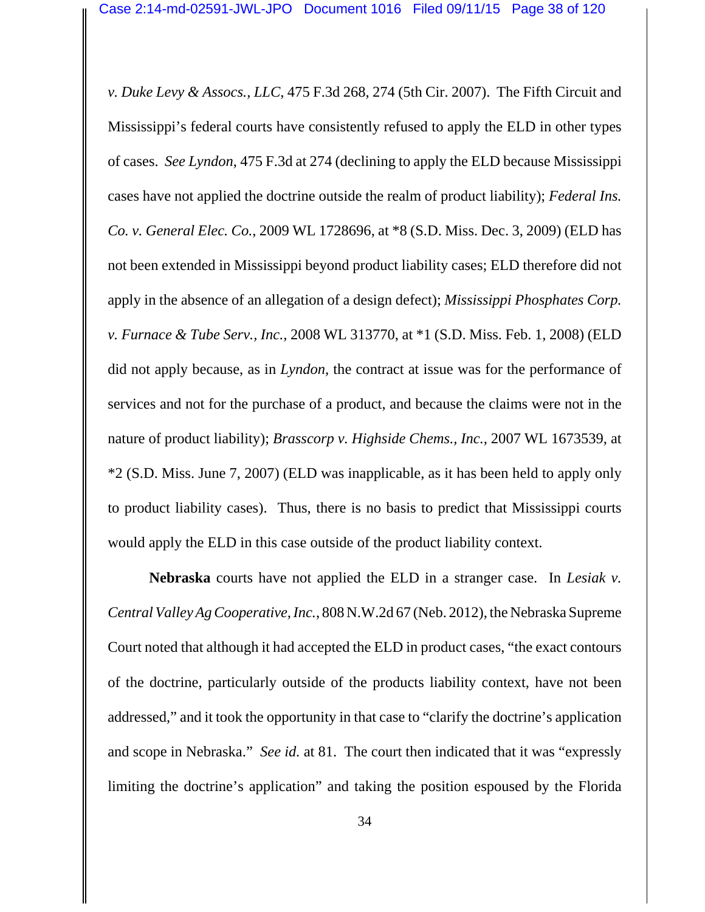*v. Duke Levy & Assocs., LLC*, 475 F.3d 268, 274 (5th Cir. 2007). The Fifth Circuit and Mississippi's federal courts have consistently refused to apply the ELD in other types of cases. *See Lyndon*, 475 F.3d at 274 (declining to apply the ELD because Mississippi cases have not applied the doctrine outside the realm of product liability); *Federal Ins. Co. v. General Elec. Co.*, 2009 WL 1728696, at \*8 (S.D. Miss. Dec. 3, 2009) (ELD has not been extended in Mississippi beyond product liability cases; ELD therefore did not apply in the absence of an allegation of a design defect); *Mississippi Phosphates Corp. v. Furnace & Tube Serv., Inc.*, 2008 WL 313770, at \*1 (S.D. Miss. Feb. 1, 2008) (ELD did not apply because, as in *Lyndon*, the contract at issue was for the performance of services and not for the purchase of a product, and because the claims were not in the nature of product liability); *Brasscorp v. Highside Chems., Inc.*, 2007 WL 1673539, at \*2 (S.D. Miss. June 7, 2007) (ELD was inapplicable, as it has been held to apply only to product liability cases). Thus, there is no basis to predict that Mississippi courts would apply the ELD in this case outside of the product liability context.

**Nebraska** courts have not applied the ELD in a stranger case. In *Lesiak v. Central Valley Ag Cooperative, Inc.*, 808 N.W.2d 67 (Neb. 2012), the Nebraska Supreme Court noted that although it had accepted the ELD in product cases, "the exact contours of the doctrine, particularly outside of the products liability context, have not been addressed," and it took the opportunity in that case to "clarify the doctrine's application and scope in Nebraska." *See id.* at 81. The court then indicated that it was "expressly limiting the doctrine's application" and taking the position espoused by the Florida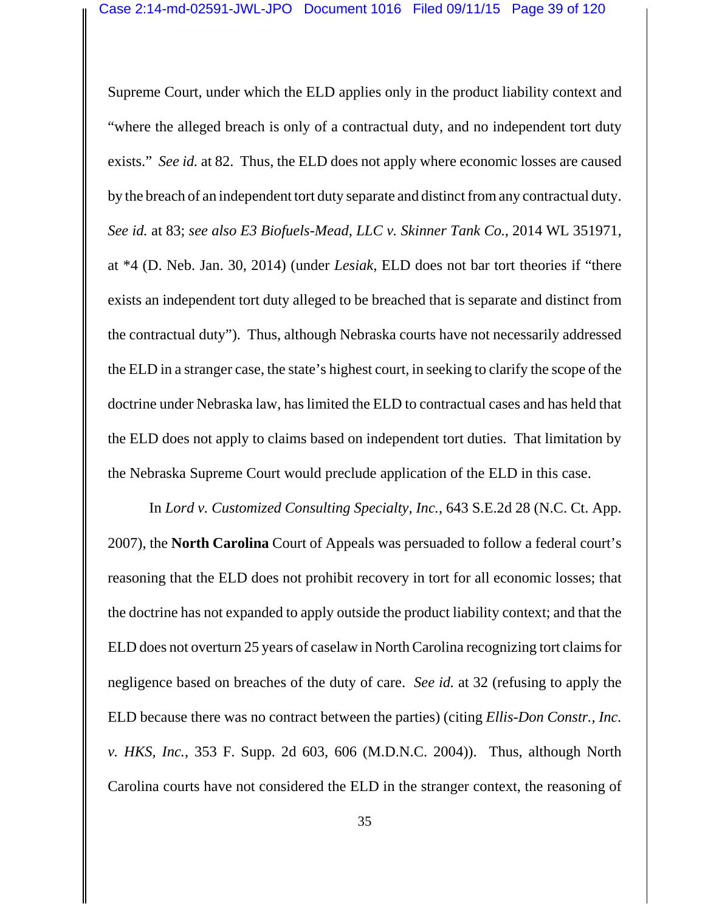Supreme Court, under which the ELD applies only in the product liability context and "where the alleged breach is only of a contractual duty, and no independent tort duty exists." *See id.* at 82. Thus, the ELD does not apply where economic losses are caused by the breach of an independent tort duty separate and distinct from any contractual duty. *See id.* at 83; *see also E3 Biofuels-Mead, LLC v. Skinner Tank Co.*, 2014 WL 351971, at \*4 (D. Neb. Jan. 30, 2014) (under *Lesiak*, ELD does not bar tort theories if "there exists an independent tort duty alleged to be breached that is separate and distinct from the contractual duty"). Thus, although Nebraska courts have not necessarily addressed the ELD in a stranger case, the state's highest court, in seeking to clarify the scope of the doctrine under Nebraska law, has limited the ELD to contractual cases and has held that the ELD does not apply to claims based on independent tort duties. That limitation by the Nebraska Supreme Court would preclude application of the ELD in this case.

In *Lord v. Customized Consulting Specialty, Inc.*, 643 S.E.2d 28 (N.C. Ct. App. 2007), the **North Carolina** Court of Appeals was persuaded to follow a federal court's reasoning that the ELD does not prohibit recovery in tort for all economic losses; that the doctrine has not expanded to apply outside the product liability context; and that the ELD does not overturn 25 years of caselaw in North Carolina recognizing tort claims for negligence based on breaches of the duty of care. *See id.* at 32 (refusing to apply the ELD because there was no contract between the parties) (citing *Ellis-Don Constr., Inc. v. HKS, Inc.*, 353 F. Supp. 2d 603, 606 (M.D.N.C. 2004)). Thus, although North Carolina courts have not considered the ELD in the stranger context, the reasoning of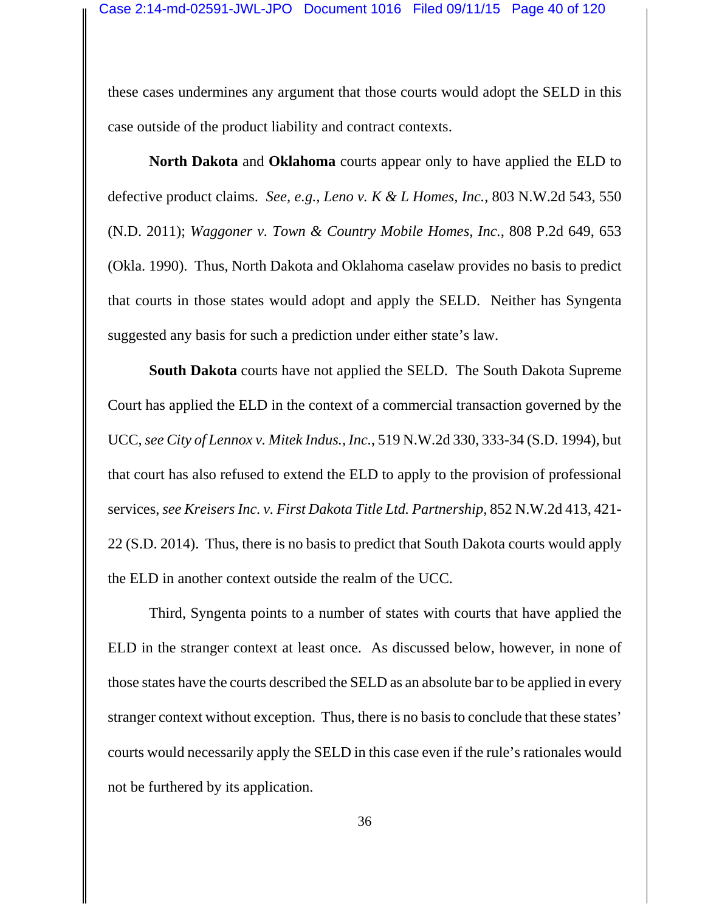these cases undermines any argument that those courts would adopt the SELD in this case outside of the product liability and contract contexts.

**North Dakota** and **Oklahoma** courts appear only to have applied the ELD to defective product claims. *See, e.g.*, *Leno v. K & L Homes, Inc.*, 803 N.W.2d 543, 550 (N.D. 2011); *Waggoner v. Town & Country Mobile Homes, Inc.*, 808 P.2d 649, 653 (Okla. 1990). Thus, North Dakota and Oklahoma caselaw provides no basis to predict that courts in those states would adopt and apply the SELD. Neither has Syngenta suggested any basis for such a prediction under either state's law.

**South Dakota** courts have not applied the SELD. The South Dakota Supreme Court has applied the ELD in the context of a commercial transaction governed by the UCC, *see City of Lennox v. Mitek Indus., Inc.*, 519 N.W.2d 330, 333-34 (S.D. 1994), but that court has also refused to extend the ELD to apply to the provision of professional services, *see Kreisers Inc. v. First Dakota Title Ltd. Partnership*, 852 N.W.2d 413, 421- 22 (S.D. 2014). Thus, there is no basis to predict that South Dakota courts would apply the ELD in another context outside the realm of the UCC.

Third, Syngenta points to a number of states with courts that have applied the ELD in the stranger context at least once. As discussed below, however, in none of those states have the courts described the SELD as an absolute bar to be applied in every stranger context without exception. Thus, there is no basis to conclude that these states' courts would necessarily apply the SELD in this case even if the rule's rationales would not be furthered by its application.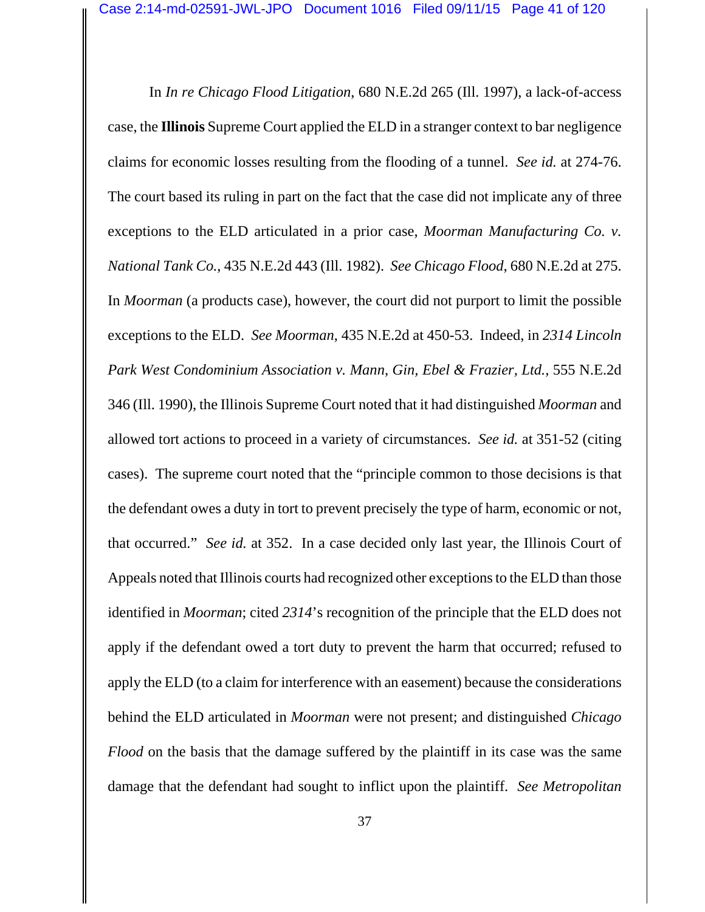In *In re Chicago Flood Litigation*, 680 N.E.2d 265 (Ill. 1997), a lack-of-access case, the **Illinois** Supreme Court applied the ELD in a stranger context to bar negligence claims for economic losses resulting from the flooding of a tunnel. *See id.* at 274-76. The court based its ruling in part on the fact that the case did not implicate any of three exceptions to the ELD articulated in a prior case, *Moorman Manufacturing Co. v. National Tank Co.*, 435 N.E.2d 443 (Ill. 1982). *See Chicago Flood*, 680 N.E.2d at 275. In *Moorman* (a products case), however, the court did not purport to limit the possible exceptions to the ELD. *See Moorman*, 435 N.E.2d at 450-53. Indeed, in *2314 Lincoln Park West Condominium Association v. Mann, Gin, Ebel & Frazier, Ltd.*, 555 N.E.2d 346 (Ill. 1990), the Illinois Supreme Court noted that it had distinguished *Moorman* and allowed tort actions to proceed in a variety of circumstances. *See id.* at 351-52 (citing cases). The supreme court noted that the "principle common to those decisions is that the defendant owes a duty in tort to prevent precisely the type of harm, economic or not, that occurred." *See id.* at 352. In a case decided only last year, the Illinois Court of Appeals noted that Illinois courts had recognized other exceptions to the ELD than those identified in *Moorman*; cited *2314*'s recognition of the principle that the ELD does not apply if the defendant owed a tort duty to prevent the harm that occurred; refused to apply the ELD (to a claim for interference with an easement) because the considerations behind the ELD articulated in *Moorman* were not present; and distinguished *Chicago Flood* on the basis that the damage suffered by the plaintiff in its case was the same damage that the defendant had sought to inflict upon the plaintiff. *See Metropolitan*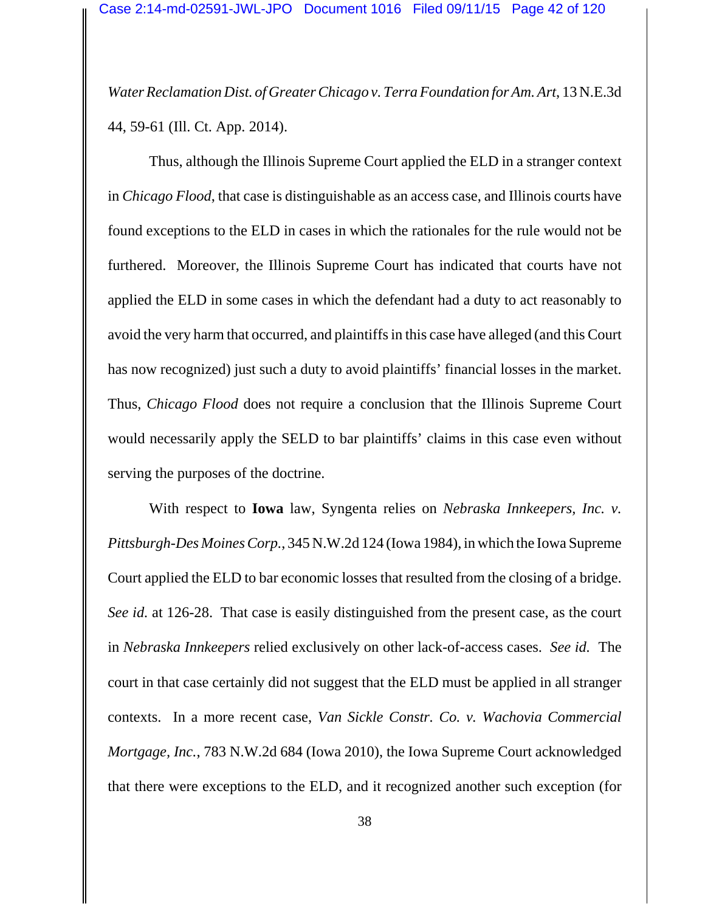*Water Reclamation Dist. of Greater Chicago v. Terra Foundation for Am. Art*, 13 N.E.3d 44, 59-61 (Ill. Ct. App. 2014).

Thus, although the Illinois Supreme Court applied the ELD in a stranger context in *Chicago Flood*, that case is distinguishable as an access case, and Illinois courts have found exceptions to the ELD in cases in which the rationales for the rule would not be furthered. Moreover, the Illinois Supreme Court has indicated that courts have not applied the ELD in some cases in which the defendant had a duty to act reasonably to avoid the very harm that occurred, and plaintiffs in this case have alleged (and this Court has now recognized) just such a duty to avoid plaintiffs' financial losses in the market. Thus, *Chicago Flood* does not require a conclusion that the Illinois Supreme Court would necessarily apply the SELD to bar plaintiffs' claims in this case even without serving the purposes of the doctrine.

With respect to **Iowa** law, Syngenta relies on *Nebraska Innkeepers, Inc. v. Pittsburgh-Des Moines Corp.*, 345 N.W.2d 124 (Iowa 1984), in which the Iowa Supreme Court applied the ELD to bar economic losses that resulted from the closing of a bridge. *See id.* at 126-28. That case is easily distinguished from the present case, as the court in *Nebraska Innkeepers* relied exclusively on other lack-of-access cases. *See id.* The court in that case certainly did not suggest that the ELD must be applied in all stranger contexts. In a more recent case, *Van Sickle Constr. Co. v. Wachovia Commercial Mortgage, Inc.*, 783 N.W.2d 684 (Iowa 2010), the Iowa Supreme Court acknowledged that there were exceptions to the ELD, and it recognized another such exception (for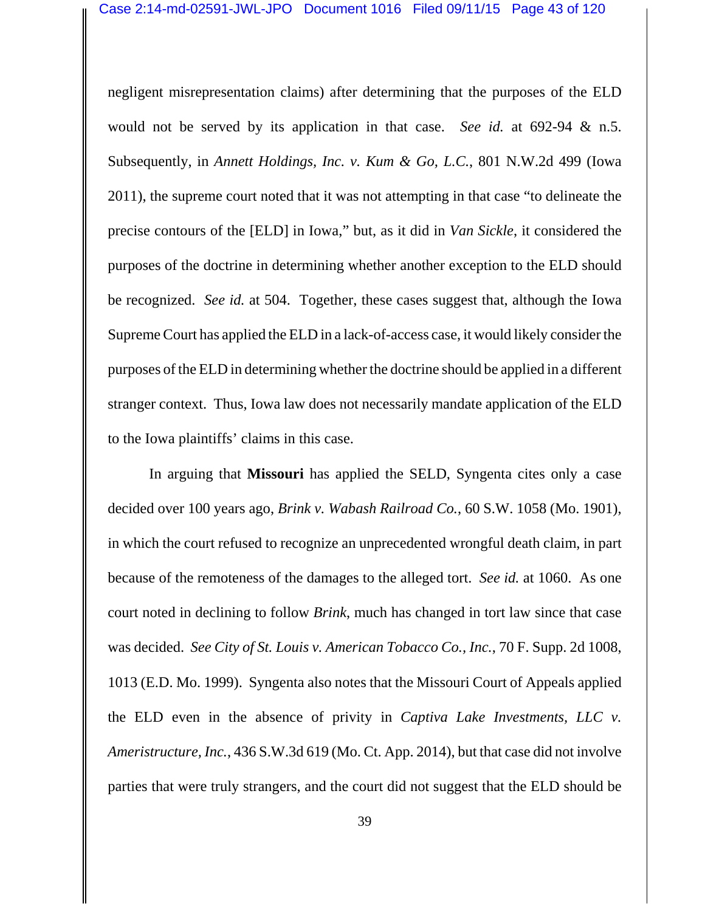negligent misrepresentation claims) after determining that the purposes of the ELD would not be served by its application in that case. *See id.* at 692-94 & n.5. Subsequently, in *Annett Holdings, Inc. v. Kum & Go, L.C.*, 801 N.W.2d 499 (Iowa 2011), the supreme court noted that it was not attempting in that case "to delineate the precise contours of the [ELD] in Iowa," but, as it did in *Van Sickle*, it considered the purposes of the doctrine in determining whether another exception to the ELD should be recognized. *See id.* at 504. Together, these cases suggest that, although the Iowa Supreme Court has applied the ELD in a lack-of-access case, it would likely consider the purposes of the ELD in determining whether the doctrine should be applied in a different stranger context. Thus, Iowa law does not necessarily mandate application of the ELD to the Iowa plaintiffs' claims in this case.

In arguing that **Missouri** has applied the SELD, Syngenta cites only a case decided over 100 years ago, *Brink v. Wabash Railroad Co.*, 60 S.W. 1058 (Mo. 1901), in which the court refused to recognize an unprecedented wrongful death claim, in part because of the remoteness of the damages to the alleged tort. *See id.* at 1060. As one court noted in declining to follow *Brink*, much has changed in tort law since that case was decided. *See City of St. Louis v. American Tobacco Co., Inc.*, 70 F. Supp. 2d 1008, 1013 (E.D. Mo. 1999). Syngenta also notes that the Missouri Court of Appeals applied the ELD even in the absence of privity in *Captiva Lake Investments, LLC v. Ameristructure, Inc.*, 436 S.W.3d 619 (Mo. Ct. App. 2014), but that case did not involve parties that were truly strangers, and the court did not suggest that the ELD should be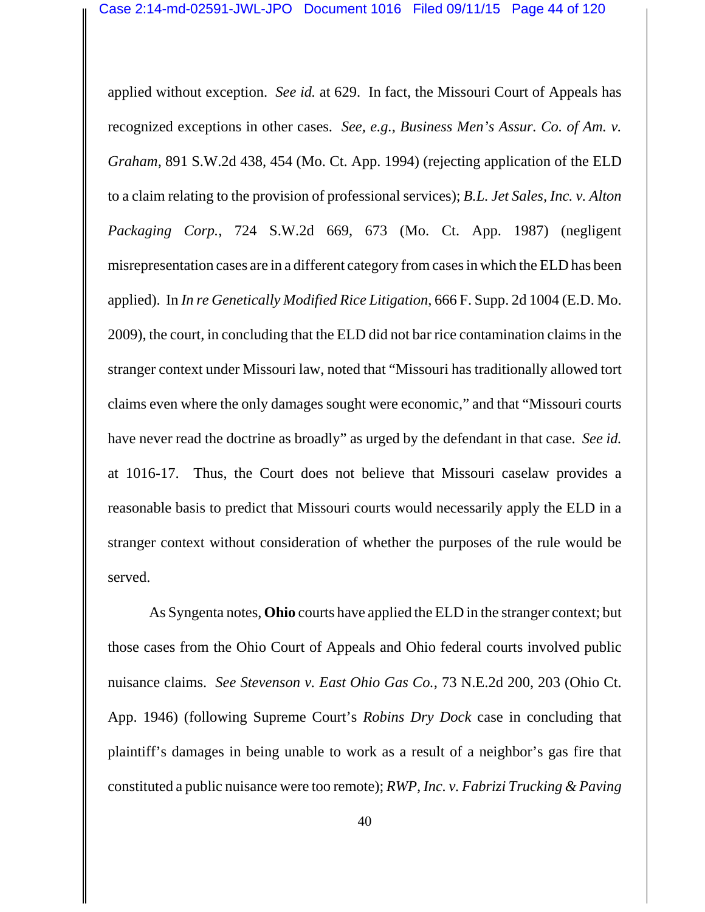applied without exception. *See id.* at 629. In fact, the Missouri Court of Appeals has recognized exceptions in other cases. *See, e.g.*, *Business Men's Assur. Co. of Am. v. Graham*, 891 S.W.2d 438, 454 (Mo. Ct. App. 1994) (rejecting application of the ELD to a claim relating to the provision of professional services); *B.L. Jet Sales, Inc. v. Alton Packaging Corp.*, 724 S.W.2d 669, 673 (Mo. Ct. App. 1987) (negligent misrepresentation cases are in a different category from cases in which the ELD has been applied). In *In re Genetically Modified Rice Litigation*, 666 F. Supp. 2d 1004 (E.D. Mo. 2009), the court, in concluding that the ELD did not bar rice contamination claims in the stranger context under Missouri law, noted that "Missouri has traditionally allowed tort claims even where the only damages sought were economic," and that "Missouri courts have never read the doctrine as broadly" as urged by the defendant in that case. *See id.* at 1016-17. Thus, the Court does not believe that Missouri caselaw provides a reasonable basis to predict that Missouri courts would necessarily apply the ELD in a stranger context without consideration of whether the purposes of the rule would be served.

As Syngenta notes, **Ohio** courts have applied the ELD in the stranger context; but those cases from the Ohio Court of Appeals and Ohio federal courts involved public nuisance claims. *See Stevenson v. East Ohio Gas Co.*, 73 N.E.2d 200, 203 (Ohio Ct. App. 1946) (following Supreme Court's *Robins Dry Dock* case in concluding that plaintiff's damages in being unable to work as a result of a neighbor's gas fire that constituted a public nuisance were too remote); *RWP, Inc. v. Fabrizi Trucking & Paving*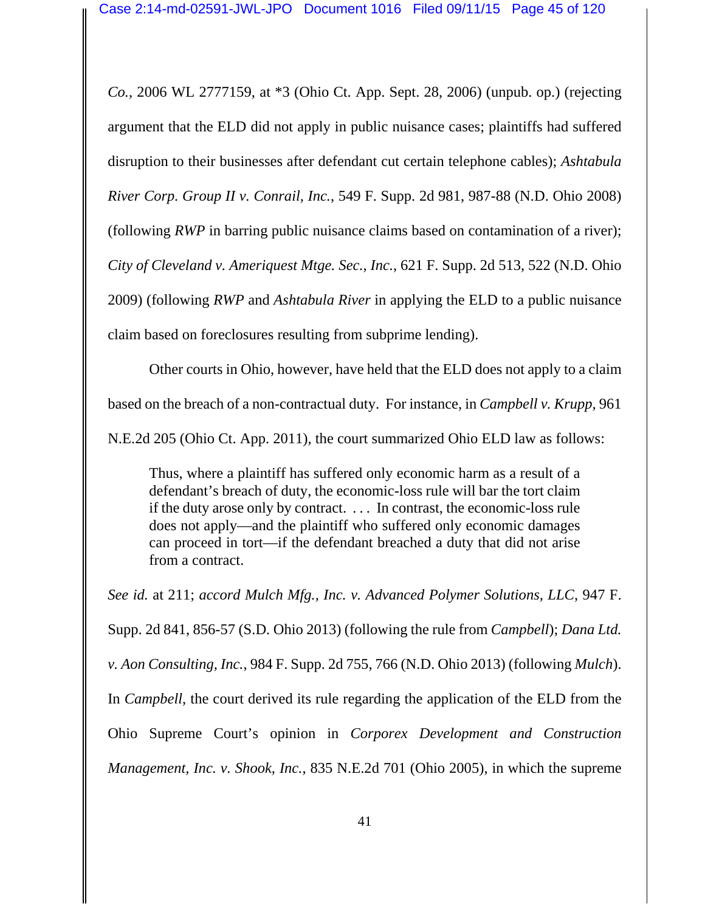*Co.*, 2006 WL 2777159, at \*3 (Ohio Ct. App. Sept. 28, 2006) (unpub. op.) (rejecting argument that the ELD did not apply in public nuisance cases; plaintiffs had suffered disruption to their businesses after defendant cut certain telephone cables); *Ashtabula River Corp. Group II v. Conrail, Inc.*, 549 F. Supp. 2d 981, 987-88 (N.D. Ohio 2008) (following *RWP* in barring public nuisance claims based on contamination of a river); *City of Cleveland v. Ameriquest Mtge. Sec., Inc.*, 621 F. Supp. 2d 513, 522 (N.D. Ohio 2009) (following *RWP* and *Ashtabula River* in applying the ELD to a public nuisance claim based on foreclosures resulting from subprime lending).

Other courts in Ohio, however, have held that the ELD does not apply to a claim based on the breach of a non-contractual duty. For instance, in *Campbell v. Krupp*, 961 N.E.2d 205 (Ohio Ct. App. 2011), the court summarized Ohio ELD law as follows:

Thus, where a plaintiff has suffered only economic harm as a result of a defendant's breach of duty, the economic-loss rule will bar the tort claim if the duty arose only by contract. . . . In contrast, the economic-loss rule does not apply—and the plaintiff who suffered only economic damages can proceed in tort—if the defendant breached a duty that did not arise from a contract.

*See id.* at 211; *accord Mulch Mfg., Inc. v. Advanced Polymer Solutions, LLC*, 947 F. Supp. 2d 841, 856-57 (S.D. Ohio 2013) (following the rule from *Campbell*); *Dana Ltd. v. Aon Consulting, Inc.*, 984 F. Supp. 2d 755, 766 (N.D. Ohio 2013) (following *Mulch*). In *Campbell*, the court derived its rule regarding the application of the ELD from the Ohio Supreme Court's opinion in *Corporex Development and Construction Management, Inc. v. Shook, Inc.*, 835 N.E.2d 701 (Ohio 2005), in which the supreme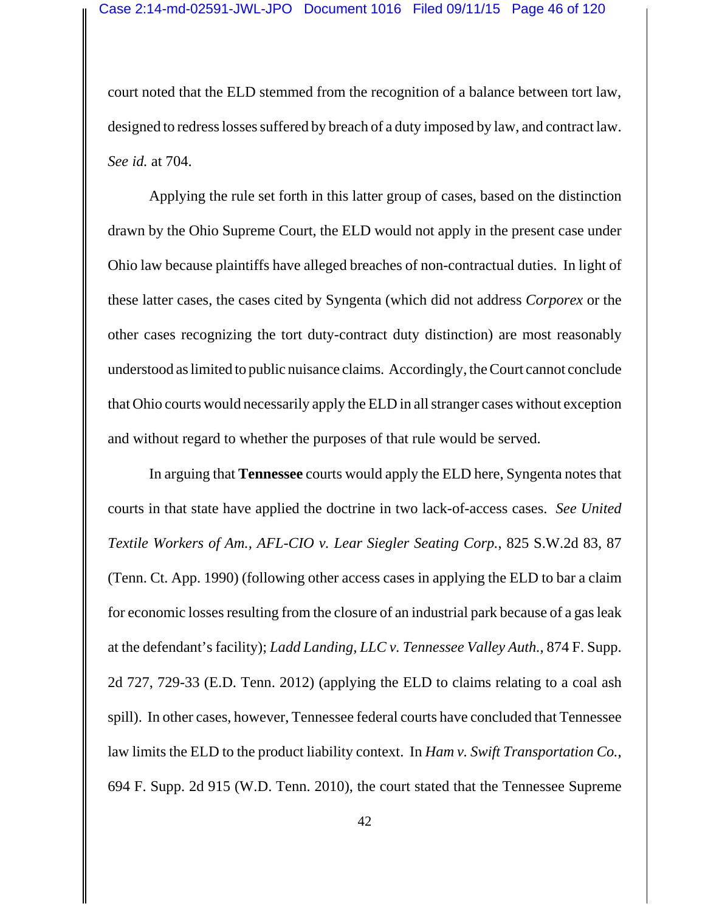court noted that the ELD stemmed from the recognition of a balance between tort law, designed to redress losses suffered by breach of a duty imposed by law, and contract law. *See id.* at 704.

Applying the rule set forth in this latter group of cases, based on the distinction drawn by the Ohio Supreme Court, the ELD would not apply in the present case under Ohio law because plaintiffs have alleged breaches of non-contractual duties. In light of these latter cases, the cases cited by Syngenta (which did not address *Corporex* or the other cases recognizing the tort duty-contract duty distinction) are most reasonably understood as limited to public nuisance claims. Accordingly, the Court cannot conclude that Ohio courts would necessarily apply the ELD in all stranger cases without exception and without regard to whether the purposes of that rule would be served.

In arguing that **Tennessee** courts would apply the ELD here, Syngenta notes that courts in that state have applied the doctrine in two lack-of-access cases. *See United Textile Workers of Am., AFL-CIO v. Lear Siegler Seating Corp.*, 825 S.W.2d 83, 87 (Tenn. Ct. App. 1990) (following other access cases in applying the ELD to bar a claim for economic losses resulting from the closure of an industrial park because of a gas leak at the defendant's facility); *Ladd Landing, LLC v. Tennessee Valley Auth.*, 874 F. Supp. 2d 727, 729-33 (E.D. Tenn. 2012) (applying the ELD to claims relating to a coal ash spill). In other cases, however, Tennessee federal courts have concluded that Tennessee law limits the ELD to the product liability context. In *Ham v. Swift Transportation Co.*, 694 F. Supp. 2d 915 (W.D. Tenn. 2010), the court stated that the Tennessee Supreme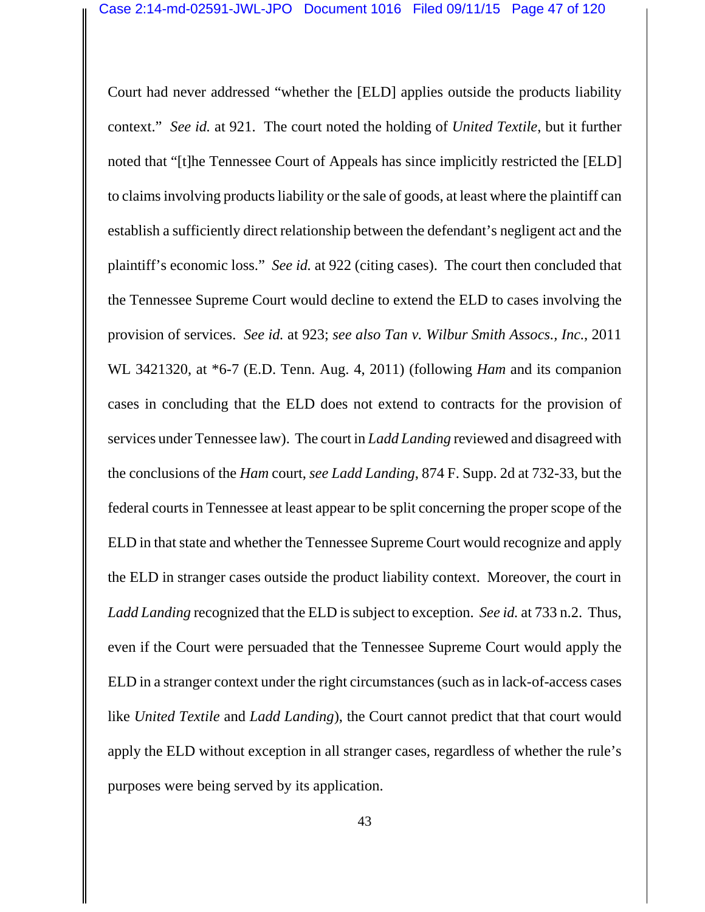Court had never addressed "whether the [ELD] applies outside the products liability context." *See id.* at 921. The court noted the holding of *United Textile*, but it further noted that "[t]he Tennessee Court of Appeals has since implicitly restricted the [ELD] to claims involving products liability or the sale of goods, at least where the plaintiff can establish a sufficiently direct relationship between the defendant's negligent act and the plaintiff's economic loss." *See id.* at 922 (citing cases). The court then concluded that the Tennessee Supreme Court would decline to extend the ELD to cases involving the provision of services. *See id.* at 923; *see also Tan v. Wilbur Smith Assocs., Inc.*, 2011 WL 3421320, at \*6-7 (E.D. Tenn. Aug. 4, 2011) (following *Ham* and its companion cases in concluding that the ELD does not extend to contracts for the provision of services under Tennessee law). The court in *Ladd Landing* reviewed and disagreed with the conclusions of the *Ham* court, *see Ladd Landing*, 874 F. Supp. 2d at 732-33, but the federal courts in Tennessee at least appear to be split concerning the proper scope of the ELD in that state and whether the Tennessee Supreme Court would recognize and apply the ELD in stranger cases outside the product liability context. Moreover, the court in *Ladd Landing* recognized that the ELD is subject to exception. *See id.* at 733 n.2. Thus, even if the Court were persuaded that the Tennessee Supreme Court would apply the ELD in a stranger context under the right circumstances (such as in lack-of-access cases like *United Textile* and *Ladd Landing*), the Court cannot predict that that court would apply the ELD without exception in all stranger cases, regardless of whether the rule's purposes were being served by its application.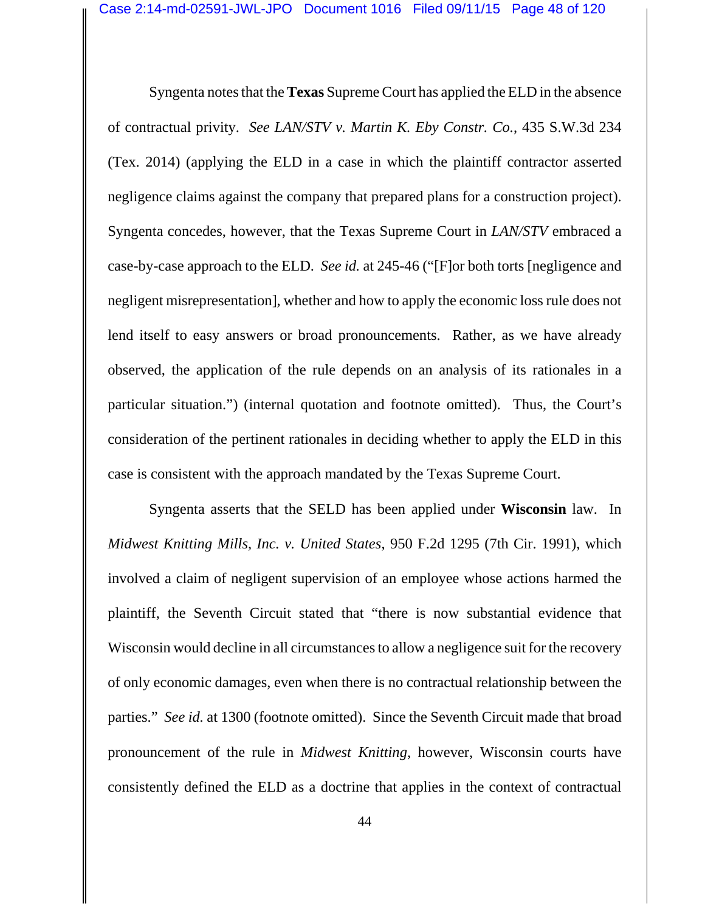Syngenta notes that the **Texas** Supreme Court has applied the ELD in the absence of contractual privity. *See LAN/STV v. Martin K. Eby Constr. Co.*, 435 S.W.3d 234 (Tex. 2014) (applying the ELD in a case in which the plaintiff contractor asserted negligence claims against the company that prepared plans for a construction project). Syngenta concedes, however, that the Texas Supreme Court in *LAN/STV* embraced a case-by-case approach to the ELD. *See id.* at 245-46 ("[F]or both torts [negligence and negligent misrepresentation], whether and how to apply the economic loss rule does not lend itself to easy answers or broad pronouncements. Rather, as we have already observed, the application of the rule depends on an analysis of its rationales in a particular situation.") (internal quotation and footnote omitted). Thus, the Court's consideration of the pertinent rationales in deciding whether to apply the ELD in this case is consistent with the approach mandated by the Texas Supreme Court.

Syngenta asserts that the SELD has been applied under **Wisconsin** law. In *Midwest Knitting Mills, Inc. v. United States*, 950 F.2d 1295 (7th Cir. 1991), which involved a claim of negligent supervision of an employee whose actions harmed the plaintiff, the Seventh Circuit stated that "there is now substantial evidence that Wisconsin would decline in all circumstances to allow a negligence suit for the recovery of only economic damages, even when there is no contractual relationship between the parties." *See id.* at 1300 (footnote omitted). Since the Seventh Circuit made that broad pronouncement of the rule in *Midwest Knitting*, however, Wisconsin courts have consistently defined the ELD as a doctrine that applies in the context of contractual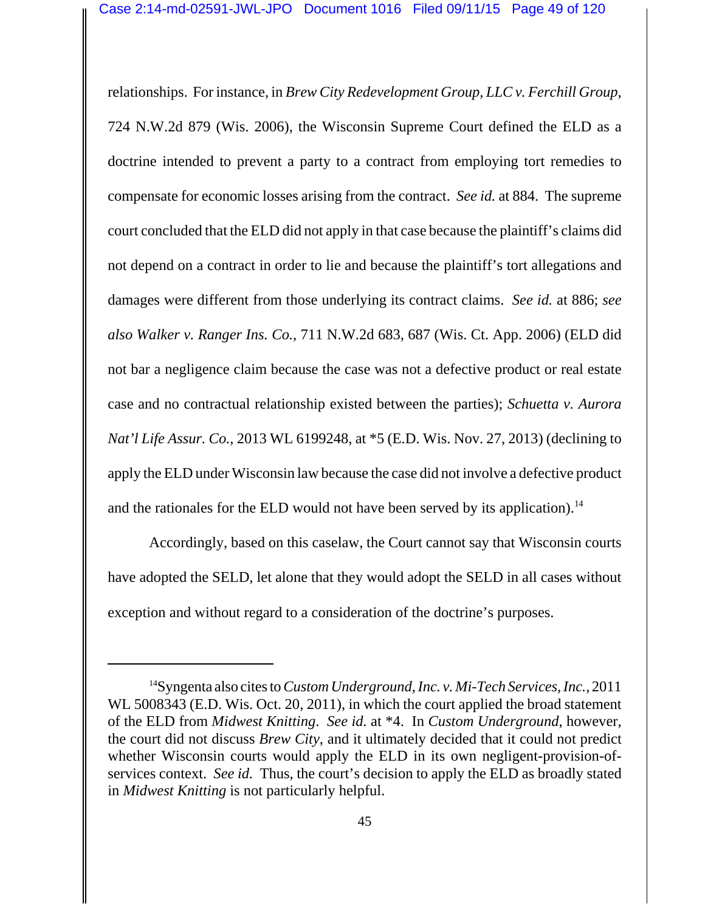relationships. For instance, in *Brew City Redevelopment Group, LLC v. Ferchill Group*, 724 N.W.2d 879 (Wis. 2006), the Wisconsin Supreme Court defined the ELD as a doctrine intended to prevent a party to a contract from employing tort remedies to compensate for economic losses arising from the contract. *See id.* at 884. The supreme court concluded that the ELD did not apply in that case because the plaintiff's claims did not depend on a contract in order to lie and because the plaintiff's tort allegations and damages were different from those underlying its contract claims. *See id.* at 886; *see also Walker v. Ranger Ins. Co.*, 711 N.W.2d 683, 687 (Wis. Ct. App. 2006) (ELD did not bar a negligence claim because the case was not a defective product or real estate case and no contractual relationship existed between the parties); *Schuetta v. Aurora Nat'l Life Assur. Co.*, 2013 WL 6199248, at \*5 (E.D. Wis. Nov. 27, 2013) (declining to apply the ELD under Wisconsin law because the case did not involve a defective product and the rationales for the ELD would not have been served by its application).<sup>14</sup>

Accordingly, based on this caselaw, the Court cannot say that Wisconsin courts have adopted the SELD, let alone that they would adopt the SELD in all cases without exception and without regard to a consideration of the doctrine's purposes.

<sup>14</sup>Syngenta also cites to *Custom Underground, Inc. v. Mi-Tech Services, Inc.*, 2011 WL 5008343 (E.D. Wis. Oct. 20, 2011), in which the court applied the broad statement of the ELD from *Midwest Knitting*. *See id.* at \*4. In *Custom Underground*, however, the court did not discuss *Brew City*, and it ultimately decided that it could not predict whether Wisconsin courts would apply the ELD in its own negligent-provision-ofservices context. *See id.* Thus, the court's decision to apply the ELD as broadly stated in *Midwest Knitting* is not particularly helpful.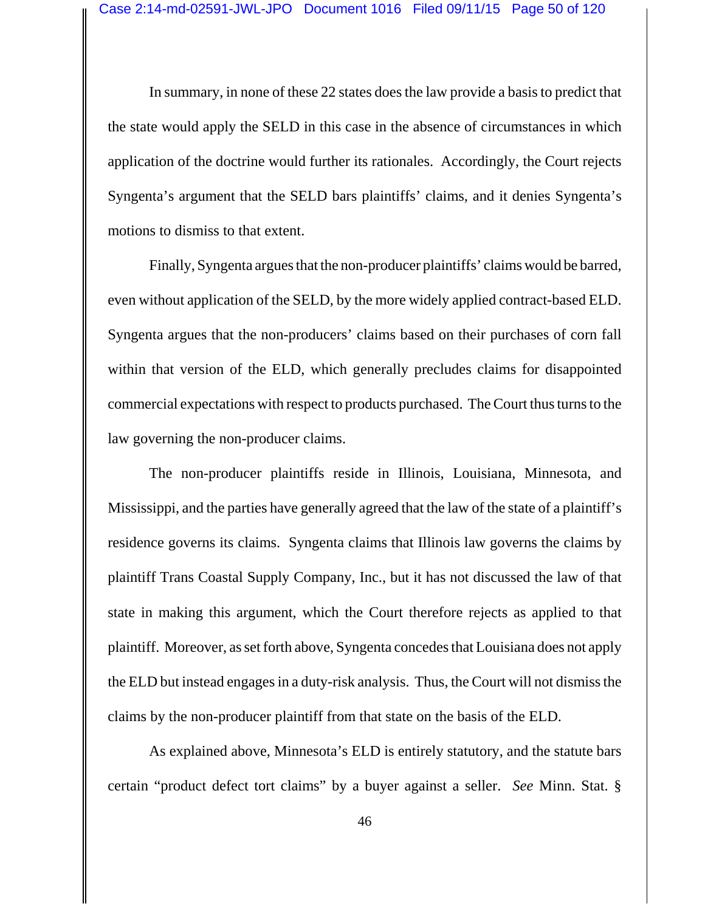In summary, in none of these 22 states does the law provide a basis to predict that the state would apply the SELD in this case in the absence of circumstances in which application of the doctrine would further its rationales. Accordingly, the Court rejects Syngenta's argument that the SELD bars plaintiffs' claims, and it denies Syngenta's motions to dismiss to that extent.

Finally, Syngenta argues that the non-producer plaintiffs' claims would be barred, even without application of the SELD, by the more widely applied contract-based ELD. Syngenta argues that the non-producers' claims based on their purchases of corn fall within that version of the ELD, which generally precludes claims for disappointed commercial expectations with respect to products purchased. The Court thus turns to the law governing the non-producer claims.

The non-producer plaintiffs reside in Illinois, Louisiana, Minnesota, and Mississippi, and the parties have generally agreed that the law of the state of a plaintiff's residence governs its claims. Syngenta claims that Illinois law governs the claims by plaintiff Trans Coastal Supply Company, Inc., but it has not discussed the law of that state in making this argument, which the Court therefore rejects as applied to that plaintiff. Moreover, as set forth above, Syngenta concedes that Louisiana does not apply the ELD but instead engages in a duty-risk analysis. Thus, the Court will not dismiss the claims by the non-producer plaintiff from that state on the basis of the ELD.

As explained above, Minnesota's ELD is entirely statutory, and the statute bars certain "product defect tort claims" by a buyer against a seller. *See* Minn. Stat. §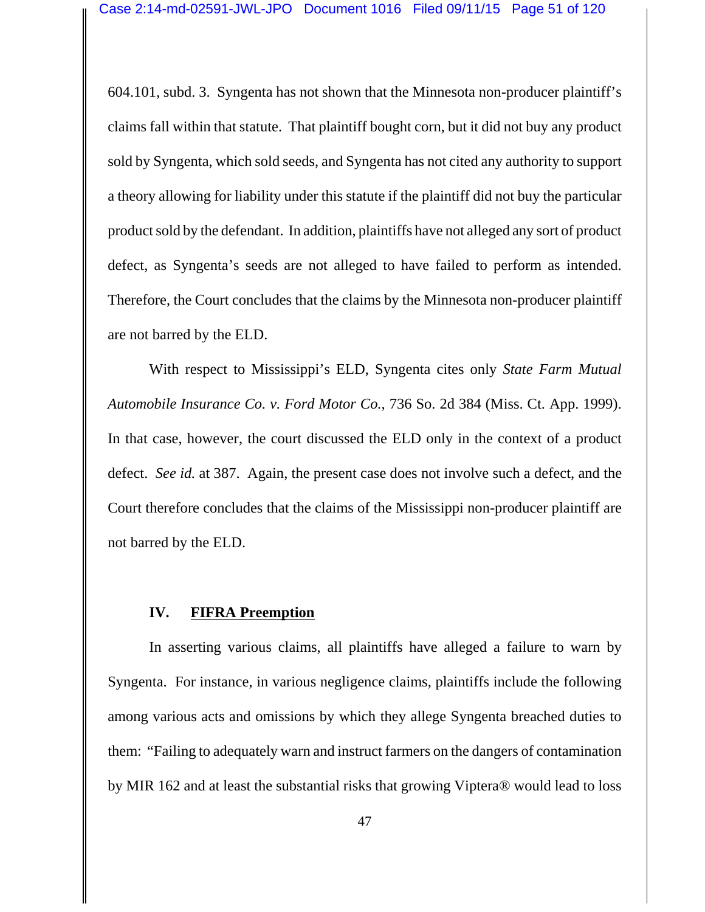604.101, subd. 3. Syngenta has not shown that the Minnesota non-producer plaintiff's claims fall within that statute. That plaintiff bought corn, but it did not buy any product sold by Syngenta, which sold seeds, and Syngenta has not cited any authority to support a theory allowing for liability under this statute if the plaintiff did not buy the particular product sold by the defendant. In addition, plaintiffs have not alleged any sort of product defect, as Syngenta's seeds are not alleged to have failed to perform as intended. Therefore, the Court concludes that the claims by the Minnesota non-producer plaintiff are not barred by the ELD.

With respect to Mississippi's ELD, Syngenta cites only *State Farm Mutual Automobile Insurance Co. v. Ford Motor Co.*, 736 So. 2d 384 (Miss. Ct. App. 1999). In that case, however, the court discussed the ELD only in the context of a product defect. *See id.* at 387. Again, the present case does not involve such a defect, and the Court therefore concludes that the claims of the Mississippi non-producer plaintiff are not barred by the ELD.

# **IV. FIFRA Preemption**

In asserting various claims, all plaintiffs have alleged a failure to warn by Syngenta. For instance, in various negligence claims, plaintiffs include the following among various acts and omissions by which they allege Syngenta breached duties to them: "Failing to adequately warn and instruct farmers on the dangers of contamination by MIR 162 and at least the substantial risks that growing Viptera® would lead to loss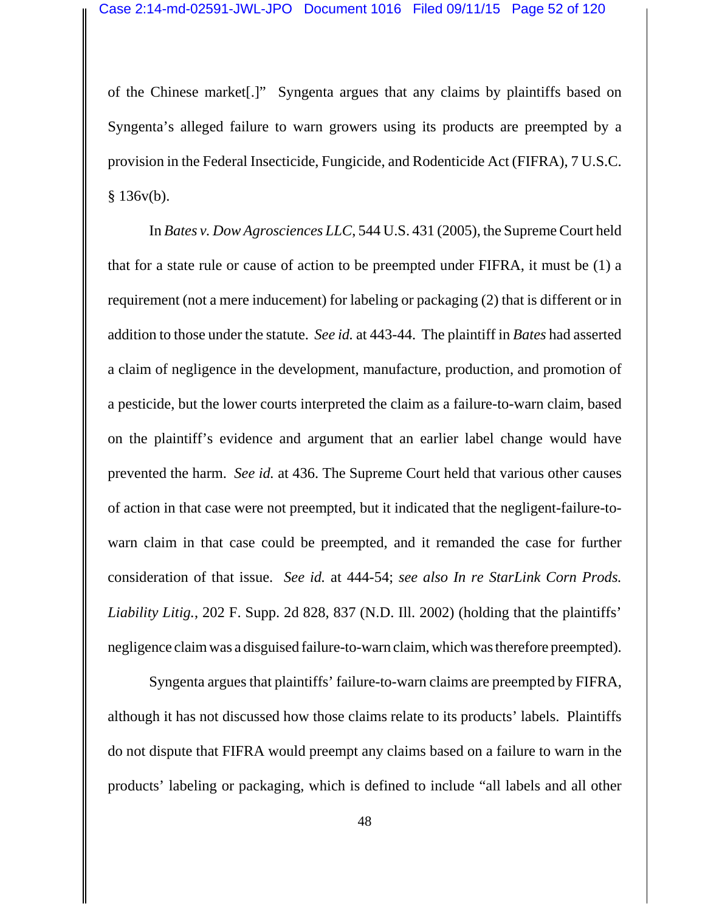of the Chinese market[.]" Syngenta argues that any claims by plaintiffs based on Syngenta's alleged failure to warn growers using its products are preempted by a provision in the Federal Insecticide, Fungicide, and Rodenticide Act (FIFRA), 7 U.S.C.  $§ 136v(b).$ 

In *Bates v. Dow Agrosciences LLC*, 544 U.S. 431 (2005), the Supreme Court held that for a state rule or cause of action to be preempted under FIFRA, it must be (1) a requirement (not a mere inducement) for labeling or packaging (2) that is different or in addition to those under the statute. *See id.* at 443-44. The plaintiff in *Bates* had asserted a claim of negligence in the development, manufacture, production, and promotion of a pesticide, but the lower courts interpreted the claim as a failure-to-warn claim, based on the plaintiff's evidence and argument that an earlier label change would have prevented the harm. *See id.* at 436. The Supreme Court held that various other causes of action in that case were not preempted, but it indicated that the negligent-failure-towarn claim in that case could be preempted, and it remanded the case for further consideration of that issue. *See id.* at 444-54; *see also In re StarLink Corn Prods. Liability Litig.*, 202 F. Supp. 2d 828, 837 (N.D. Ill. 2002) (holding that the plaintiffs' negligence claim was a disguised failure-to-warn claim, which was therefore preempted).

Syngenta argues that plaintiffs' failure-to-warn claims are preempted by FIFRA, although it has not discussed how those claims relate to its products' labels. Plaintiffs do not dispute that FIFRA would preempt any claims based on a failure to warn in the products' labeling or packaging, which is defined to include "all labels and all other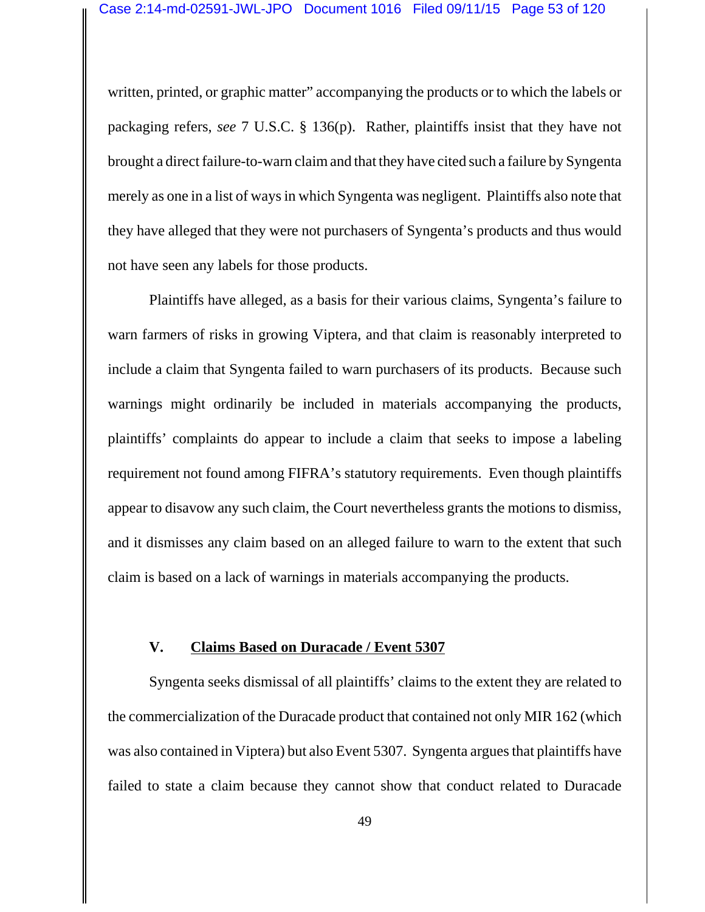written, printed, or graphic matter" accompanying the products or to which the labels or packaging refers, *see* 7 U.S.C. § 136(p). Rather, plaintiffs insist that they have not brought a direct failure-to-warn claim and that they have cited such a failure by Syngenta merely as one in a list of ways in which Syngenta was negligent. Plaintiffs also note that they have alleged that they were not purchasers of Syngenta's products and thus would not have seen any labels for those products.

Plaintiffs have alleged, as a basis for their various claims, Syngenta's failure to warn farmers of risks in growing Viptera, and that claim is reasonably interpreted to include a claim that Syngenta failed to warn purchasers of its products. Because such warnings might ordinarily be included in materials accompanying the products, plaintiffs' complaints do appear to include a claim that seeks to impose a labeling requirement not found among FIFRA's statutory requirements. Even though plaintiffs appear to disavow any such claim, the Court nevertheless grants the motions to dismiss, and it dismisses any claim based on an alleged failure to warn to the extent that such claim is based on a lack of warnings in materials accompanying the products.

# **V. Claims Based on Duracade / Event 5307**

Syngenta seeks dismissal of all plaintiffs' claims to the extent they are related to the commercialization of the Duracade product that contained not only MIR 162 (which was also contained in Viptera) but also Event 5307. Syngenta argues that plaintiffs have failed to state a claim because they cannot show that conduct related to Duracade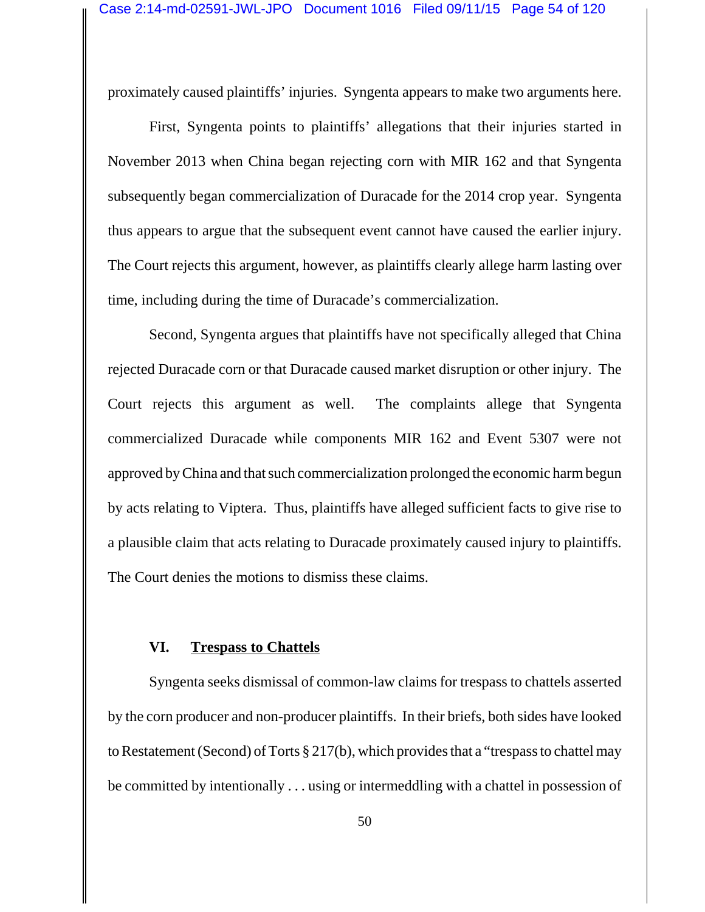proximately caused plaintiffs' injuries. Syngenta appears to make two arguments here.

First, Syngenta points to plaintiffs' allegations that their injuries started in November 2013 when China began rejecting corn with MIR 162 and that Syngenta subsequently began commercialization of Duracade for the 2014 crop year. Syngenta thus appears to argue that the subsequent event cannot have caused the earlier injury. The Court rejects this argument, however, as plaintiffs clearly allege harm lasting over time, including during the time of Duracade's commercialization.

Second, Syngenta argues that plaintiffs have not specifically alleged that China rejected Duracade corn or that Duracade caused market disruption or other injury. The Court rejects this argument as well. The complaints allege that Syngenta commercialized Duracade while components MIR 162 and Event 5307 were not approved by China and that such commercialization prolonged the economic harm begun by acts relating to Viptera. Thus, plaintiffs have alleged sufficient facts to give rise to a plausible claim that acts relating to Duracade proximately caused injury to plaintiffs. The Court denies the motions to dismiss these claims.

### **VI. Trespass to Chattels**

Syngenta seeks dismissal of common-law claims for trespass to chattels asserted by the corn producer and non-producer plaintiffs. In their briefs, both sides have looked to Restatement (Second) of Torts § 217(b), which provides that a "trespass to chattel may be committed by intentionally . . . using or intermeddling with a chattel in possession of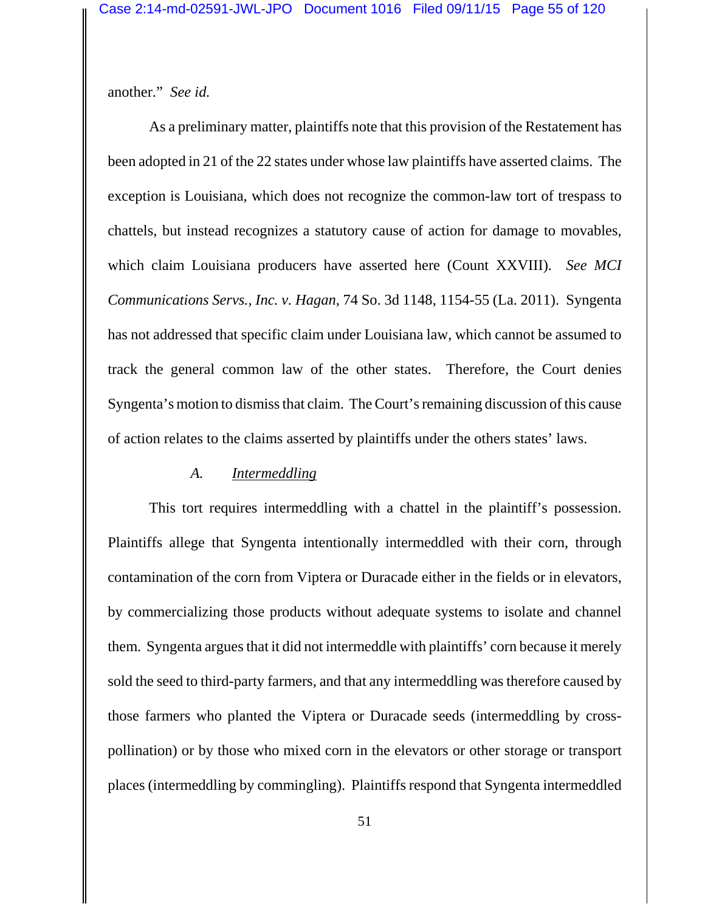another." *See id.*

As a preliminary matter, plaintiffs note that this provision of the Restatement has been adopted in 21 of the 22 states under whose law plaintiffs have asserted claims. The exception is Louisiana, which does not recognize the common-law tort of trespass to chattels, but instead recognizes a statutory cause of action for damage to movables, which claim Louisiana producers have asserted here (Count XXVIII). *See MCI Communications Servs., Inc. v. Hagan*, 74 So. 3d 1148, 1154-55 (La. 2011). Syngenta has not addressed that specific claim under Louisiana law, which cannot be assumed to track the general common law of the other states. Therefore, the Court denies Syngenta's motion to dismiss that claim. The Court's remaining discussion of this cause of action relates to the claims asserted by plaintiffs under the others states' laws.

#### *A. Intermeddling*

This tort requires intermeddling with a chattel in the plaintiff's possession. Plaintiffs allege that Syngenta intentionally intermeddled with their corn, through contamination of the corn from Viptera or Duracade either in the fields or in elevators, by commercializing those products without adequate systems to isolate and channel them. Syngenta argues that it did not intermeddle with plaintiffs' corn because it merely sold the seed to third-party farmers, and that any intermeddling was therefore caused by those farmers who planted the Viptera or Duracade seeds (intermeddling by crosspollination) or by those who mixed corn in the elevators or other storage or transport places (intermeddling by commingling). Plaintiffs respond that Syngenta intermeddled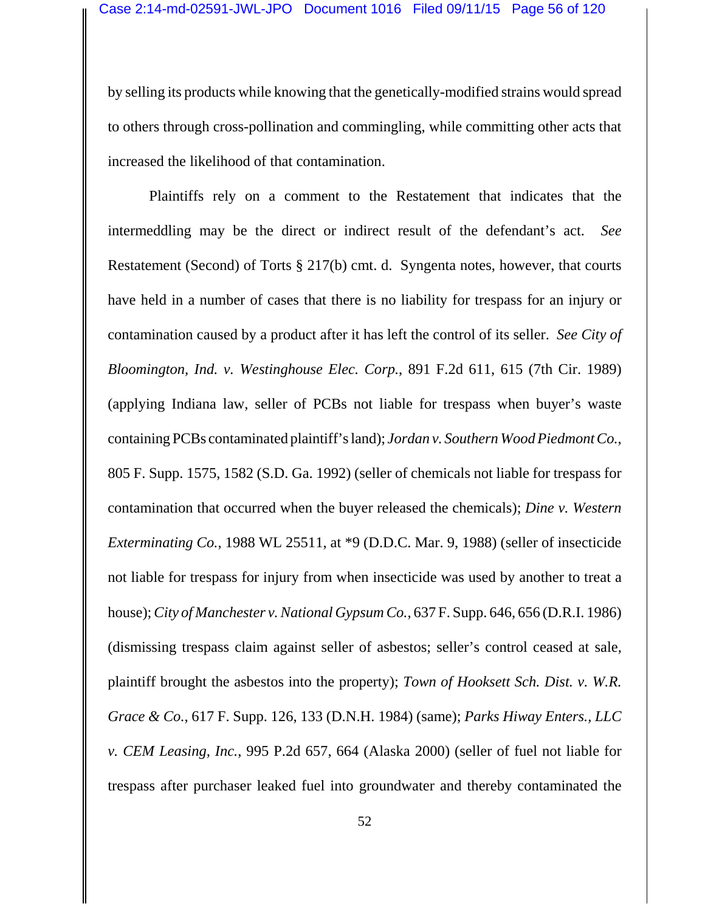by selling its products while knowing that the genetically-modified strains would spread to others through cross-pollination and commingling, while committing other acts that increased the likelihood of that contamination.

Plaintiffs rely on a comment to the Restatement that indicates that the intermeddling may be the direct or indirect result of the defendant's act. *See* Restatement (Second) of Torts § 217(b) cmt. d. Syngenta notes, however, that courts have held in a number of cases that there is no liability for trespass for an injury or contamination caused by a product after it has left the control of its seller. *See City of Bloomington, Ind. v. Westinghouse Elec. Corp.*, 891 F.2d 611, 615 (7th Cir. 1989) (applying Indiana law, seller of PCBs not liable for trespass when buyer's waste containing PCBs contaminated plaintiff's land); *Jordan v. Southern Wood Piedmont Co.*, 805 F. Supp. 1575, 1582 (S.D. Ga. 1992) (seller of chemicals not liable for trespass for contamination that occurred when the buyer released the chemicals); *Dine v. Western Exterminating Co.*, 1988 WL 25511, at \*9 (D.D.C. Mar. 9, 1988) (seller of insecticide not liable for trespass for injury from when insecticide was used by another to treat a house); *City of Manchester v. National Gypsum Co.*, 637 F. Supp. 646, 656 (D.R.I. 1986) (dismissing trespass claim against seller of asbestos; seller's control ceased at sale, plaintiff brought the asbestos into the property); *Town of Hooksett Sch. Dist. v. W.R. Grace & Co.*, 617 F. Supp. 126, 133 (D.N.H. 1984) (same); *Parks Hiway Enters., LLC v. CEM Leasing, Inc.*, 995 P.2d 657, 664 (Alaska 2000) (seller of fuel not liable for trespass after purchaser leaked fuel into groundwater and thereby contaminated the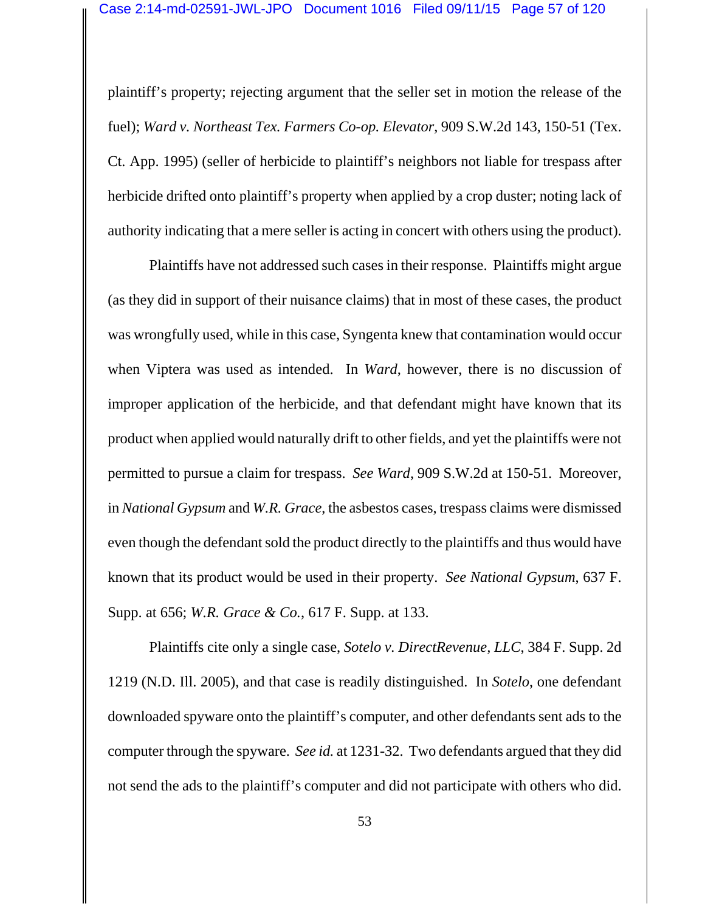plaintiff's property; rejecting argument that the seller set in motion the release of the fuel); *Ward v. Northeast Tex. Farmers Co-op. Elevator*, 909 S.W.2d 143, 150-51 (Tex. Ct. App. 1995) (seller of herbicide to plaintiff's neighbors not liable for trespass after herbicide drifted onto plaintiff's property when applied by a crop duster; noting lack of authority indicating that a mere seller is acting in concert with others using the product).

Plaintiffs have not addressed such cases in their response. Plaintiffs might argue (as they did in support of their nuisance claims) that in most of these cases, the product was wrongfully used, while in this case, Syngenta knew that contamination would occur when Viptera was used as intended. In *Ward*, however, there is no discussion of improper application of the herbicide, and that defendant might have known that its product when applied would naturally drift to other fields, and yet the plaintiffs were not permitted to pursue a claim for trespass. *See Ward*, 909 S.W.2d at 150-51. Moreover, in *National Gypsum* and *W.R. Grace*, the asbestos cases, trespass claims were dismissed even though the defendant sold the product directly to the plaintiffs and thus would have known that its product would be used in their property. *See National Gypsum*, 637 F. Supp. at 656; *W.R. Grace & Co.*, 617 F. Supp. at 133.

Plaintiffs cite only a single case, *Sotelo v. DirectRevenue, LLC*, 384 F. Supp. 2d 1219 (N.D. Ill. 2005), and that case is readily distinguished. In *Sotelo*, one defendant downloaded spyware onto the plaintiff's computer, and other defendants sent ads to the computer through the spyware. *See id.* at 1231-32. Two defendants argued that they did not send the ads to the plaintiff's computer and did not participate with others who did.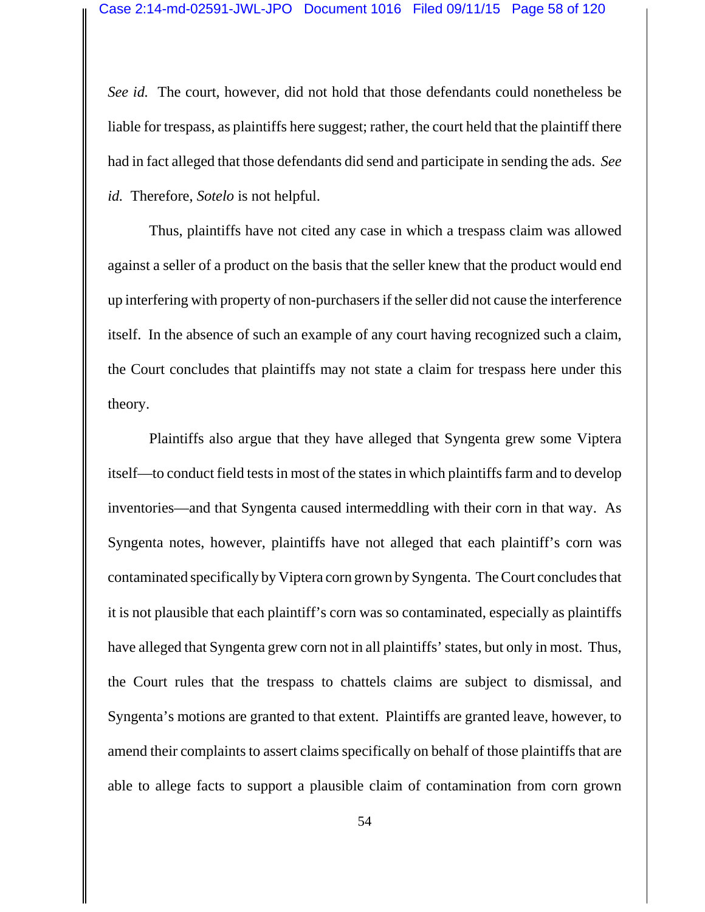*See id.* The court, however, did not hold that those defendants could nonetheless be liable for trespass, as plaintiffs here suggest; rather, the court held that the plaintiff there had in fact alleged that those defendants did send and participate in sending the ads. *See id.* Therefore, *Sotelo* is not helpful.

Thus, plaintiffs have not cited any case in which a trespass claim was allowed against a seller of a product on the basis that the seller knew that the product would end up interfering with property of non-purchasers if the seller did not cause the interference itself. In the absence of such an example of any court having recognized such a claim, the Court concludes that plaintiffs may not state a claim for trespass here under this theory.

Plaintiffs also argue that they have alleged that Syngenta grew some Viptera itself—to conduct field tests in most of the states in which plaintiffs farm and to develop inventories—and that Syngenta caused intermeddling with their corn in that way. As Syngenta notes, however, plaintiffs have not alleged that each plaintiff's corn was contaminated specifically by Viptera corn grown by Syngenta. The Court concludes that it is not plausible that each plaintiff's corn was so contaminated, especially as plaintiffs have alleged that Syngenta grew corn not in all plaintiffs' states, but only in most. Thus, the Court rules that the trespass to chattels claims are subject to dismissal, and Syngenta's motions are granted to that extent. Plaintiffs are granted leave, however, to amend their complaints to assert claims specifically on behalf of those plaintiffs that are able to allege facts to support a plausible claim of contamination from corn grown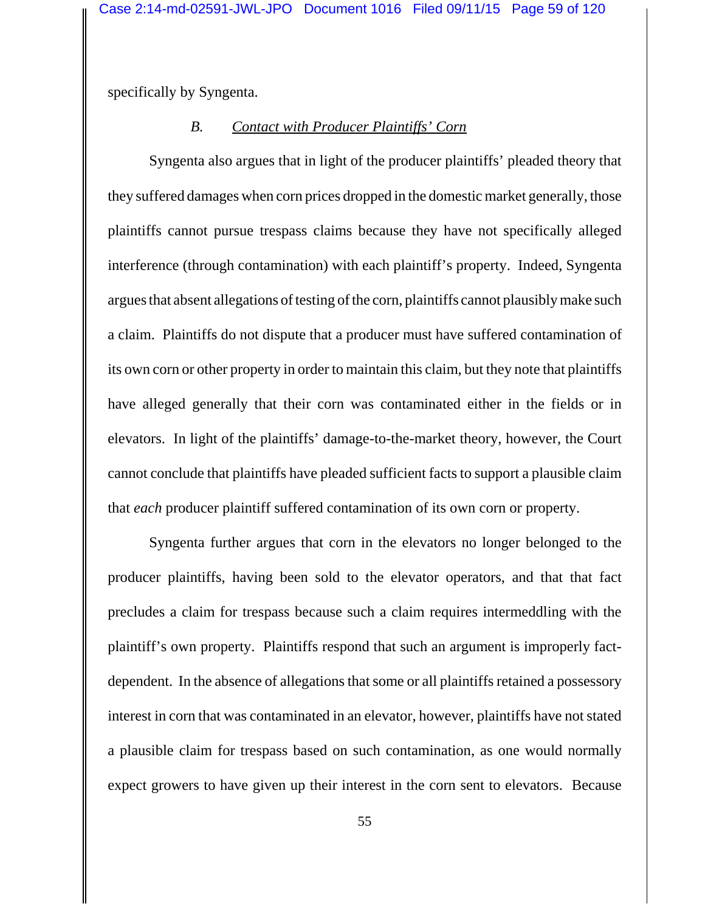specifically by Syngenta.

# *B. Contact with Producer Plaintiffs' Corn*

Syngenta also argues that in light of the producer plaintiffs' pleaded theory that they suffered damages when corn prices dropped in the domestic market generally, those plaintiffs cannot pursue trespass claims because they have not specifically alleged interference (through contamination) with each plaintiff's property. Indeed, Syngenta argues that absent allegations of testing of the corn, plaintiffs cannot plausibly make such a claim. Plaintiffs do not dispute that a producer must have suffered contamination of its own corn or other property in order to maintain this claim, but they note that plaintiffs have alleged generally that their corn was contaminated either in the fields or in elevators. In light of the plaintiffs' damage-to-the-market theory, however, the Court cannot conclude that plaintiffs have pleaded sufficient facts to support a plausible claim that *each* producer plaintiff suffered contamination of its own corn or property.

Syngenta further argues that corn in the elevators no longer belonged to the producer plaintiffs, having been sold to the elevator operators, and that that fact precludes a claim for trespass because such a claim requires intermeddling with the plaintiff's own property. Plaintiffs respond that such an argument is improperly factdependent. In the absence of allegations that some or all plaintiffs retained a possessory interest in corn that was contaminated in an elevator, however, plaintiffs have not stated a plausible claim for trespass based on such contamination, as one would normally expect growers to have given up their interest in the corn sent to elevators. Because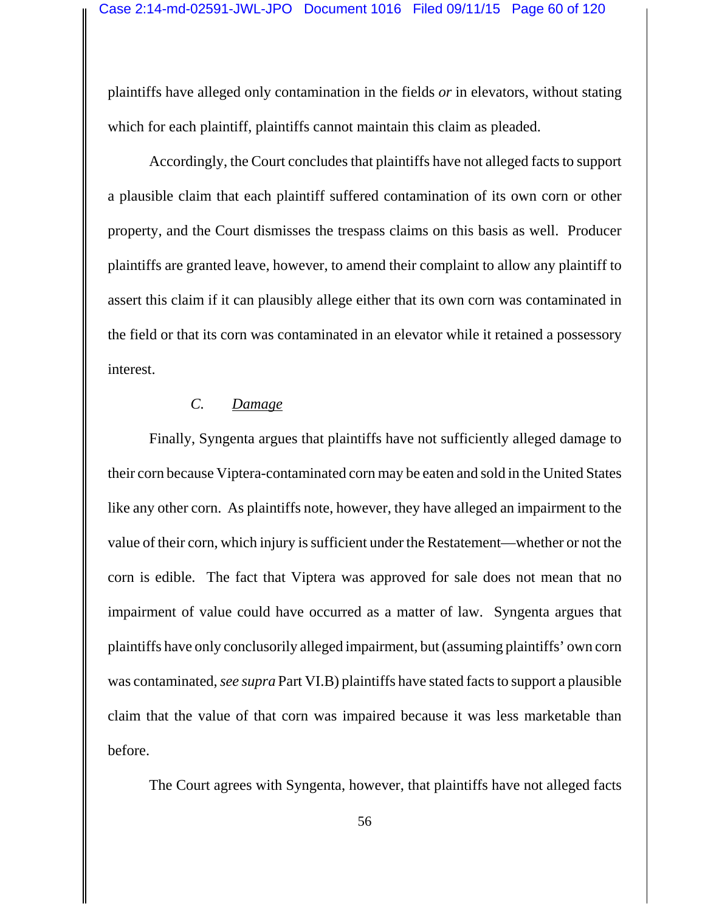plaintiffs have alleged only contamination in the fields *or* in elevators, without stating which for each plaintiff, plaintiffs cannot maintain this claim as pleaded.

Accordingly, the Court concludes that plaintiffs have not alleged facts to support a plausible claim that each plaintiff suffered contamination of its own corn or other property, and the Court dismisses the trespass claims on this basis as well. Producer plaintiffs are granted leave, however, to amend their complaint to allow any plaintiff to assert this claim if it can plausibly allege either that its own corn was contaminated in the field or that its corn was contaminated in an elevator while it retained a possessory interest.

### *C. Damage*

Finally, Syngenta argues that plaintiffs have not sufficiently alleged damage to their corn because Viptera-contaminated corn may be eaten and sold in the United States like any other corn. As plaintiffs note, however, they have alleged an impairment to the value of their corn, which injury is sufficient under the Restatement—whether or not the corn is edible. The fact that Viptera was approved for sale does not mean that no impairment of value could have occurred as a matter of law. Syngenta argues that plaintiffs have only conclusorily alleged impairment, but (assuming plaintiffs' own corn was contaminated, *see supra* Part VI.B) plaintiffs have stated facts to support a plausible claim that the value of that corn was impaired because it was less marketable than before.

The Court agrees with Syngenta, however, that plaintiffs have not alleged facts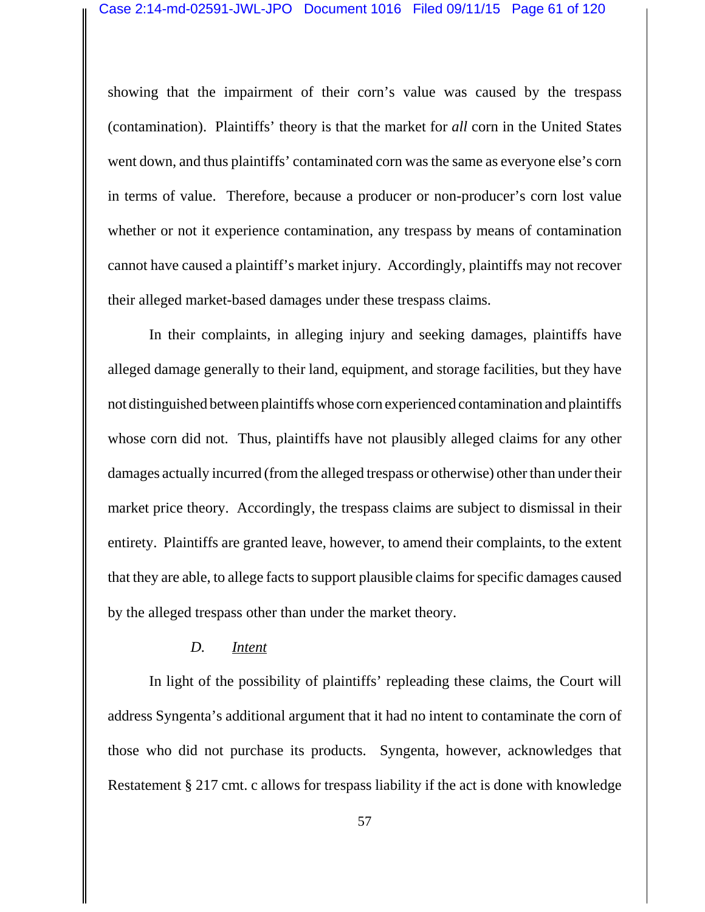showing that the impairment of their corn's value was caused by the trespass (contamination). Plaintiffs' theory is that the market for *all* corn in the United States went down, and thus plaintiffs' contaminated corn was the same as everyone else's corn in terms of value. Therefore, because a producer or non-producer's corn lost value whether or not it experience contamination, any trespass by means of contamination cannot have caused a plaintiff's market injury. Accordingly, plaintiffs may not recover their alleged market-based damages under these trespass claims.

In their complaints, in alleging injury and seeking damages, plaintiffs have alleged damage generally to their land, equipment, and storage facilities, but they have not distinguished between plaintiffs whose corn experienced contamination and plaintiffs whose corn did not. Thus, plaintiffs have not plausibly alleged claims for any other damages actually incurred (from the alleged trespass or otherwise) other than under their market price theory. Accordingly, the trespass claims are subject to dismissal in their entirety. Plaintiffs are granted leave, however, to amend their complaints, to the extent that they are able, to allege facts to support plausible claims for specific damages caused by the alleged trespass other than under the market theory.

#### *D. Intent*

In light of the possibility of plaintiffs' repleading these claims, the Court will address Syngenta's additional argument that it had no intent to contaminate the corn of those who did not purchase its products. Syngenta, however, acknowledges that Restatement § 217 cmt. c allows for trespass liability if the act is done with knowledge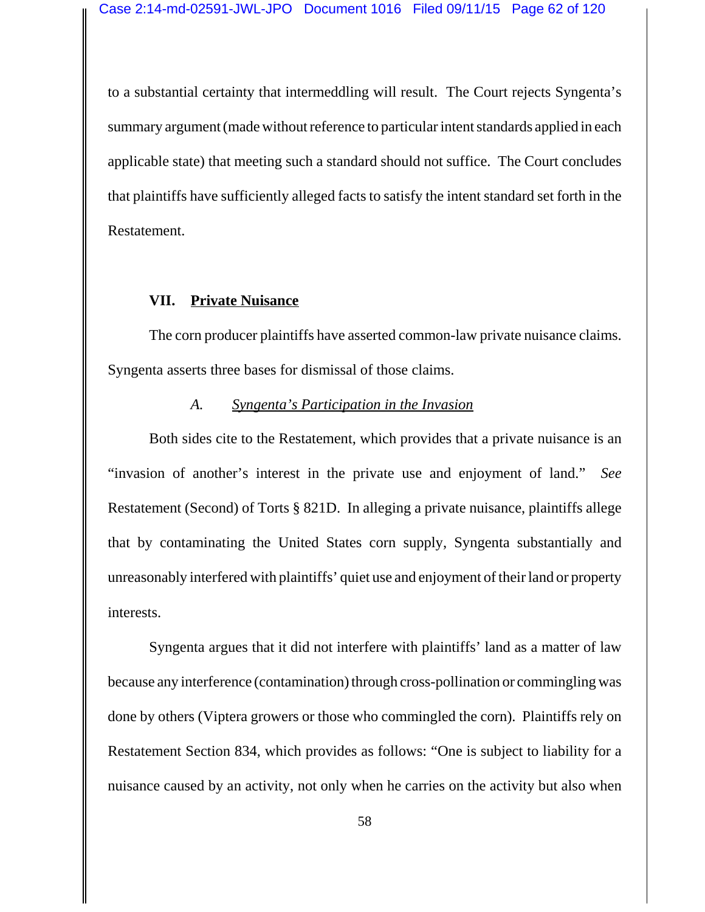to a substantial certainty that intermeddling will result. The Court rejects Syngenta's summary argument (made without reference to particular intent standards applied in each applicable state) that meeting such a standard should not suffice. The Court concludes that plaintiffs have sufficiently alleged facts to satisfy the intent standard set forth in the Restatement.

# **VII. Private Nuisance**

The corn producer plaintiffs have asserted common-law private nuisance claims. Syngenta asserts three bases for dismissal of those claims.

### *A. Syngenta's Participation in the Invasion*

Both sides cite to the Restatement, which provides that a private nuisance is an "invasion of another's interest in the private use and enjoyment of land." *See* Restatement (Second) of Torts § 821D. In alleging a private nuisance, plaintiffs allege that by contaminating the United States corn supply, Syngenta substantially and unreasonably interfered with plaintiffs' quiet use and enjoyment of their land or property interests.

Syngenta argues that it did not interfere with plaintiffs' land as a matter of law because any interference (contamination) through cross-pollination or commingling was done by others (Viptera growers or those who commingled the corn). Plaintiffs rely on Restatement Section 834, which provides as follows: "One is subject to liability for a nuisance caused by an activity, not only when he carries on the activity but also when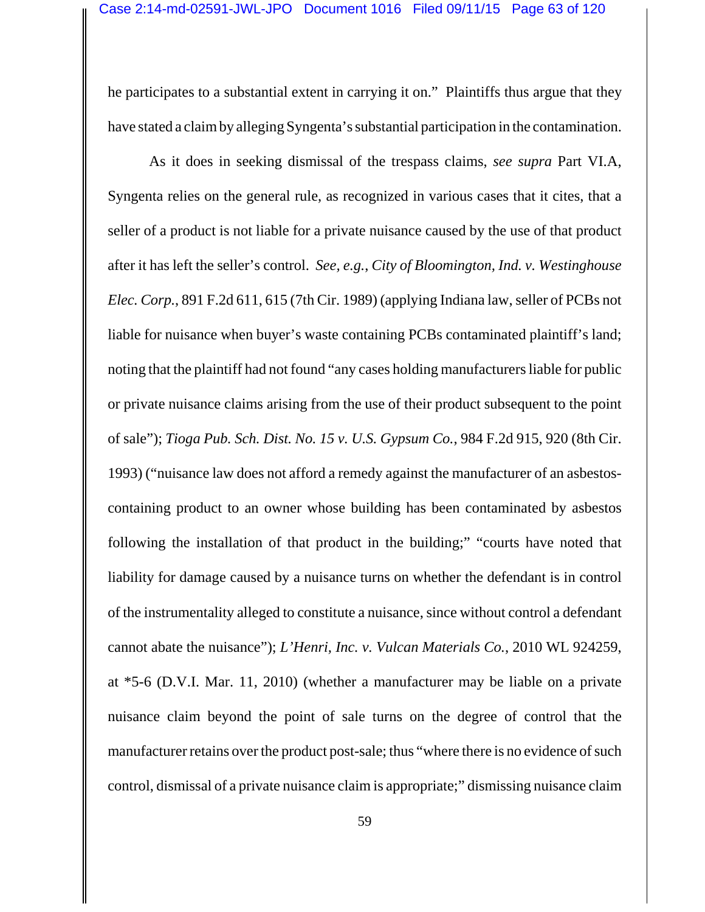he participates to a substantial extent in carrying it on." Plaintiffs thus argue that they have stated a claim by alleging Syngenta's substantial participation in the contamination.

As it does in seeking dismissal of the trespass claims, *see supra* Part VI.A, Syngenta relies on the general rule, as recognized in various cases that it cites, that a seller of a product is not liable for a private nuisance caused by the use of that product after it has left the seller's control. *See, e.g.*, *City of Bloomington, Ind. v. Westinghouse Elec. Corp.*, 891 F.2d 611, 615 (7th Cir. 1989) (applying Indiana law, seller of PCBs not liable for nuisance when buyer's waste containing PCBs contaminated plaintiff's land; noting that the plaintiff had not found "any cases holding manufacturers liable for public or private nuisance claims arising from the use of their product subsequent to the point of sale"); *Tioga Pub. Sch. Dist. No. 15 v. U.S. Gypsum Co.*, 984 F.2d 915, 920 (8th Cir. 1993) ("nuisance law does not afford a remedy against the manufacturer of an asbestoscontaining product to an owner whose building has been contaminated by asbestos following the installation of that product in the building;" "courts have noted that liability for damage caused by a nuisance turns on whether the defendant is in control of the instrumentality alleged to constitute a nuisance, since without control a defendant cannot abate the nuisance"); *L'Henri, Inc. v. Vulcan Materials Co.*, 2010 WL 924259, at \*5-6 (D.V.I. Mar. 11, 2010) (whether a manufacturer may be liable on a private nuisance claim beyond the point of sale turns on the degree of control that the manufacturer retains over the product post-sale; thus "where there is no evidence of such control, dismissal of a private nuisance claim is appropriate;" dismissing nuisance claim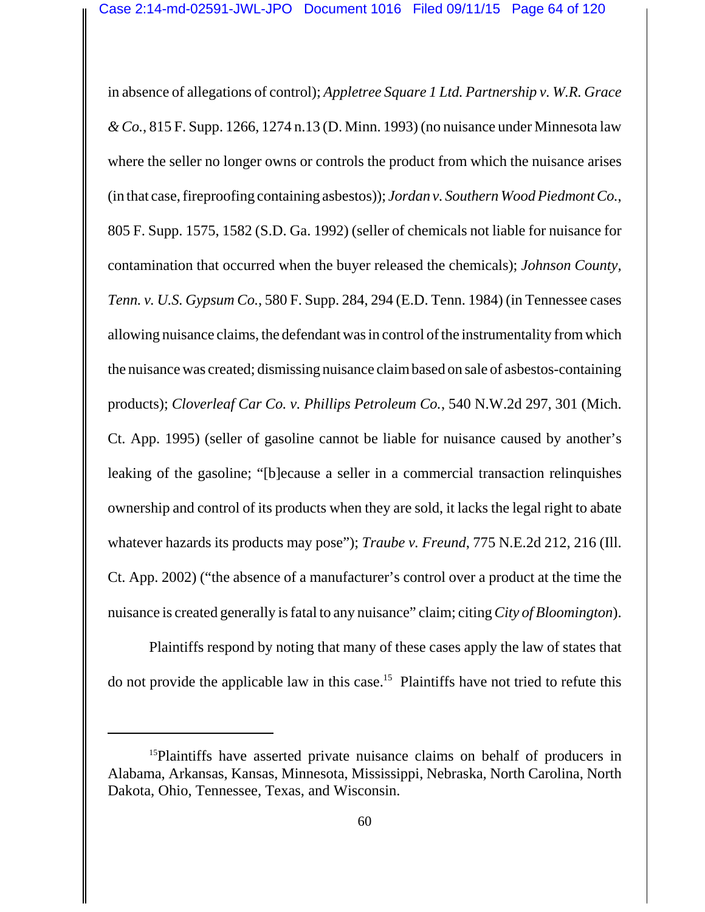in absence of allegations of control); *Appletree Square 1 Ltd. Partnership v. W.R. Grace & Co.*, 815 F. Supp. 1266, 1274 n.13 (D. Minn. 1993) (no nuisance under Minnesota law where the seller no longer owns or controls the product from which the nuisance arises (in that case, fireproofing containing asbestos)); *Jordan v. Southern Wood Piedmont Co.*, 805 F. Supp. 1575, 1582 (S.D. Ga. 1992) (seller of chemicals not liable for nuisance for contamination that occurred when the buyer released the chemicals); *Johnson County, Tenn. v. U.S. Gypsum Co.*, 580 F. Supp. 284, 294 (E.D. Tenn. 1984) (in Tennessee cases allowing nuisance claims, the defendant was in control of the instrumentality from which the nuisance was created; dismissing nuisance claim based on sale of asbestos-containing products); *Cloverleaf Car Co. v. Phillips Petroleum Co.*, 540 N.W.2d 297, 301 (Mich. Ct. App. 1995) (seller of gasoline cannot be liable for nuisance caused by another's leaking of the gasoline; "[b]ecause a seller in a commercial transaction relinquishes ownership and control of its products when they are sold, it lacks the legal right to abate whatever hazards its products may pose"); *Traube v. Freund*, 775 N.E.2d 212, 216 (Ill. Ct. App. 2002) ("the absence of a manufacturer's control over a product at the time the nuisance is created generally is fatal to any nuisance" claim; citing *City of Bloomington*).

Plaintiffs respond by noting that many of these cases apply the law of states that do not provide the applicable law in this case.<sup>15</sup> Plaintiffs have not tried to refute this

<sup>&</sup>lt;sup>15</sup>Plaintiffs have asserted private nuisance claims on behalf of producers in Alabama, Arkansas, Kansas, Minnesota, Mississippi, Nebraska, North Carolina, North Dakota, Ohio, Tennessee, Texas, and Wisconsin.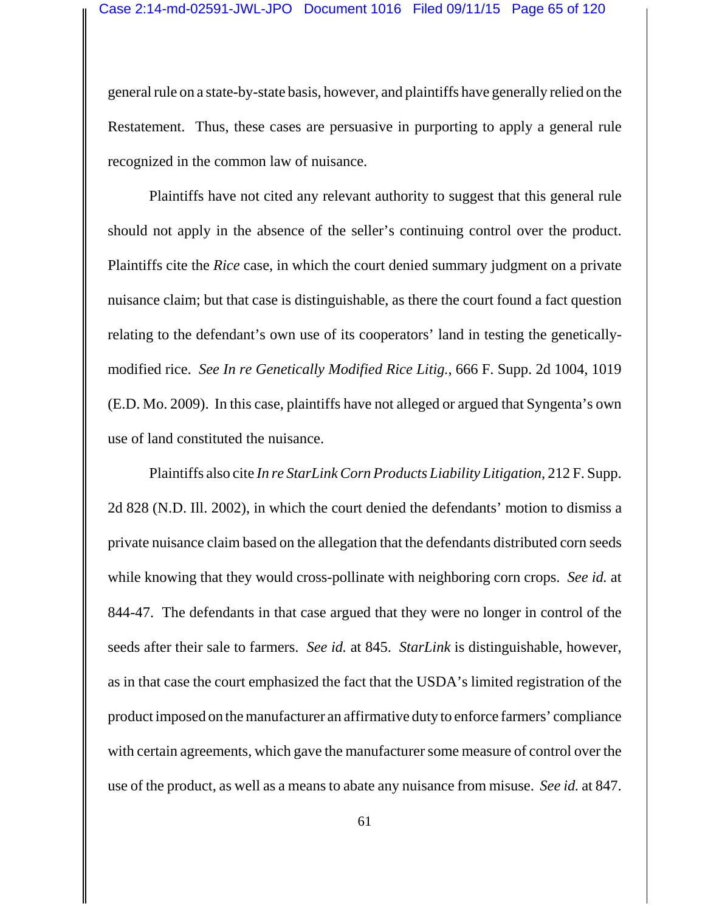general rule on a state-by-state basis, however, and plaintiffs have generally relied on the Restatement. Thus, these cases are persuasive in purporting to apply a general rule recognized in the common law of nuisance.

Plaintiffs have not cited any relevant authority to suggest that this general rule should not apply in the absence of the seller's continuing control over the product. Plaintiffs cite the *Rice* case, in which the court denied summary judgment on a private nuisance claim; but that case is distinguishable, as there the court found a fact question relating to the defendant's own use of its cooperators' land in testing the geneticallymodified rice. *See In re Genetically Modified Rice Litig.*, 666 F. Supp. 2d 1004, 1019 (E.D. Mo. 2009). In this case, plaintiffs have not alleged or argued that Syngenta's own use of land constituted the nuisance.

Plaintiffs also cite *In re StarLink Corn Products Liability Litigation*, 212 F. Supp. 2d 828 (N.D. Ill. 2002), in which the court denied the defendants' motion to dismiss a private nuisance claim based on the allegation that the defendants distributed corn seeds while knowing that they would cross-pollinate with neighboring corn crops. *See id.* at 844-47. The defendants in that case argued that they were no longer in control of the seeds after their sale to farmers. *See id.* at 845. *StarLink* is distinguishable, however, as in that case the court emphasized the fact that the USDA's limited registration of the product imposed on the manufacturer an affirmative duty to enforce farmers' compliance with certain agreements, which gave the manufacturer some measure of control over the use of the product, as well as a means to abate any nuisance from misuse. *See id.* at 847.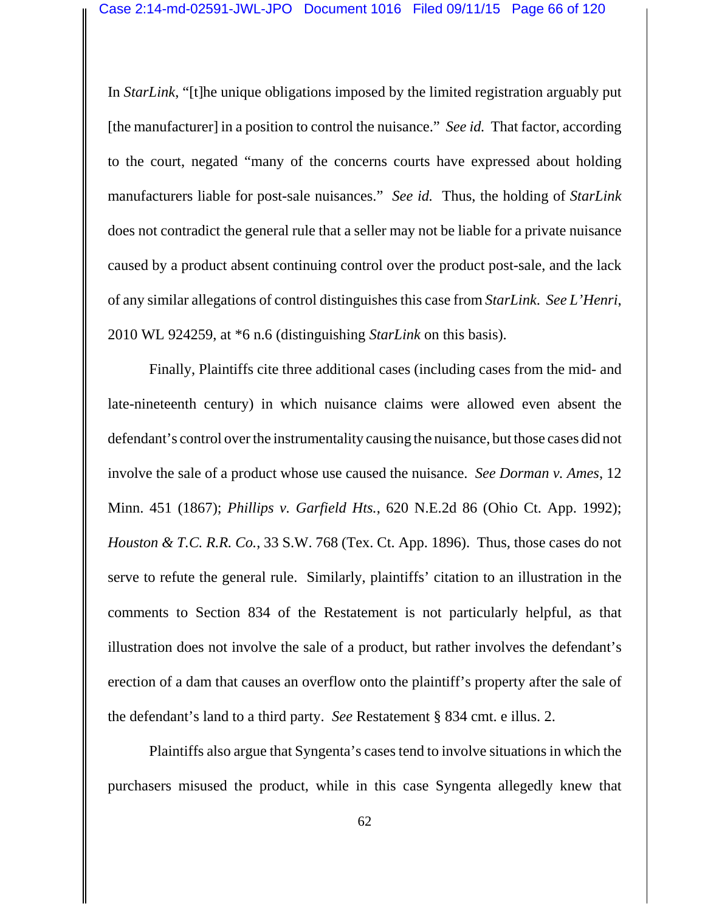In *StarLink*, "[t]he unique obligations imposed by the limited registration arguably put [the manufacturer] in a position to control the nuisance." *See id.* That factor, according to the court, negated "many of the concerns courts have expressed about holding manufacturers liable for post-sale nuisances." *See id.* Thus, the holding of *StarLink* does not contradict the general rule that a seller may not be liable for a private nuisance caused by a product absent continuing control over the product post-sale, and the lack of any similar allegations of control distinguishes this case from *StarLink*. *See L'Henri*, 2010 WL 924259, at \*6 n.6 (distinguishing *StarLink* on this basis).

Finally, Plaintiffs cite three additional cases (including cases from the mid- and late-nineteenth century) in which nuisance claims were allowed even absent the defendant's control over the instrumentality causing the nuisance, but those cases did not involve the sale of a product whose use caused the nuisance. *See Dorman v. Ames*, 12 Minn. 451 (1867); *Phillips v. Garfield Hts.*, 620 N.E.2d 86 (Ohio Ct. App. 1992); *Houston & T.C. R.R. Co.*, 33 S.W. 768 (Tex. Ct. App. 1896). Thus, those cases do not serve to refute the general rule. Similarly, plaintiffs' citation to an illustration in the comments to Section 834 of the Restatement is not particularly helpful, as that illustration does not involve the sale of a product, but rather involves the defendant's erection of a dam that causes an overflow onto the plaintiff's property after the sale of the defendant's land to a third party. *See* Restatement § 834 cmt. e illus. 2.

Plaintiffs also argue that Syngenta's cases tend to involve situations in which the purchasers misused the product, while in this case Syngenta allegedly knew that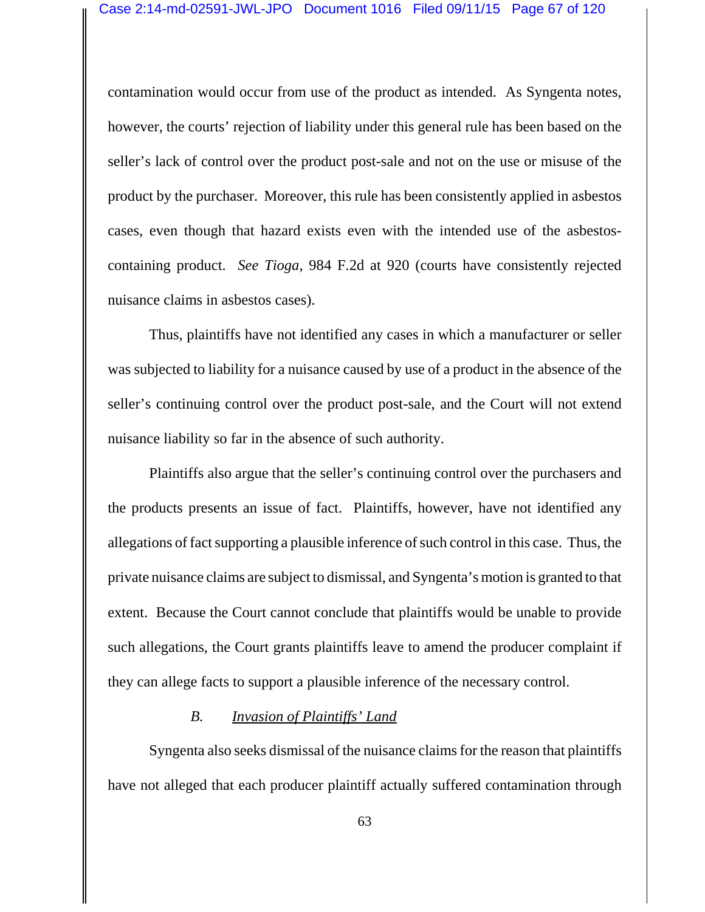contamination would occur from use of the product as intended. As Syngenta notes, however, the courts' rejection of liability under this general rule has been based on the seller's lack of control over the product post-sale and not on the use or misuse of the product by the purchaser. Moreover, this rule has been consistently applied in asbestos cases, even though that hazard exists even with the intended use of the asbestoscontaining product. *See Tioga*, 984 F.2d at 920 (courts have consistently rejected nuisance claims in asbestos cases).

Thus, plaintiffs have not identified any cases in which a manufacturer or seller was subjected to liability for a nuisance caused by use of a product in the absence of the seller's continuing control over the product post-sale, and the Court will not extend nuisance liability so far in the absence of such authority.

Plaintiffs also argue that the seller's continuing control over the purchasers and the products presents an issue of fact. Plaintiffs, however, have not identified any allegations of fact supporting a plausible inference of such control in this case. Thus, the private nuisance claims are subject to dismissal, and Syngenta's motion is granted to that extent. Because the Court cannot conclude that plaintiffs would be unable to provide such allegations, the Court grants plaintiffs leave to amend the producer complaint if they can allege facts to support a plausible inference of the necessary control.

### *B. Invasion of Plaintiffs' Land*

Syngenta also seeks dismissal of the nuisance claims for the reason that plaintiffs have not alleged that each producer plaintiff actually suffered contamination through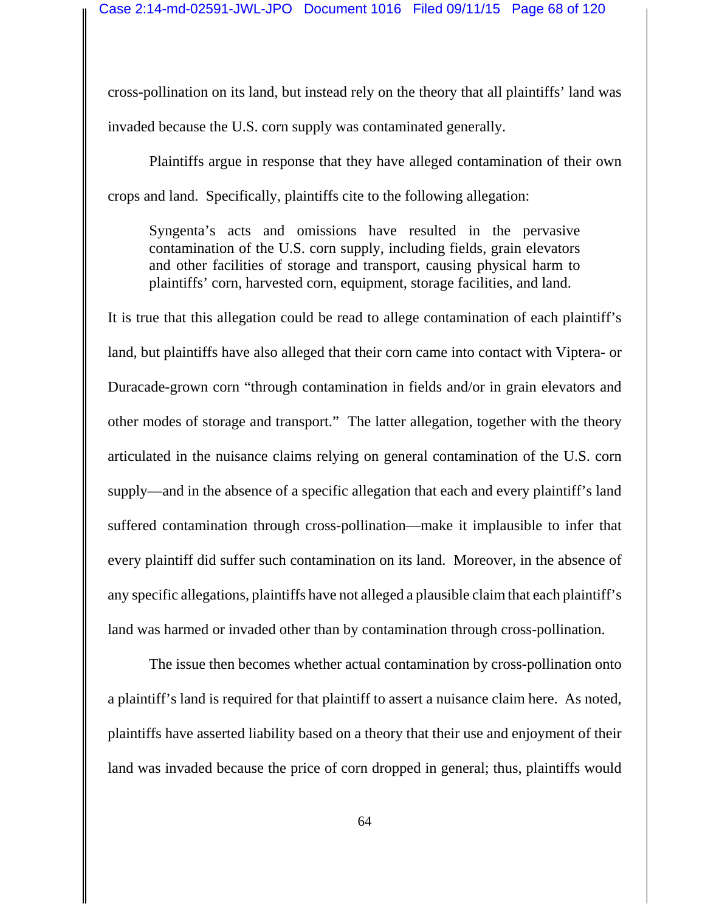cross-pollination on its land, but instead rely on the theory that all plaintiffs' land was invaded because the U.S. corn supply was contaminated generally.

Plaintiffs argue in response that they have alleged contamination of their own crops and land. Specifically, plaintiffs cite to the following allegation:

Syngenta's acts and omissions have resulted in the pervasive contamination of the U.S. corn supply, including fields, grain elevators and other facilities of storage and transport, causing physical harm to plaintiffs' corn, harvested corn, equipment, storage facilities, and land.

It is true that this allegation could be read to allege contamination of each plaintiff's land, but plaintiffs have also alleged that their corn came into contact with Viptera- or Duracade-grown corn "through contamination in fields and/or in grain elevators and other modes of storage and transport." The latter allegation, together with the theory articulated in the nuisance claims relying on general contamination of the U.S. corn supply—and in the absence of a specific allegation that each and every plaintiff's land suffered contamination through cross-pollination—make it implausible to infer that every plaintiff did suffer such contamination on its land. Moreover, in the absence of any specific allegations, plaintiffs have not alleged a plausible claim that each plaintiff's land was harmed or invaded other than by contamination through cross-pollination.

The issue then becomes whether actual contamination by cross-pollination onto a plaintiff's land is required for that plaintiff to assert a nuisance claim here. As noted, plaintiffs have asserted liability based on a theory that their use and enjoyment of their land was invaded because the price of corn dropped in general; thus, plaintiffs would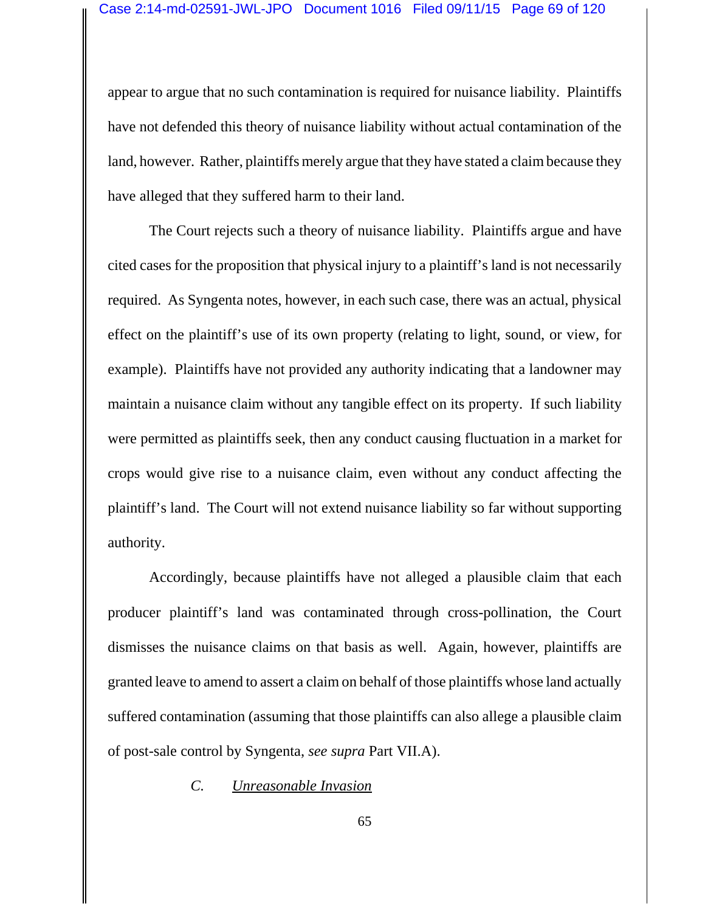appear to argue that no such contamination is required for nuisance liability. Plaintiffs have not defended this theory of nuisance liability without actual contamination of the land, however. Rather, plaintiffs merely argue that they have stated a claim because they have alleged that they suffered harm to their land.

The Court rejects such a theory of nuisance liability. Plaintiffs argue and have cited cases for the proposition that physical injury to a plaintiff's land is not necessarily required. As Syngenta notes, however, in each such case, there was an actual, physical effect on the plaintiff's use of its own property (relating to light, sound, or view, for example). Plaintiffs have not provided any authority indicating that a landowner may maintain a nuisance claim without any tangible effect on its property. If such liability were permitted as plaintiffs seek, then any conduct causing fluctuation in a market for crops would give rise to a nuisance claim, even without any conduct affecting the plaintiff's land. The Court will not extend nuisance liability so far without supporting authority.

Accordingly, because plaintiffs have not alleged a plausible claim that each producer plaintiff's land was contaminated through cross-pollination, the Court dismisses the nuisance claims on that basis as well. Again, however, plaintiffs are granted leave to amend to assert a claim on behalf of those plaintiffs whose land actually suffered contamination (assuming that those plaintiffs can also allege a plausible claim of post-sale control by Syngenta, *see supra* Part VII.A).

*C. Unreasonable Invasion*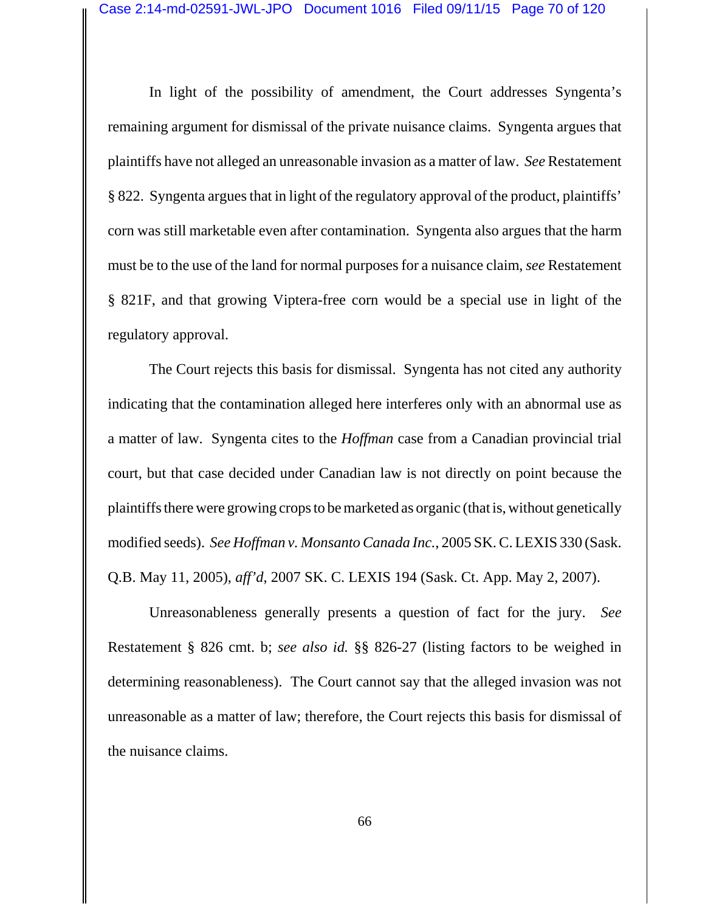In light of the possibility of amendment, the Court addresses Syngenta's remaining argument for dismissal of the private nuisance claims. Syngenta argues that plaintiffs have not alleged an unreasonable invasion as a matter of law. *See* Restatement § 822. Syngenta argues that in light of the regulatory approval of the product, plaintiffs' corn was still marketable even after contamination. Syngenta also argues that the harm must be to the use of the land for normal purposes for a nuisance claim, *see* Restatement § 821F, and that growing Viptera-free corn would be a special use in light of the regulatory approval.

The Court rejects this basis for dismissal. Syngenta has not cited any authority indicating that the contamination alleged here interferes only with an abnormal use as a matter of law. Syngenta cites to the *Hoffman* case from a Canadian provincial trial court, but that case decided under Canadian law is not directly on point because the plaintiffs there were growing crops to be marketed as organic (that is, without genetically modified seeds). *See Hoffman v. Monsanto Canada Inc.*, 2005 SK. C. LEXIS 330 (Sask. Q.B. May 11, 2005), *aff'd*, 2007 SK. C. LEXIS 194 (Sask. Ct. App. May 2, 2007).

Unreasonableness generally presents a question of fact for the jury. *See* Restatement § 826 cmt. b; *see also id.* §§ 826-27 (listing factors to be weighed in determining reasonableness). The Court cannot say that the alleged invasion was not unreasonable as a matter of law; therefore, the Court rejects this basis for dismissal of the nuisance claims.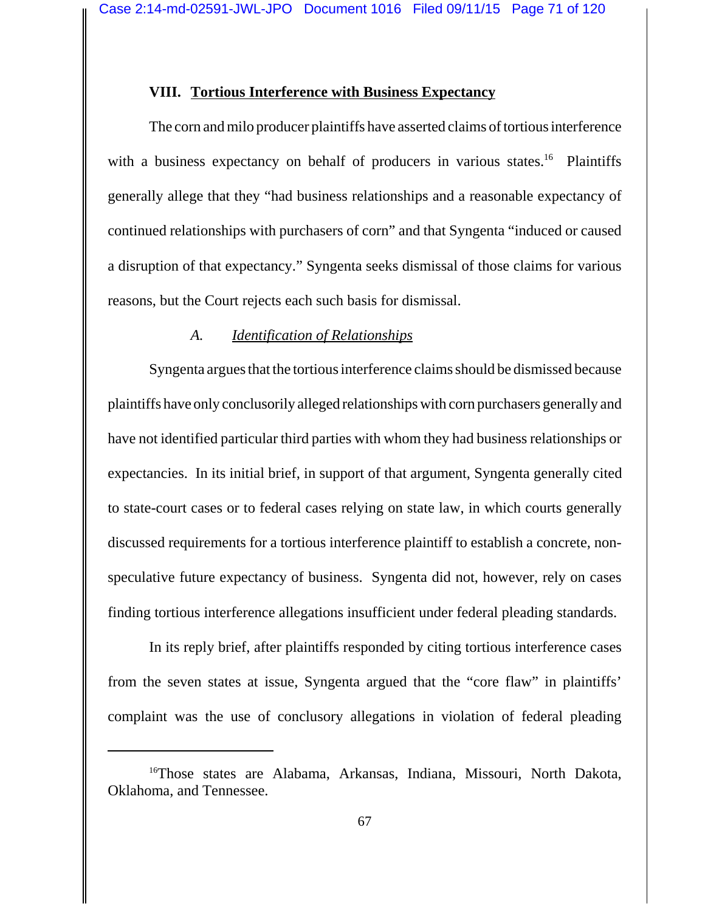### **VIII. Tortious Interference with Business Expectancy**

The corn and milo producer plaintiffs have asserted claims of tortious interference with a business expectancy on behalf of producers in various states.<sup>16</sup> Plaintiffs generally allege that they "had business relationships and a reasonable expectancy of continued relationships with purchasers of corn" and that Syngenta "induced or caused a disruption of that expectancy." Syngenta seeks dismissal of those claims for various reasons, but the Court rejects each such basis for dismissal.

#### *A. Identification of Relationships*

Syngenta argues that the tortious interference claims should be dismissed because plaintiffs have only conclusorily alleged relationships with corn purchasers generally and have not identified particular third parties with whom they had business relationships or expectancies. In its initial brief, in support of that argument, Syngenta generally cited to state-court cases or to federal cases relying on state law, in which courts generally discussed requirements for a tortious interference plaintiff to establish a concrete, nonspeculative future expectancy of business. Syngenta did not, however, rely on cases finding tortious interference allegations insufficient under federal pleading standards.

In its reply brief, after plaintiffs responded by citing tortious interference cases from the seven states at issue, Syngenta argued that the "core flaw" in plaintiffs' complaint was the use of conclusory allegations in violation of federal pleading

<sup>&</sup>lt;sup>16</sup>Those states are Alabama, Arkansas, Indiana, Missouri, North Dakota, Oklahoma, and Tennessee.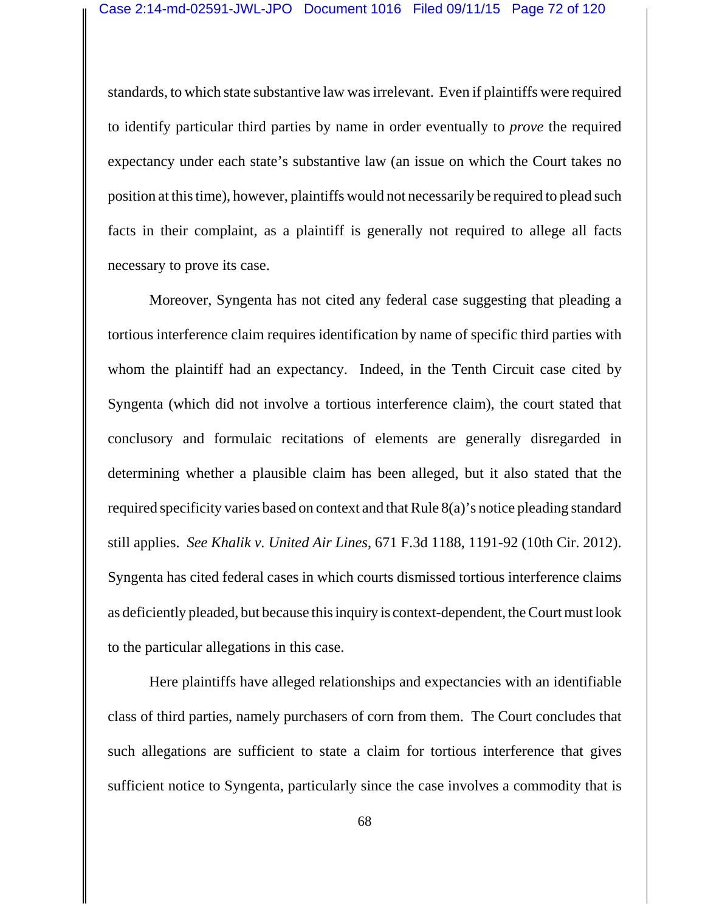standards, to which state substantive law was irrelevant. Even if plaintiffs were required to identify particular third parties by name in order eventually to *prove* the required expectancy under each state's substantive law (an issue on which the Court takes no position at this time), however, plaintiffs would not necessarily be required to plead such facts in their complaint, as a plaintiff is generally not required to allege all facts necessary to prove its case.

Moreover, Syngenta has not cited any federal case suggesting that pleading a tortious interference claim requires identification by name of specific third parties with whom the plaintiff had an expectancy. Indeed, in the Tenth Circuit case cited by Syngenta (which did not involve a tortious interference claim), the court stated that conclusory and formulaic recitations of elements are generally disregarded in determining whether a plausible claim has been alleged, but it also stated that the required specificity varies based on context and that Rule 8(a)'s notice pleading standard still applies. *See Khalik v. United Air Lines*, 671 F.3d 1188, 1191-92 (10th Cir. 2012). Syngenta has cited federal cases in which courts dismissed tortious interference claims as deficiently pleaded, but because this inquiry is context-dependent, the Court must look to the particular allegations in this case.

Here plaintiffs have alleged relationships and expectancies with an identifiable class of third parties, namely purchasers of corn from them. The Court concludes that such allegations are sufficient to state a claim for tortious interference that gives sufficient notice to Syngenta, particularly since the case involves a commodity that is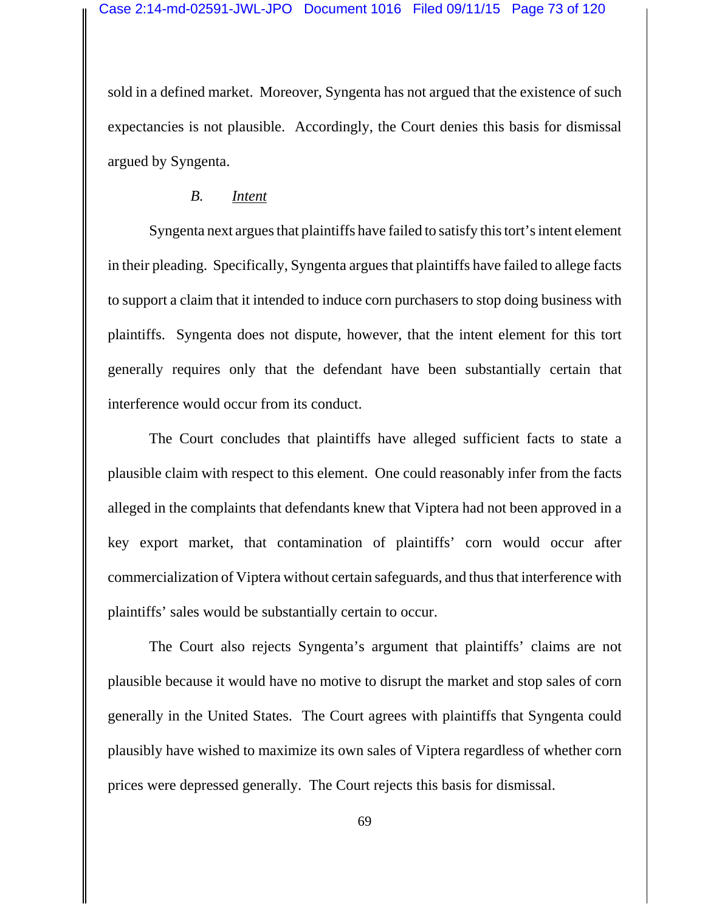sold in a defined market. Moreover, Syngenta has not argued that the existence of such expectancies is not plausible. Accordingly, the Court denies this basis for dismissal argued by Syngenta.

## *B. Intent*

Syngenta next argues that plaintiffs have failed to satisfy this tort's intent element in their pleading. Specifically, Syngenta argues that plaintiffs have failed to allege facts to support a claim that it intended to induce corn purchasers to stop doing business with plaintiffs. Syngenta does not dispute, however, that the intent element for this tort generally requires only that the defendant have been substantially certain that interference would occur from its conduct.

The Court concludes that plaintiffs have alleged sufficient facts to state a plausible claim with respect to this element. One could reasonably infer from the facts alleged in the complaints that defendants knew that Viptera had not been approved in a key export market, that contamination of plaintiffs' corn would occur after commercialization of Viptera without certain safeguards, and thus that interference with plaintiffs' sales would be substantially certain to occur.

The Court also rejects Syngenta's argument that plaintiffs' claims are not plausible because it would have no motive to disrupt the market and stop sales of corn generally in the United States. The Court agrees with plaintiffs that Syngenta could plausibly have wished to maximize its own sales of Viptera regardless of whether corn prices were depressed generally. The Court rejects this basis for dismissal.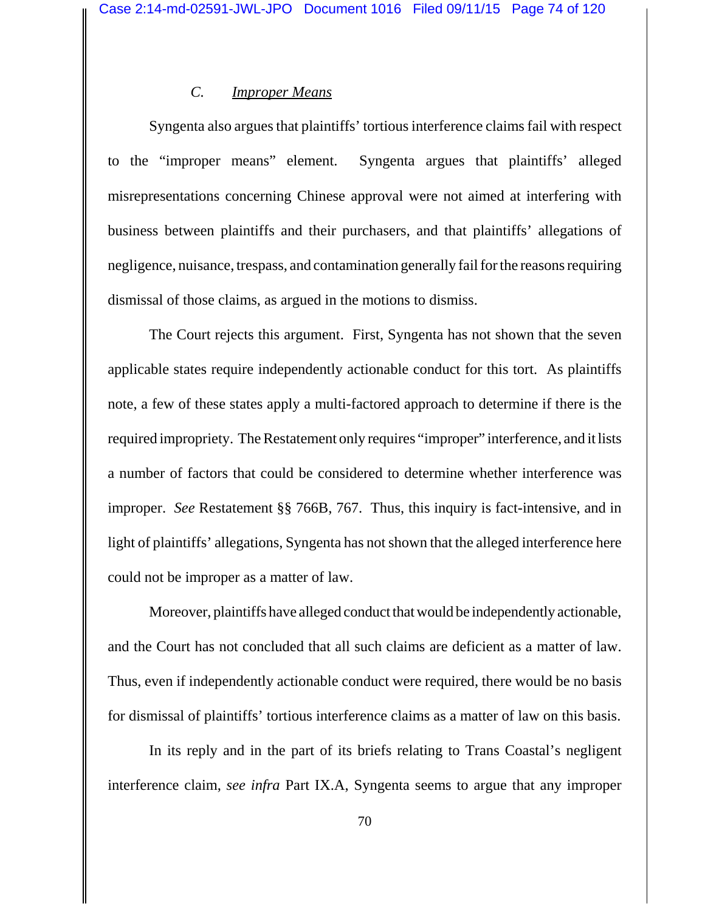### *C. Improper Means*

Syngenta also argues that plaintiffs' tortious interference claims fail with respect to the "improper means" element. Syngenta argues that plaintiffs' alleged misrepresentations concerning Chinese approval were not aimed at interfering with business between plaintiffs and their purchasers, and that plaintiffs' allegations of negligence, nuisance, trespass, and contamination generally fail for the reasons requiring dismissal of those claims, as argued in the motions to dismiss.

The Court rejects this argument. First, Syngenta has not shown that the seven applicable states require independently actionable conduct for this tort. As plaintiffs note, a few of these states apply a multi-factored approach to determine if there is the required impropriety. The Restatement only requires "improper" interference, and it lists a number of factors that could be considered to determine whether interference was improper. *See* Restatement §§ 766B, 767. Thus, this inquiry is fact-intensive, and in light of plaintiffs' allegations, Syngenta has not shown that the alleged interference here could not be improper as a matter of law.

Moreover, plaintiffs have alleged conduct that would be independently actionable, and the Court has not concluded that all such claims are deficient as a matter of law. Thus, even if independently actionable conduct were required, there would be no basis for dismissal of plaintiffs' tortious interference claims as a matter of law on this basis.

In its reply and in the part of its briefs relating to Trans Coastal's negligent interference claim, *see infra* Part IX.A, Syngenta seems to argue that any improper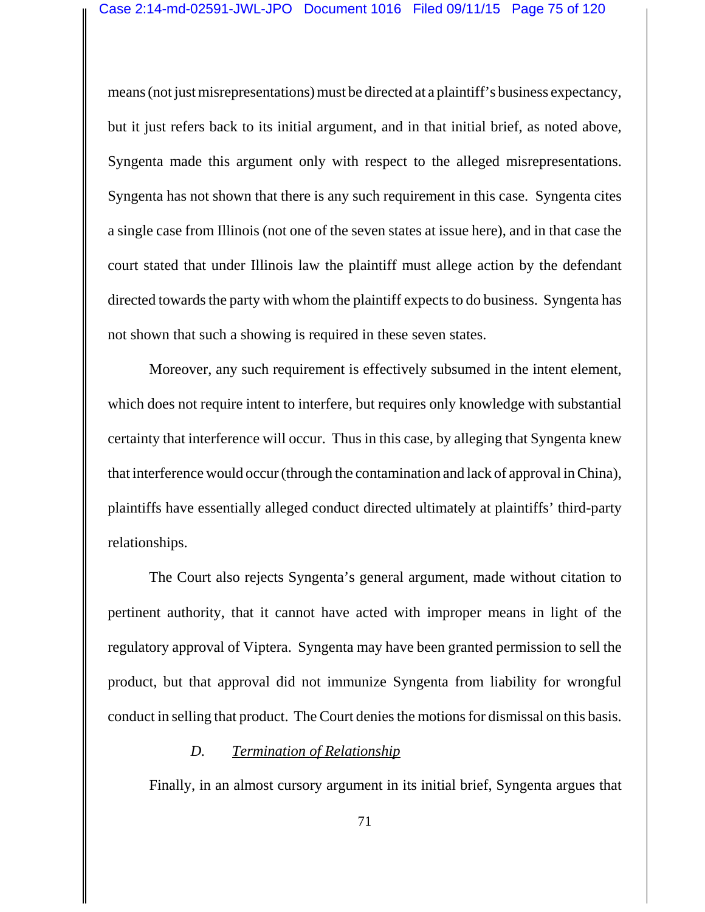means (not just misrepresentations) must be directed at a plaintiff's business expectancy, but it just refers back to its initial argument, and in that initial brief, as noted above, Syngenta made this argument only with respect to the alleged misrepresentations. Syngenta has not shown that there is any such requirement in this case. Syngenta cites a single case from Illinois (not one of the seven states at issue here), and in that case the court stated that under Illinois law the plaintiff must allege action by the defendant directed towards the party with whom the plaintiff expects to do business. Syngenta has not shown that such a showing is required in these seven states.

Moreover, any such requirement is effectively subsumed in the intent element, which does not require intent to interfere, but requires only knowledge with substantial certainty that interference will occur. Thus in this case, by alleging that Syngenta knew that interference would occur (through the contamination and lack of approval in China), plaintiffs have essentially alleged conduct directed ultimately at plaintiffs' third-party relationships.

The Court also rejects Syngenta's general argument, made without citation to pertinent authority, that it cannot have acted with improper means in light of the regulatory approval of Viptera. Syngenta may have been granted permission to sell the product, but that approval did not immunize Syngenta from liability for wrongful conduct in selling that product. The Court denies the motions for dismissal on this basis.

#### *D. Termination of Relationship*

Finally, in an almost cursory argument in its initial brief, Syngenta argues that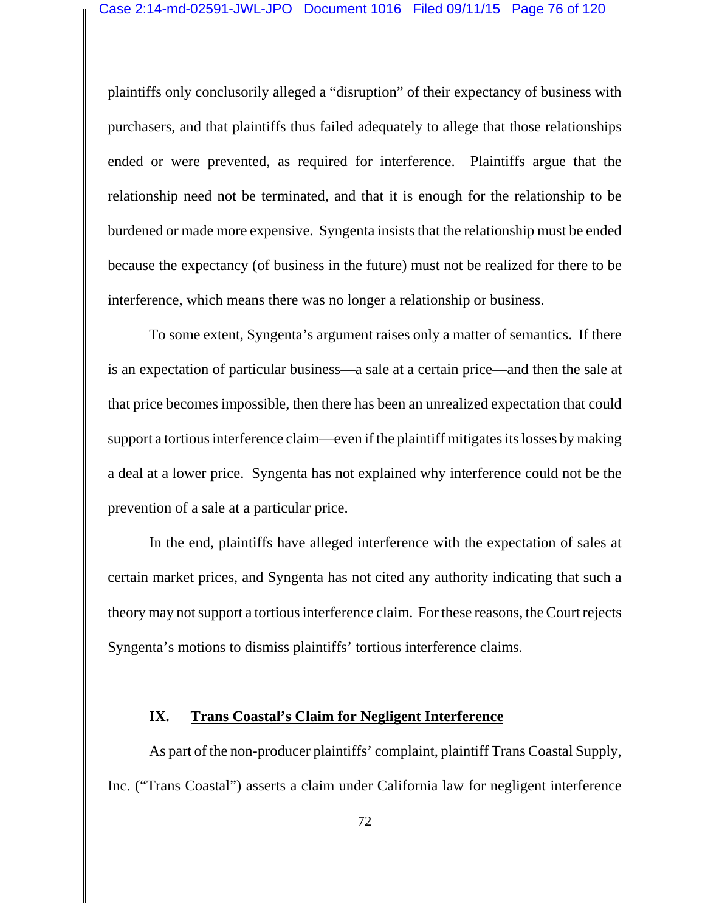plaintiffs only conclusorily alleged a "disruption" of their expectancy of business with purchasers, and that plaintiffs thus failed adequately to allege that those relationships ended or were prevented, as required for interference. Plaintiffs argue that the relationship need not be terminated, and that it is enough for the relationship to be burdened or made more expensive. Syngenta insists that the relationship must be ended because the expectancy (of business in the future) must not be realized for there to be interference, which means there was no longer a relationship or business.

To some extent, Syngenta's argument raises only a matter of semantics. If there is an expectation of particular business—a sale at a certain price—and then the sale at that price becomes impossible, then there has been an unrealized expectation that could support a tortious interference claim—even if the plaintiff mitigates its losses by making a deal at a lower price. Syngenta has not explained why interference could not be the prevention of a sale at a particular price.

In the end, plaintiffs have alleged interference with the expectation of sales at certain market prices, and Syngenta has not cited any authority indicating that such a theory may not support a tortious interference claim. For these reasons, the Court rejects Syngenta's motions to dismiss plaintiffs' tortious interference claims.

### **IX. Trans Coastal's Claim for Negligent Interference**

As part of the non-producer plaintiffs' complaint, plaintiff Trans Coastal Supply, Inc. ("Trans Coastal") asserts a claim under California law for negligent interference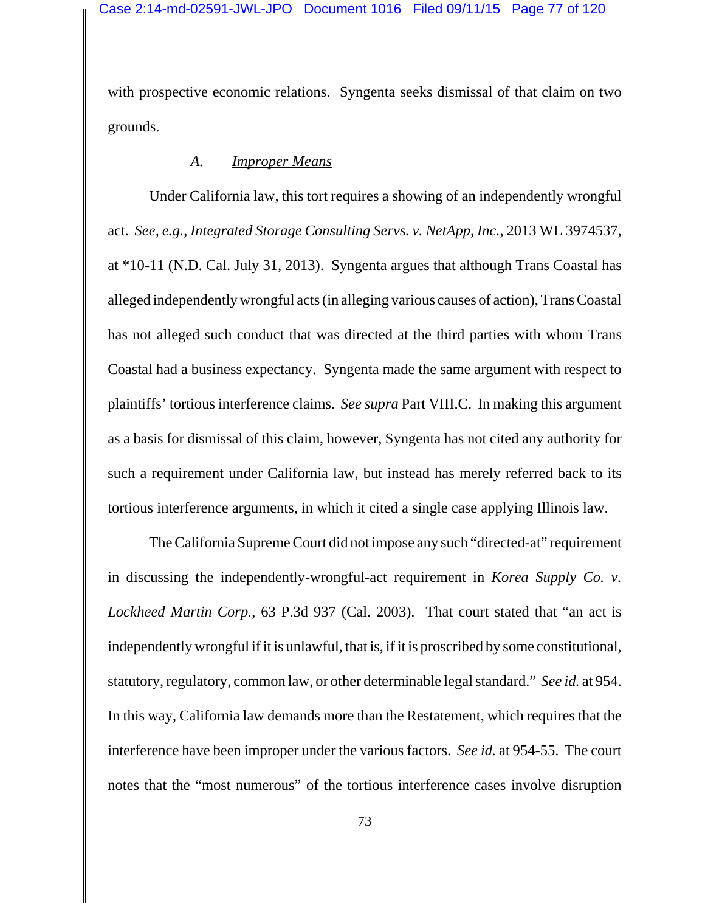with prospective economic relations. Syngenta seeks dismissal of that claim on two grounds.

## *A. Improper Means*

Under California law, this tort requires a showing of an independently wrongful act. *See, e.g.*, *Integrated Storage Consulting Servs. v. NetApp, Inc.*, 2013 WL 3974537, at \*10-11 (N.D. Cal. July 31, 2013). Syngenta argues that although Trans Coastal has alleged independently wrongful acts (in alleging various causes of action), Trans Coastal has not alleged such conduct that was directed at the third parties with whom Trans Coastal had a business expectancy. Syngenta made the same argument with respect to plaintiffs' tortious interference claims. *See supra* Part VIII.C. In making this argument as a basis for dismissal of this claim, however, Syngenta has not cited any authority for such a requirement under California law, but instead has merely referred back to its tortious interference arguments, in which it cited a single case applying Illinois law.

The California Supreme Court did not impose any such "directed-at" requirement in discussing the independently-wrongful-act requirement in *Korea Supply Co. v. Lockheed Martin Corp.*, 63 P.3d 937 (Cal. 2003). That court stated that "an act is independently wrongful if it is unlawful, that is, if it is proscribed by some constitutional, statutory, regulatory, common law, or other determinable legal standard." *See id.* at 954. In this way, California law demands more than the Restatement, which requires that the interference have been improper under the various factors. *See id.* at 954-55. The court notes that the "most numerous" of the tortious interference cases involve disruption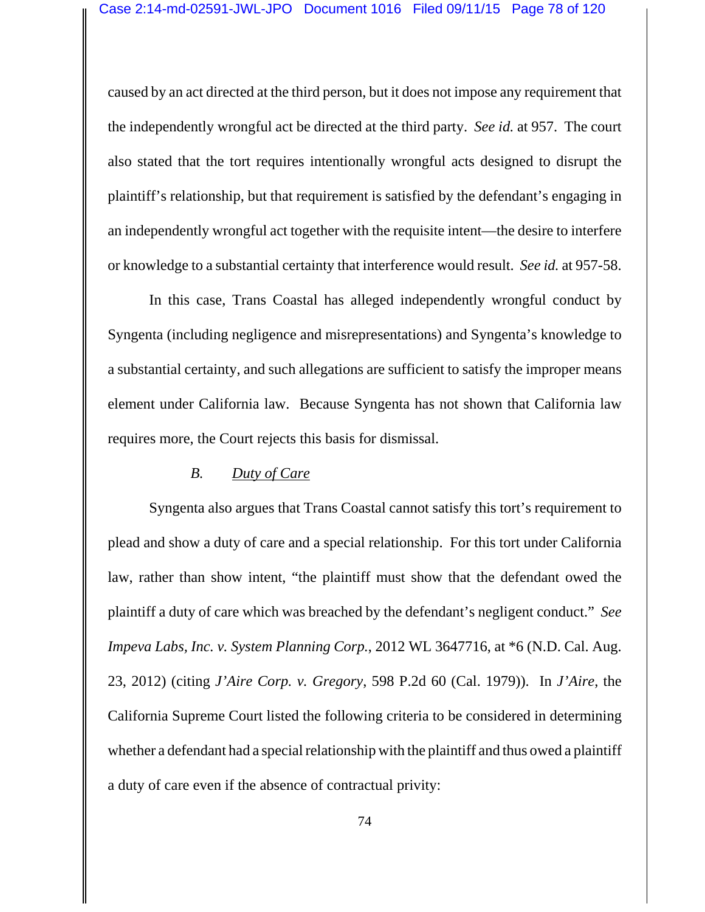caused by an act directed at the third person, but it does not impose any requirement that the independently wrongful act be directed at the third party. *See id.* at 957. The court also stated that the tort requires intentionally wrongful acts designed to disrupt the plaintiff's relationship, but that requirement is satisfied by the defendant's engaging in an independently wrongful act together with the requisite intent—the desire to interfere or knowledge to a substantial certainty that interference would result. *See id.* at 957-58.

In this case, Trans Coastal has alleged independently wrongful conduct by Syngenta (including negligence and misrepresentations) and Syngenta's knowledge to a substantial certainty, and such allegations are sufficient to satisfy the improper means element under California law. Because Syngenta has not shown that California law requires more, the Court rejects this basis for dismissal.

#### *B. Duty of Care*

Syngenta also argues that Trans Coastal cannot satisfy this tort's requirement to plead and show a duty of care and a special relationship. For this tort under California law, rather than show intent, "the plaintiff must show that the defendant owed the plaintiff a duty of care which was breached by the defendant's negligent conduct." *See Impeva Labs, Inc. v. System Planning Corp.*, 2012 WL 3647716, at \*6 (N.D. Cal. Aug. 23, 2012) (citing *J'Aire Corp. v. Gregory*, 598 P.2d 60 (Cal. 1979)). In *J'Aire*, the California Supreme Court listed the following criteria to be considered in determining whether a defendant had a special relationship with the plaintiff and thus owed a plaintiff a duty of care even if the absence of contractual privity: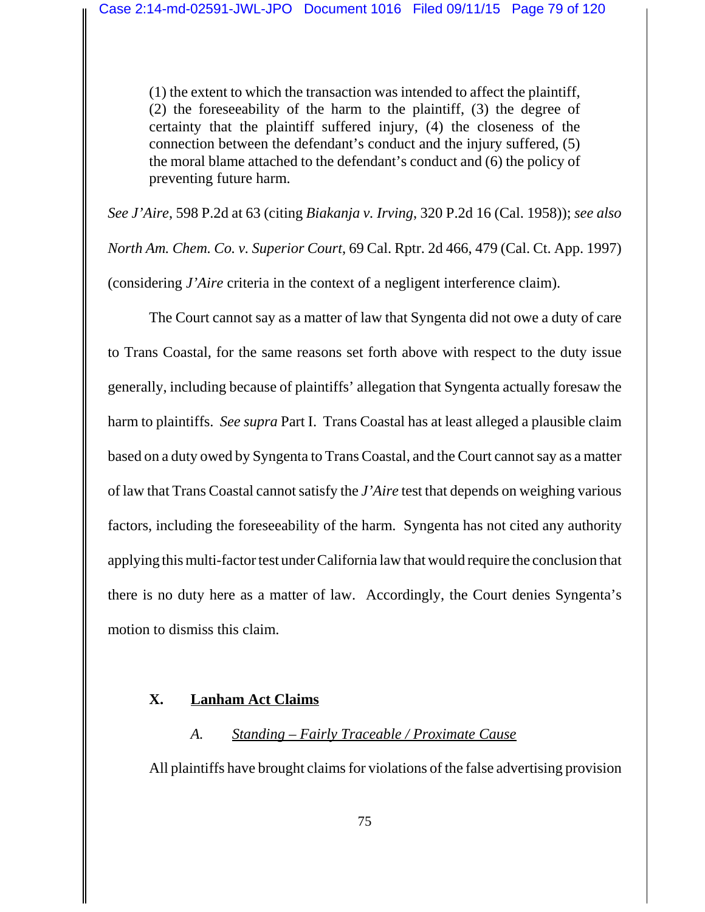(1) the extent to which the transaction was intended to affect the plaintiff, (2) the foreseeability of the harm to the plaintiff, (3) the degree of certainty that the plaintiff suffered injury, (4) the closeness of the connection between the defendant's conduct and the injury suffered, (5) the moral blame attached to the defendant's conduct and (6) the policy of preventing future harm.

*See J'Aire*, 598 P.2d at 63 (citing *Biakanja v. Irving*, 320 P.2d 16 (Cal. 1958)); *see also North Am. Chem. Co. v. Superior Court*, 69 Cal. Rptr. 2d 466, 479 (Cal. Ct. App. 1997) (considering *J'Aire* criteria in the context of a negligent interference claim).

The Court cannot say as a matter of law that Syngenta did not owe a duty of care to Trans Coastal, for the same reasons set forth above with respect to the duty issue generally, including because of plaintiffs' allegation that Syngenta actually foresaw the harm to plaintiffs. *See supra* Part I. Trans Coastal has at least alleged a plausible claim based on a duty owed by Syngenta to Trans Coastal, and the Court cannot say as a matter of law that Trans Coastal cannot satisfy the *J'Aire* test that depends on weighing various factors, including the foreseeability of the harm. Syngenta has not cited any authority applying this multi-factor test under California law that would require the conclusion that there is no duty here as a matter of law. Accordingly, the Court denies Syngenta's motion to dismiss this claim.

# **X. Lanham Act Claims**

### *A. Standing – Fairly Traceable / Proximate Cause*

All plaintiffs have brought claims for violations of the false advertising provision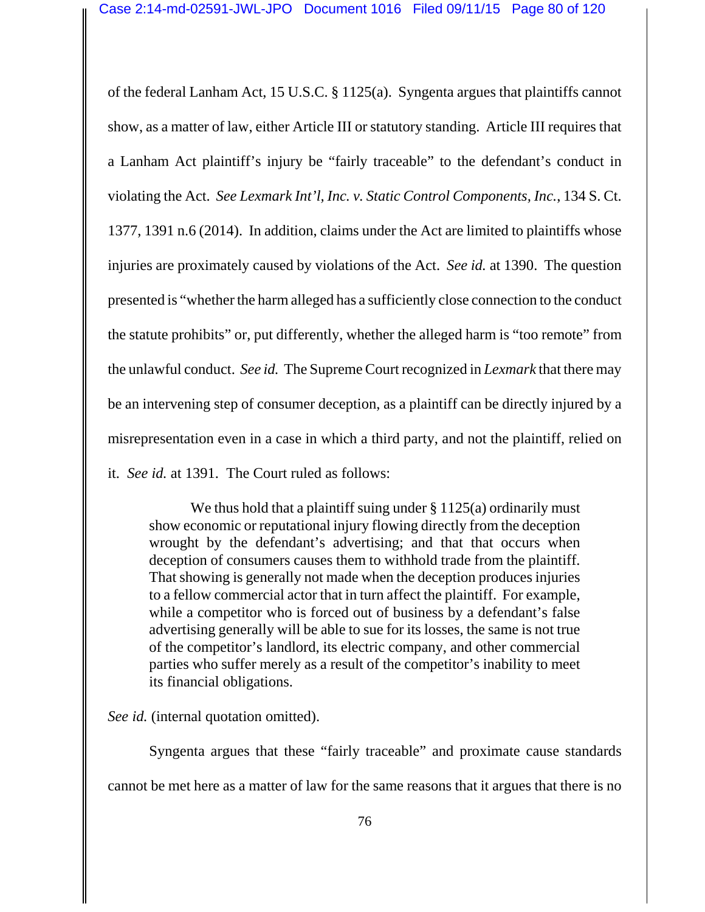of the federal Lanham Act, 15 U.S.C. § 1125(a). Syngenta argues that plaintiffs cannot show, as a matter of law, either Article III or statutory standing. Article III requires that a Lanham Act plaintiff's injury be "fairly traceable" to the defendant's conduct in violating the Act. *See Lexmark Int'l, Inc. v. Static Control Components, Inc.*, 134 S. Ct. 1377, 1391 n.6 (2014). In addition, claims under the Act are limited to plaintiffs whose injuries are proximately caused by violations of the Act. *See id.* at 1390. The question presented is "whether the harm alleged has a sufficiently close connection to the conduct the statute prohibits" or, put differently, whether the alleged harm is "too remote" from the unlawful conduct. *See id.* The Supreme Court recognized in *Lexmark* that there may be an intervening step of consumer deception, as a plaintiff can be directly injured by a misrepresentation even in a case in which a third party, and not the plaintiff, relied on it. *See id.* at 1391. The Court ruled as follows:

We thus hold that a plaintiff suing under  $\S 1125(a)$  ordinarily must show economic or reputational injury flowing directly from the deception wrought by the defendant's advertising; and that that occurs when deception of consumers causes them to withhold trade from the plaintiff. That showing is generally not made when the deception produces injuries to a fellow commercial actor that in turn affect the plaintiff. For example, while a competitor who is forced out of business by a defendant's false advertising generally will be able to sue for its losses, the same is not true of the competitor's landlord, its electric company, and other commercial parties who suffer merely as a result of the competitor's inability to meet its financial obligations.

*See id.* (internal quotation omitted).

Syngenta argues that these "fairly traceable" and proximate cause standards cannot be met here as a matter of law for the same reasons that it argues that there is no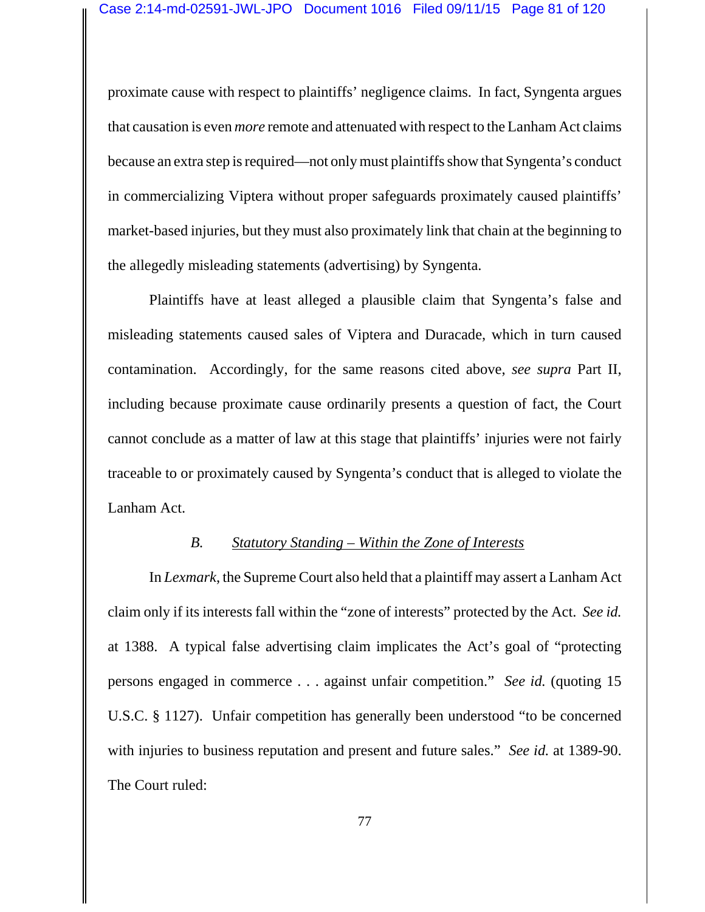proximate cause with respect to plaintiffs' negligence claims. In fact, Syngenta argues that causation is even *more* remote and attenuated with respect to the Lanham Act claims because an extra step is required—not only must plaintiffs show that Syngenta's conduct in commercializing Viptera without proper safeguards proximately caused plaintiffs' market-based injuries, but they must also proximately link that chain at the beginning to the allegedly misleading statements (advertising) by Syngenta.

Plaintiffs have at least alleged a plausible claim that Syngenta's false and misleading statements caused sales of Viptera and Duracade, which in turn caused contamination. Accordingly, for the same reasons cited above, *see supra* Part II, including because proximate cause ordinarily presents a question of fact, the Court cannot conclude as a matter of law at this stage that plaintiffs' injuries were not fairly traceable to or proximately caused by Syngenta's conduct that is alleged to violate the Lanham Act.

#### *B. Statutory Standing – Within the Zone of Interests*

In *Lexmark*, the Supreme Court also held that a plaintiff may assert a Lanham Act claim only if its interests fall within the "zone of interests" protected by the Act. *See id.* at 1388. A typical false advertising claim implicates the Act's goal of "protecting persons engaged in commerce . . . against unfair competition." *See id.* (quoting 15 U.S.C. § 1127). Unfair competition has generally been understood "to be concerned with injuries to business reputation and present and future sales." *See id.* at 1389-90. The Court ruled: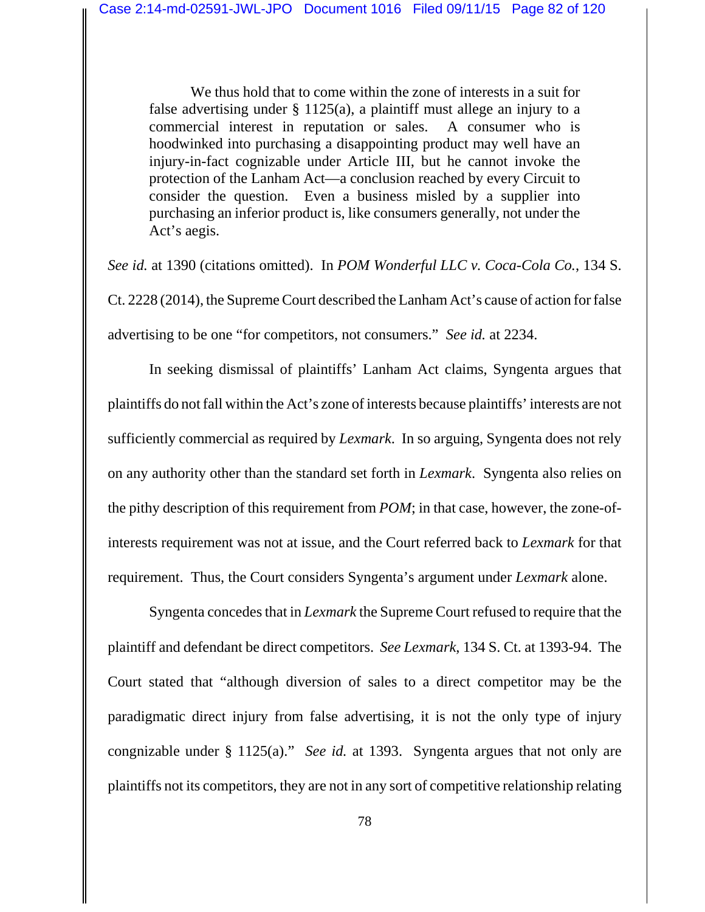We thus hold that to come within the zone of interests in a suit for false advertising under § 1125(a), a plaintiff must allege an injury to a commercial interest in reputation or sales. A consumer who is hoodwinked into purchasing a disappointing product may well have an injury-in-fact cognizable under Article III, but he cannot invoke the protection of the Lanham Act—a conclusion reached by every Circuit to consider the question. Even a business misled by a supplier into purchasing an inferior product is, like consumers generally, not under the Act's aegis.

*See id.* at 1390 (citations omitted). In *POM Wonderful LLC v. Coca-Cola Co.*, 134 S. Ct. 2228 (2014), the Supreme Court described the Lanham Act's cause of action for false advertising to be one "for competitors, not consumers." *See id.* at 2234.

In seeking dismissal of plaintiffs' Lanham Act claims, Syngenta argues that plaintiffs do not fall within the Act's zone of interests because plaintiffs' interests are not sufficiently commercial as required by *Lexmark*. In so arguing, Syngenta does not rely on any authority other than the standard set forth in *Lexmark*. Syngenta also relies on the pithy description of this requirement from *POM*; in that case, however, the zone-ofinterests requirement was not at issue, and the Court referred back to *Lexmark* for that requirement. Thus, the Court considers Syngenta's argument under *Lexmark* alone.

Syngenta concedes that in *Lexmark* the Supreme Court refused to require that the plaintiff and defendant be direct competitors. *See Lexmark*, 134 S. Ct. at 1393-94. The Court stated that "although diversion of sales to a direct competitor may be the paradigmatic direct injury from false advertising, it is not the only type of injury congnizable under § 1125(a)." *See id.* at 1393. Syngenta argues that not only are plaintiffs not its competitors, they are not in any sort of competitive relationship relating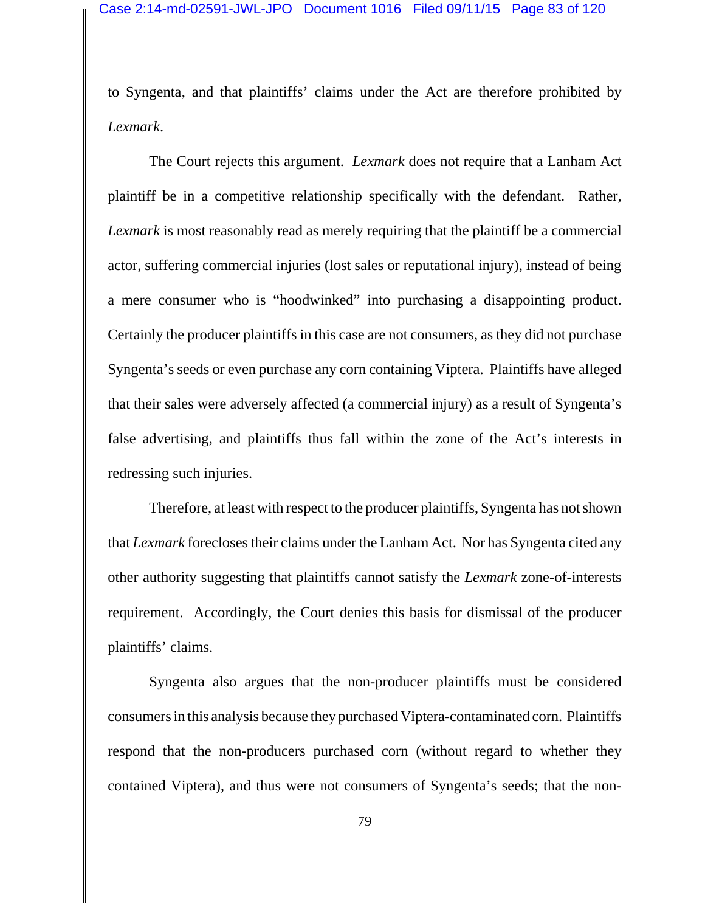to Syngenta, and that plaintiffs' claims under the Act are therefore prohibited by *Lexmark*.

The Court rejects this argument. *Lexmark* does not require that a Lanham Act plaintiff be in a competitive relationship specifically with the defendant. Rather, *Lexmark* is most reasonably read as merely requiring that the plaintiff be a commercial actor, suffering commercial injuries (lost sales or reputational injury), instead of being a mere consumer who is "hoodwinked" into purchasing a disappointing product. Certainly the producer plaintiffs in this case are not consumers, as they did not purchase Syngenta's seeds or even purchase any corn containing Viptera. Plaintiffs have alleged that their sales were adversely affected (a commercial injury) as a result of Syngenta's false advertising, and plaintiffs thus fall within the zone of the Act's interests in redressing such injuries.

Therefore, at least with respect to the producer plaintiffs, Syngenta has not shown that *Lexmark* forecloses their claims under the Lanham Act. Nor has Syngenta cited any other authority suggesting that plaintiffs cannot satisfy the *Lexmark* zone-of-interests requirement. Accordingly, the Court denies this basis for dismissal of the producer plaintiffs' claims.

Syngenta also argues that the non-producer plaintiffs must be considered consumers in this analysis because they purchased Viptera-contaminated corn. Plaintiffs respond that the non-producers purchased corn (without regard to whether they contained Viptera), and thus were not consumers of Syngenta's seeds; that the non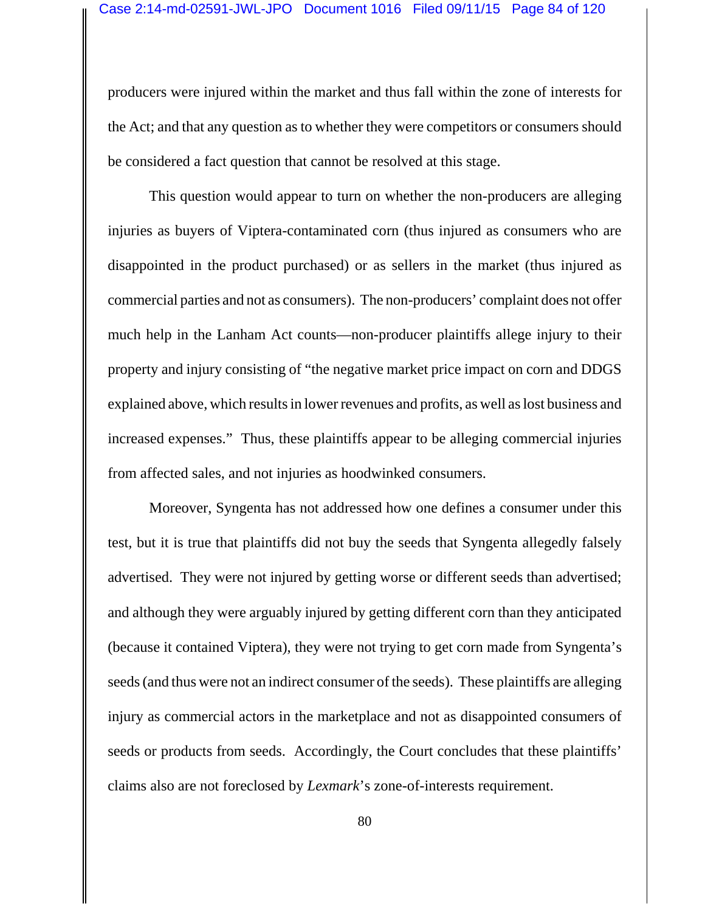producers were injured within the market and thus fall within the zone of interests for the Act; and that any question as to whether they were competitors or consumers should be considered a fact question that cannot be resolved at this stage.

This question would appear to turn on whether the non-producers are alleging injuries as buyers of Viptera-contaminated corn (thus injured as consumers who are disappointed in the product purchased) or as sellers in the market (thus injured as commercial parties and not as consumers). The non-producers' complaint does not offer much help in the Lanham Act counts—non-producer plaintiffs allege injury to their property and injury consisting of "the negative market price impact on corn and DDGS explained above, which results in lower revenues and profits, as well as lost business and increased expenses." Thus, these plaintiffs appear to be alleging commercial injuries from affected sales, and not injuries as hoodwinked consumers.

Moreover, Syngenta has not addressed how one defines a consumer under this test, but it is true that plaintiffs did not buy the seeds that Syngenta allegedly falsely advertised. They were not injured by getting worse or different seeds than advertised; and although they were arguably injured by getting different corn than they anticipated (because it contained Viptera), they were not trying to get corn made from Syngenta's seeds (and thus were not an indirect consumer of the seeds). These plaintiffs are alleging injury as commercial actors in the marketplace and not as disappointed consumers of seeds or products from seeds. Accordingly, the Court concludes that these plaintiffs' claims also are not foreclosed by *Lexmark*'s zone-of-interests requirement.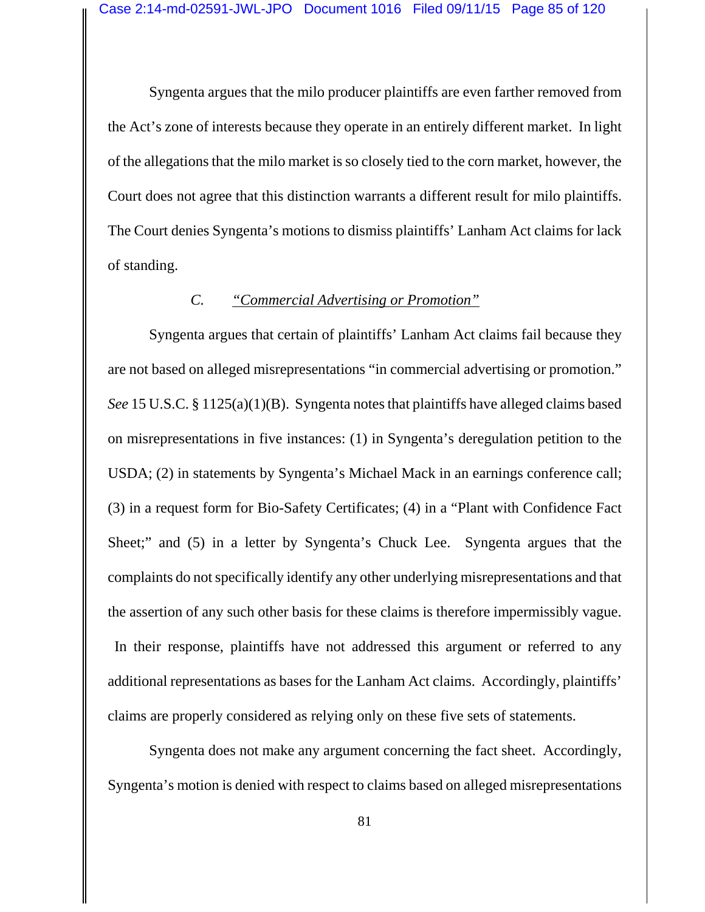Syngenta argues that the milo producer plaintiffs are even farther removed from the Act's zone of interests because they operate in an entirely different market. In light of the allegations that the milo market is so closely tied to the corn market, however, the Court does not agree that this distinction warrants a different result for milo plaintiffs. The Court denies Syngenta's motions to dismiss plaintiffs' Lanham Act claims for lack of standing.

### *C. "Commercial Advertising or Promotion"*

Syngenta argues that certain of plaintiffs' Lanham Act claims fail because they are not based on alleged misrepresentations "in commercial advertising or promotion." *See* 15 U.S.C. § 1125(a)(1)(B). Syngenta notes that plaintiffs have alleged claims based on misrepresentations in five instances: (1) in Syngenta's deregulation petition to the USDA; (2) in statements by Syngenta's Michael Mack in an earnings conference call; (3) in a request form for Bio-Safety Certificates; (4) in a "Plant with Confidence Fact Sheet;" and (5) in a letter by Syngenta's Chuck Lee. Syngenta argues that the complaints do not specifically identify any other underlying misrepresentations and that the assertion of any such other basis for these claims is therefore impermissibly vague. In their response, plaintiffs have not addressed this argument or referred to any additional representations as bases for the Lanham Act claims. Accordingly, plaintiffs' claims are properly considered as relying only on these five sets of statements.

Syngenta does not make any argument concerning the fact sheet. Accordingly, Syngenta's motion is denied with respect to claims based on alleged misrepresentations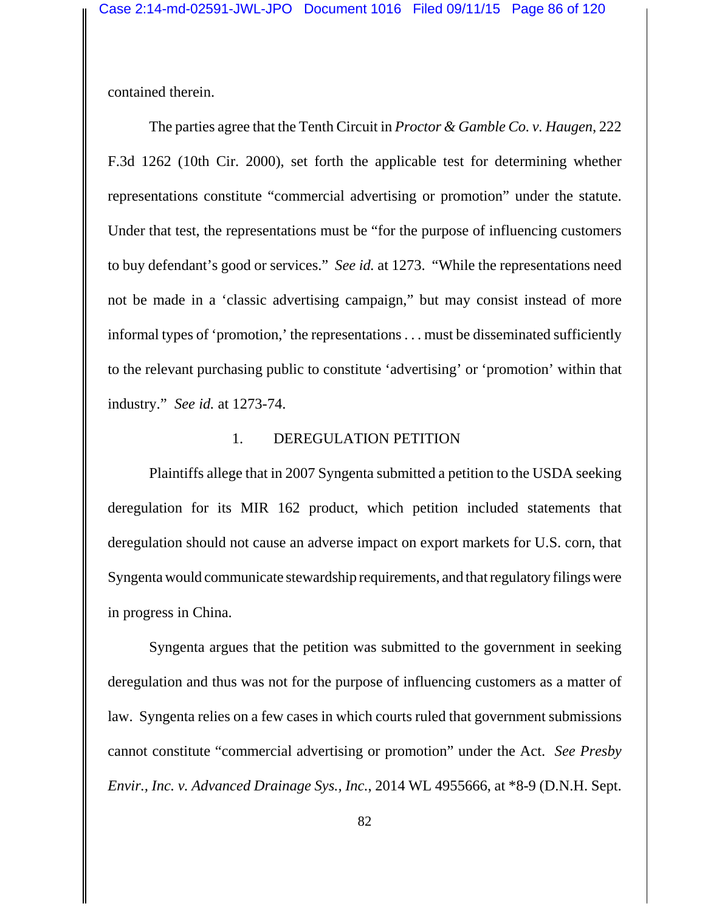contained therein.

The parties agree that the Tenth Circuit in *Proctor & Gamble Co. v. Haugen*, 222 F.3d 1262 (10th Cir. 2000), set forth the applicable test for determining whether representations constitute "commercial advertising or promotion" under the statute. Under that test, the representations must be "for the purpose of influencing customers to buy defendant's good or services." *See id.* at 1273. "While the representations need not be made in a 'classic advertising campaign," but may consist instead of more informal types of 'promotion,' the representations . . . must be disseminated sufficiently to the relevant purchasing public to constitute 'advertising' or 'promotion' within that industry." *See id.* at 1273-74.

#### 1. DEREGULATION PETITION

Plaintiffs allege that in 2007 Syngenta submitted a petition to the USDA seeking deregulation for its MIR 162 product, which petition included statements that deregulation should not cause an adverse impact on export markets for U.S. corn, that Syngenta would communicate stewardship requirements, and that regulatory filings were in progress in China.

Syngenta argues that the petition was submitted to the government in seeking deregulation and thus was not for the purpose of influencing customers as a matter of law. Syngenta relies on a few cases in which courts ruled that government submissions cannot constitute "commercial advertising or promotion" under the Act. *See Presby Envir., Inc. v. Advanced Drainage Sys., Inc.*, 2014 WL 4955666, at \*8-9 (D.N.H. Sept.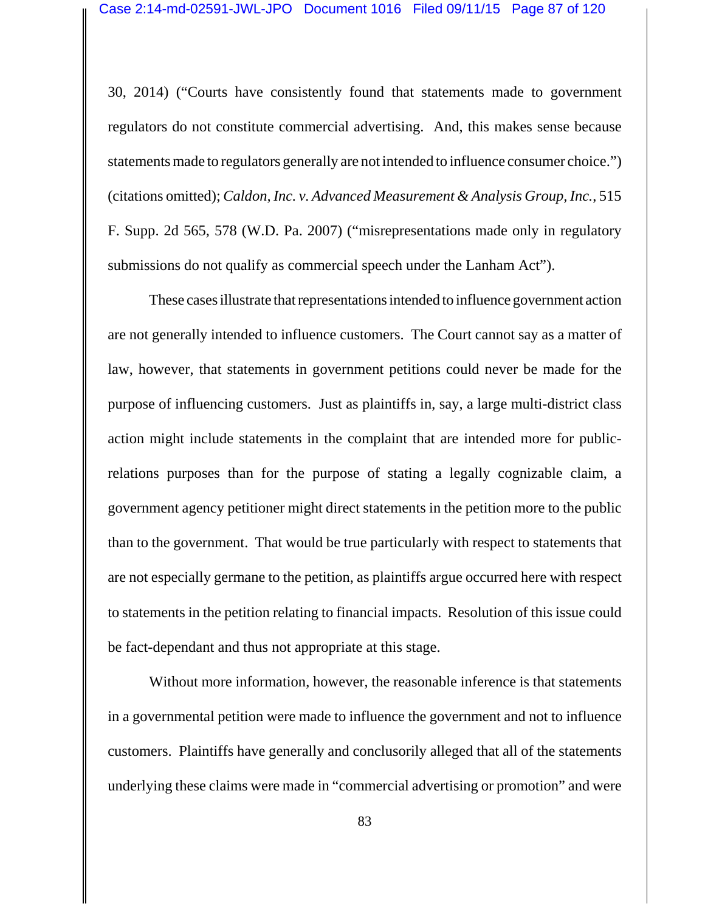30, 2014) ("Courts have consistently found that statements made to government regulators do not constitute commercial advertising. And, this makes sense because statements made to regulators generally are not intended to influence consumer choice.") (citations omitted); *Caldon, Inc. v. Advanced Measurement & Analysis Group, Inc.*, 515 F. Supp. 2d 565, 578 (W.D. Pa. 2007) ("misrepresentations made only in regulatory submissions do not qualify as commercial speech under the Lanham Act").

These cases illustrate that representations intended to influence government action are not generally intended to influence customers. The Court cannot say as a matter of law, however, that statements in government petitions could never be made for the purpose of influencing customers. Just as plaintiffs in, say, a large multi-district class action might include statements in the complaint that are intended more for publicrelations purposes than for the purpose of stating a legally cognizable claim, a government agency petitioner might direct statements in the petition more to the public than to the government. That would be true particularly with respect to statements that are not especially germane to the petition, as plaintiffs argue occurred here with respect to statements in the petition relating to financial impacts. Resolution of this issue could be fact-dependant and thus not appropriate at this stage.

Without more information, however, the reasonable inference is that statements in a governmental petition were made to influence the government and not to influence customers. Plaintiffs have generally and conclusorily alleged that all of the statements underlying these claims were made in "commercial advertising or promotion" and were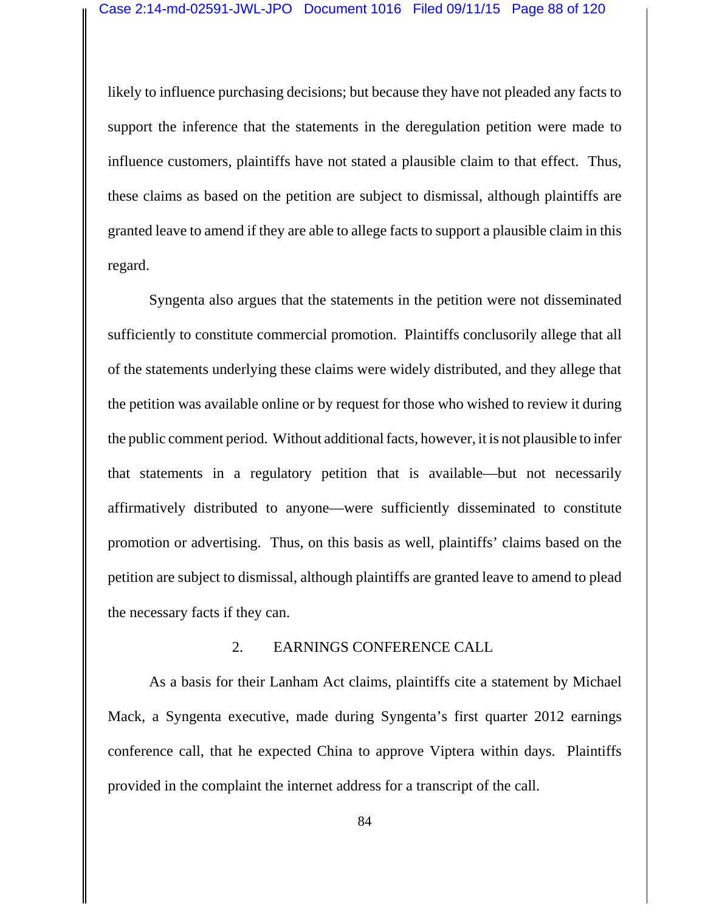likely to influence purchasing decisions; but because they have not pleaded any facts to support the inference that the statements in the deregulation petition were made to influence customers, plaintiffs have not stated a plausible claim to that effect. Thus, these claims as based on the petition are subject to dismissal, although plaintiffs are granted leave to amend if they are able to allege facts to support a plausible claim in this regard.

Syngenta also argues that the statements in the petition were not disseminated sufficiently to constitute commercial promotion. Plaintiffs conclusorily allege that all of the statements underlying these claims were widely distributed, and they allege that the petition was available online or by request for those who wished to review it during the public comment period. Without additional facts, however, it is not plausible to infer that statements in a regulatory petition that is available—but not necessarily affirmatively distributed to anyone—were sufficiently disseminated to constitute promotion or advertising. Thus, on this basis as well, plaintiffs' claims based on the petition are subject to dismissal, although plaintiffs are granted leave to amend to plead the necessary facts if they can.

#### 2. EARNINGS CONFERENCE CALL

As a basis for their Lanham Act claims, plaintiffs cite a statement by Michael Mack, a Syngenta executive, made during Syngenta's first quarter 2012 earnings conference call, that he expected China to approve Viptera within days. Plaintiffs provided in the complaint the internet address for a transcript of the call.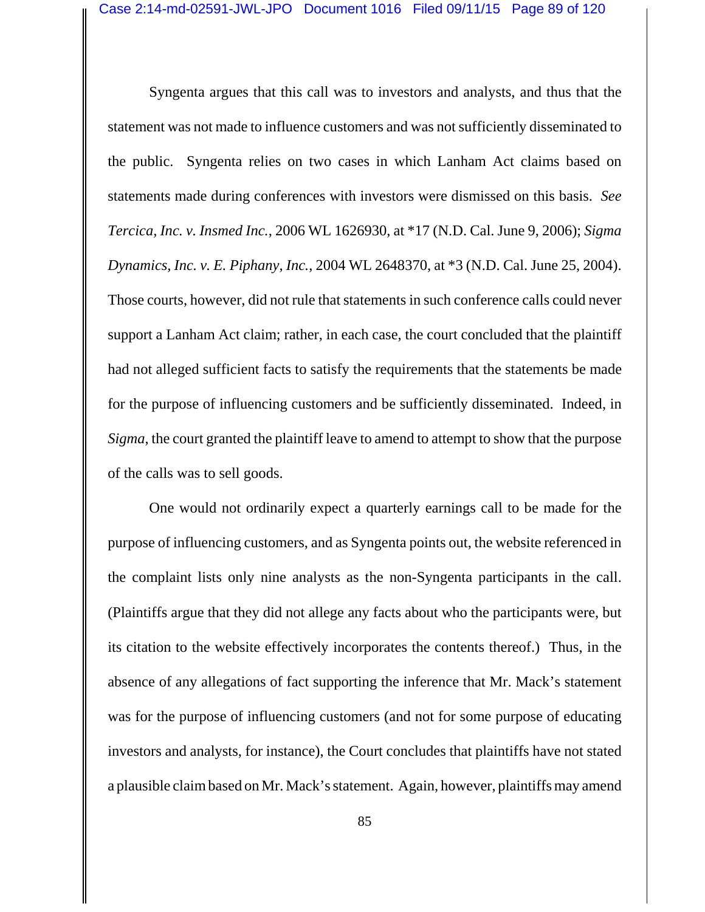Syngenta argues that this call was to investors and analysts, and thus that the statement was not made to influence customers and was not sufficiently disseminated to the public. Syngenta relies on two cases in which Lanham Act claims based on statements made during conferences with investors were dismissed on this basis. *See Tercica, Inc. v. Insmed Inc.*, 2006 WL 1626930, at \*17 (N.D. Cal. June 9, 2006); *Sigma Dynamics, Inc. v. E. Piphany, Inc.*, 2004 WL 2648370, at \*3 (N.D. Cal. June 25, 2004). Those courts, however, did not rule that statements in such conference calls could never support a Lanham Act claim; rather, in each case, the court concluded that the plaintiff had not alleged sufficient facts to satisfy the requirements that the statements be made for the purpose of influencing customers and be sufficiently disseminated. Indeed, in *Sigma*, the court granted the plaintiff leave to amend to attempt to show that the purpose of the calls was to sell goods.

One would not ordinarily expect a quarterly earnings call to be made for the purpose of influencing customers, and as Syngenta points out, the website referenced in the complaint lists only nine analysts as the non-Syngenta participants in the call. (Plaintiffs argue that they did not allege any facts about who the participants were, but its citation to the website effectively incorporates the contents thereof.) Thus, in the absence of any allegations of fact supporting the inference that Mr. Mack's statement was for the purpose of influencing customers (and not for some purpose of educating investors and analysts, for instance), the Court concludes that plaintiffs have not stated a plausible claim based on Mr. Mack's statement. Again, however, plaintiffs may amend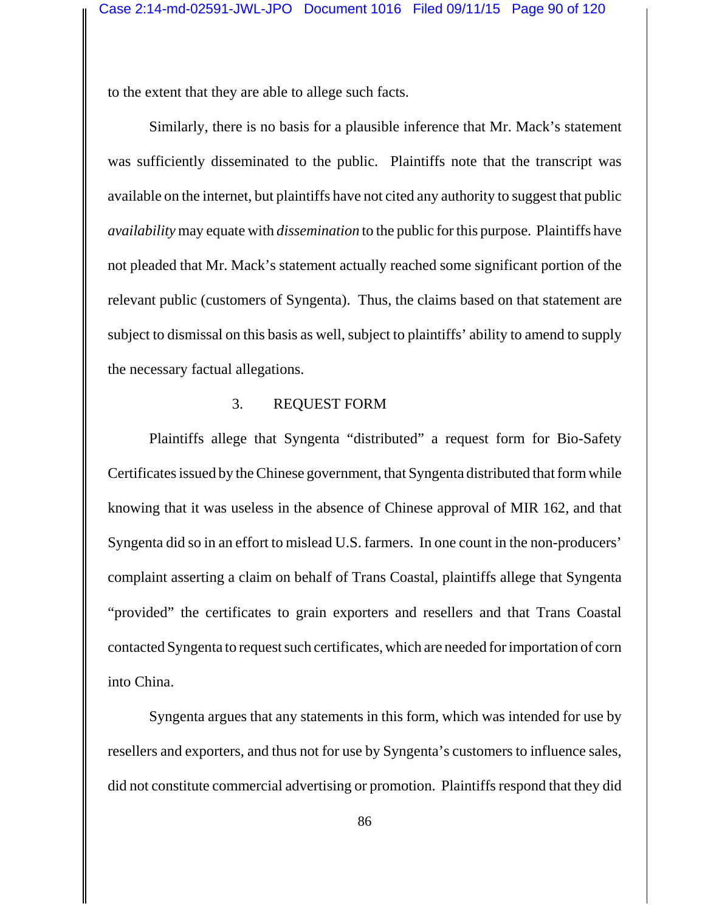to the extent that they are able to allege such facts.

Similarly, there is no basis for a plausible inference that Mr. Mack's statement was sufficiently disseminated to the public. Plaintiffs note that the transcript was available on the internet, but plaintiffs have not cited any authority to suggest that public *availability* may equate with *dissemination* to the public for this purpose. Plaintiffs have not pleaded that Mr. Mack's statement actually reached some significant portion of the relevant public (customers of Syngenta). Thus, the claims based on that statement are subject to dismissal on this basis as well, subject to plaintiffs' ability to amend to supply the necessary factual allegations.

#### 3. REQUEST FORM

Plaintiffs allege that Syngenta "distributed" a request form for Bio-Safety Certificates issued by the Chinese government, that Syngenta distributed that form while knowing that it was useless in the absence of Chinese approval of MIR 162, and that Syngenta did so in an effort to mislead U.S. farmers. In one count in the non-producers' complaint asserting a claim on behalf of Trans Coastal, plaintiffs allege that Syngenta "provided" the certificates to grain exporters and resellers and that Trans Coastal contacted Syngenta to request such certificates, which are needed for importation of corn into China.

Syngenta argues that any statements in this form, which was intended for use by resellers and exporters, and thus not for use by Syngenta's customers to influence sales, did not constitute commercial advertising or promotion. Plaintiffs respond that they did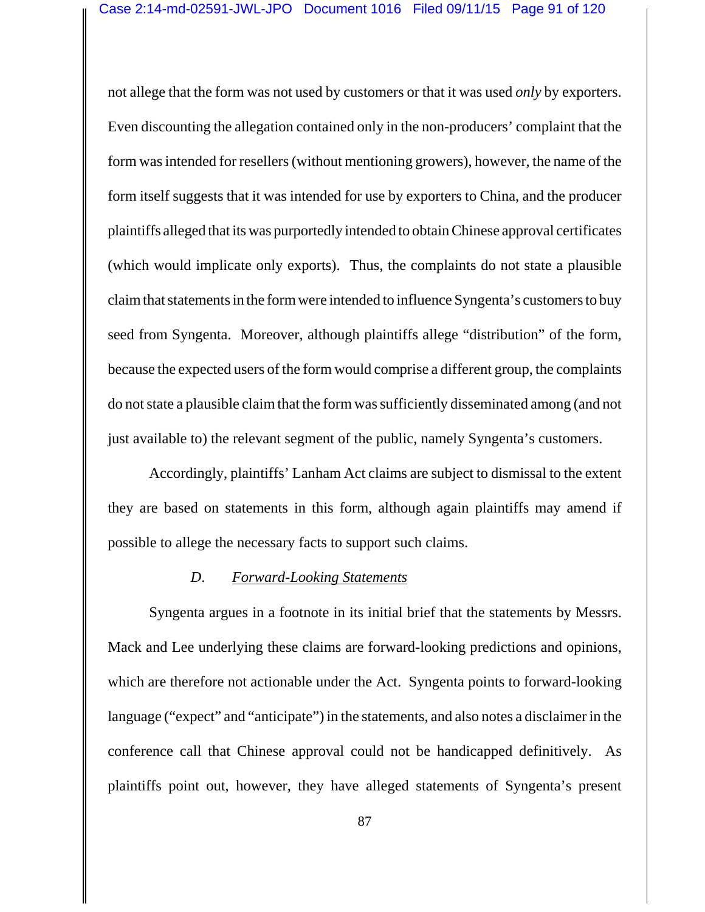not allege that the form was not used by customers or that it was used *only* by exporters. Even discounting the allegation contained only in the non-producers' complaint that the form was intended for resellers (without mentioning growers), however, the name of the form itself suggests that it was intended for use by exporters to China, and the producer plaintiffs alleged that its was purportedly intended to obtain Chinese approval certificates (which would implicate only exports). Thus, the complaints do not state a plausible claim that statements in the form were intended to influence Syngenta's customers to buy seed from Syngenta. Moreover, although plaintiffs allege "distribution" of the form, because the expected users of the form would comprise a different group, the complaints do not state a plausible claim that the form was sufficiently disseminated among (and not just available to) the relevant segment of the public, namely Syngenta's customers.

Accordingly, plaintiffs' Lanham Act claims are subject to dismissal to the extent they are based on statements in this form, although again plaintiffs may amend if possible to allege the necessary facts to support such claims.

#### *D*. *Forward-Looking Statements*

Syngenta argues in a footnote in its initial brief that the statements by Messrs. Mack and Lee underlying these claims are forward-looking predictions and opinions, which are therefore not actionable under the Act. Syngenta points to forward-looking language ("expect" and "anticipate") in the statements, and also notes a disclaimer in the conference call that Chinese approval could not be handicapped definitively. As plaintiffs point out, however, they have alleged statements of Syngenta's present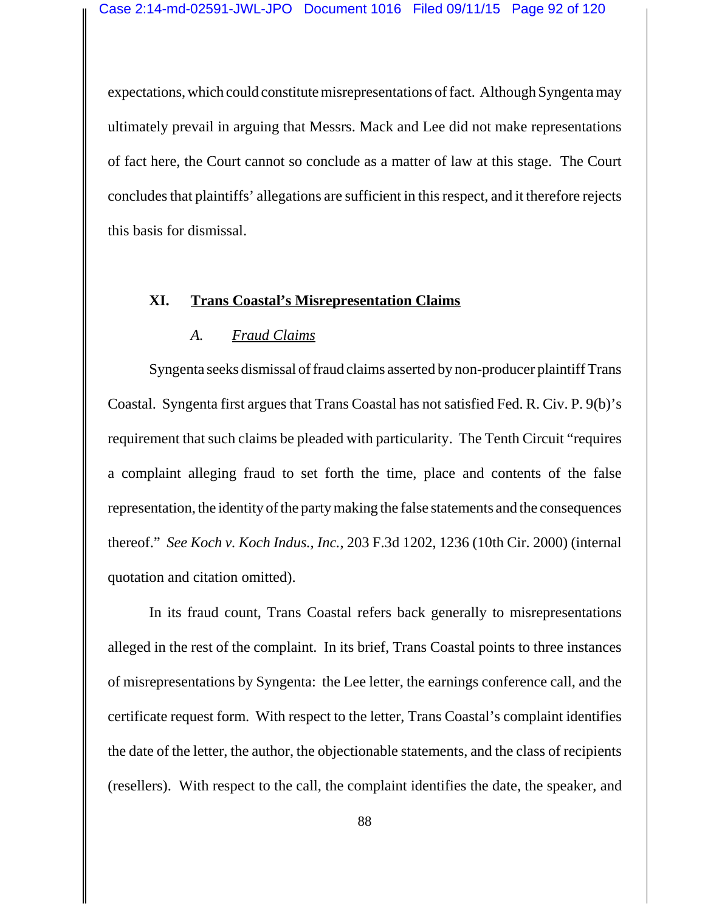expectations, which could constitute misrepresentations of fact. Although Syngenta may ultimately prevail in arguing that Messrs. Mack and Lee did not make representations of fact here, the Court cannot so conclude as a matter of law at this stage. The Court concludes that plaintiffs' allegations are sufficient in this respect, and it therefore rejects this basis for dismissal.

# **XI. Trans Coastal's Misrepresentation Claims**

## *A. Fraud Claims*

Syngenta seeks dismissal of fraud claims asserted by non-producer plaintiff Trans Coastal. Syngenta first argues that Trans Coastal has not satisfied Fed. R. Civ. P. 9(b)'s requirement that such claims be pleaded with particularity. The Tenth Circuit "requires a complaint alleging fraud to set forth the time, place and contents of the false representation, the identity of the party making the false statements and the consequences thereof." *See Koch v. Koch Indus., Inc.*, 203 F.3d 1202, 1236 (10th Cir. 2000) (internal quotation and citation omitted).

In its fraud count, Trans Coastal refers back generally to misrepresentations alleged in the rest of the complaint. In its brief, Trans Coastal points to three instances of misrepresentations by Syngenta: the Lee letter, the earnings conference call, and the certificate request form. With respect to the letter, Trans Coastal's complaint identifies the date of the letter, the author, the objectionable statements, and the class of recipients (resellers). With respect to the call, the complaint identifies the date, the speaker, and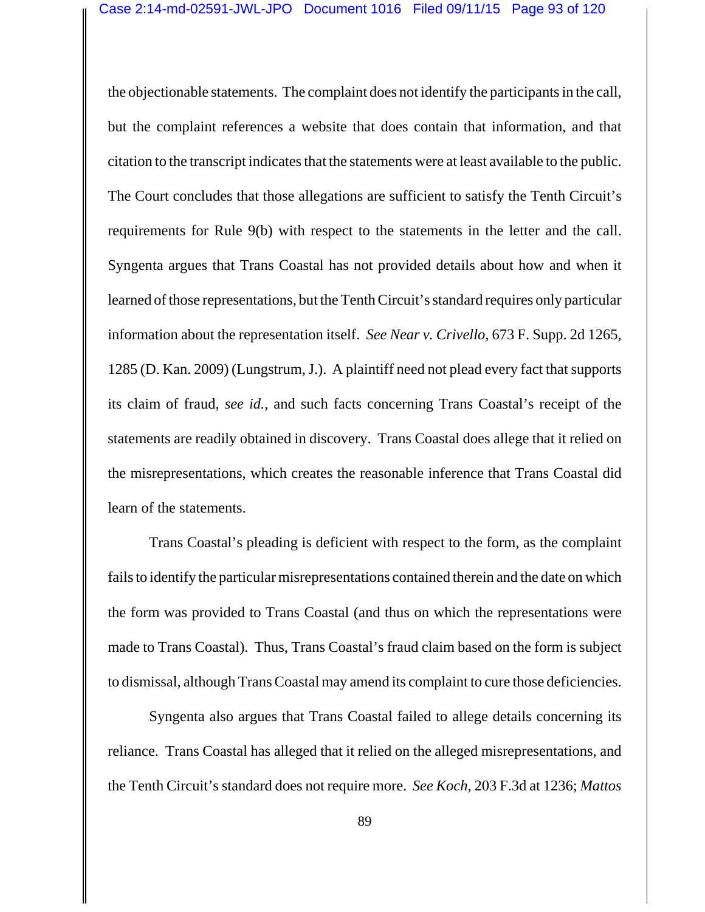the objectionable statements. The complaint does not identify the participants in the call, but the complaint references a website that does contain that information, and that citation to the transcript indicates that the statements were at least available to the public. The Court concludes that those allegations are sufficient to satisfy the Tenth Circuit's requirements for Rule 9(b) with respect to the statements in the letter and the call. Syngenta argues that Trans Coastal has not provided details about how and when it learned of those representations, but the Tenth Circuit's standard requires only particular information about the representation itself. *See Near v. Crivello*, 673 F. Supp. 2d 1265, 1285 (D. Kan. 2009) (Lungstrum, J.). A plaintiff need not plead every fact that supports its claim of fraud, *see id.*, and such facts concerning Trans Coastal's receipt of the statements are readily obtained in discovery. Trans Coastal does allege that it relied on the misrepresentations, which creates the reasonable inference that Trans Coastal did learn of the statements.

Trans Coastal's pleading is deficient with respect to the form, as the complaint fails to identify the particular misrepresentations contained therein and the date on which the form was provided to Trans Coastal (and thus on which the representations were made to Trans Coastal). Thus, Trans Coastal's fraud claim based on the form is subject to dismissal, although Trans Coastal may amend its complaint to cure those deficiencies.

Syngenta also argues that Trans Coastal failed to allege details concerning its reliance. Trans Coastal has alleged that it relied on the alleged misrepresentations, and the Tenth Circuit's standard does not require more. *See Koch*, 203 F.3d at 1236; *Mattos*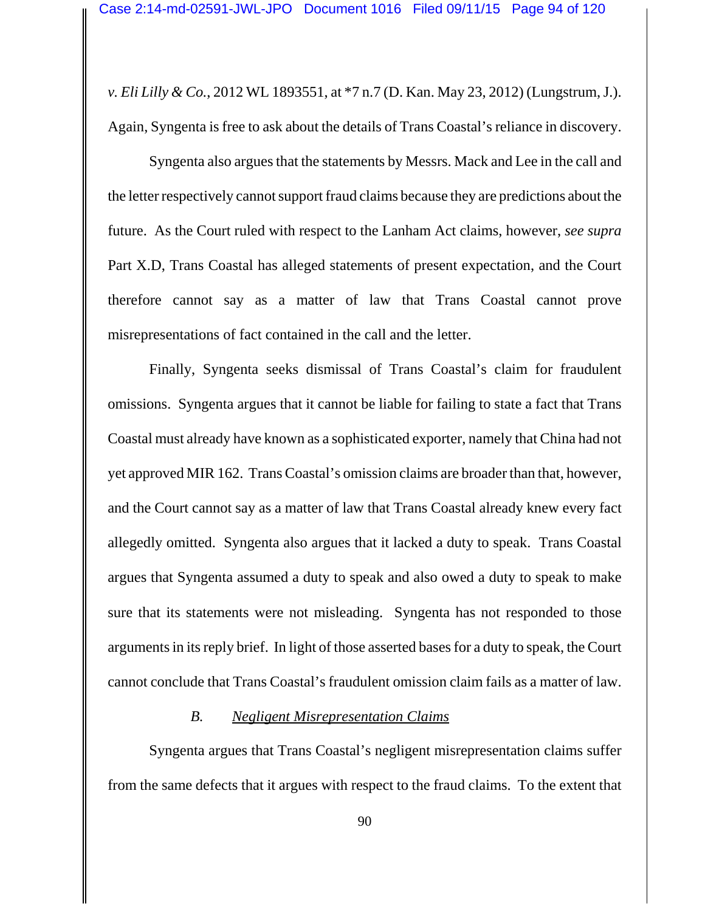*v. Eli Lilly & Co.*, 2012 WL 1893551, at \*7 n.7 (D. Kan. May 23, 2012) (Lungstrum, J.). Again, Syngenta is free to ask about the details of Trans Coastal's reliance in discovery.

Syngenta also argues that the statements by Messrs. Mack and Lee in the call and the letter respectively cannot support fraud claims because they are predictions about the future. As the Court ruled with respect to the Lanham Act claims, however, *see supra* Part X.D, Trans Coastal has alleged statements of present expectation, and the Court therefore cannot say as a matter of law that Trans Coastal cannot prove misrepresentations of fact contained in the call and the letter.

Finally, Syngenta seeks dismissal of Trans Coastal's claim for fraudulent omissions. Syngenta argues that it cannot be liable for failing to state a fact that Trans Coastal must already have known as a sophisticated exporter, namely that China had not yet approved MIR 162. Trans Coastal's omission claims are broader than that, however, and the Court cannot say as a matter of law that Trans Coastal already knew every fact allegedly omitted. Syngenta also argues that it lacked a duty to speak. Trans Coastal argues that Syngenta assumed a duty to speak and also owed a duty to speak to make sure that its statements were not misleading. Syngenta has not responded to those arguments in its reply brief. In light of those asserted bases for a duty to speak, the Court cannot conclude that Trans Coastal's fraudulent omission claim fails as a matter of law.

### *B. Negligent Misrepresentation Claims*

Syngenta argues that Trans Coastal's negligent misrepresentation claims suffer from the same defects that it argues with respect to the fraud claims. To the extent that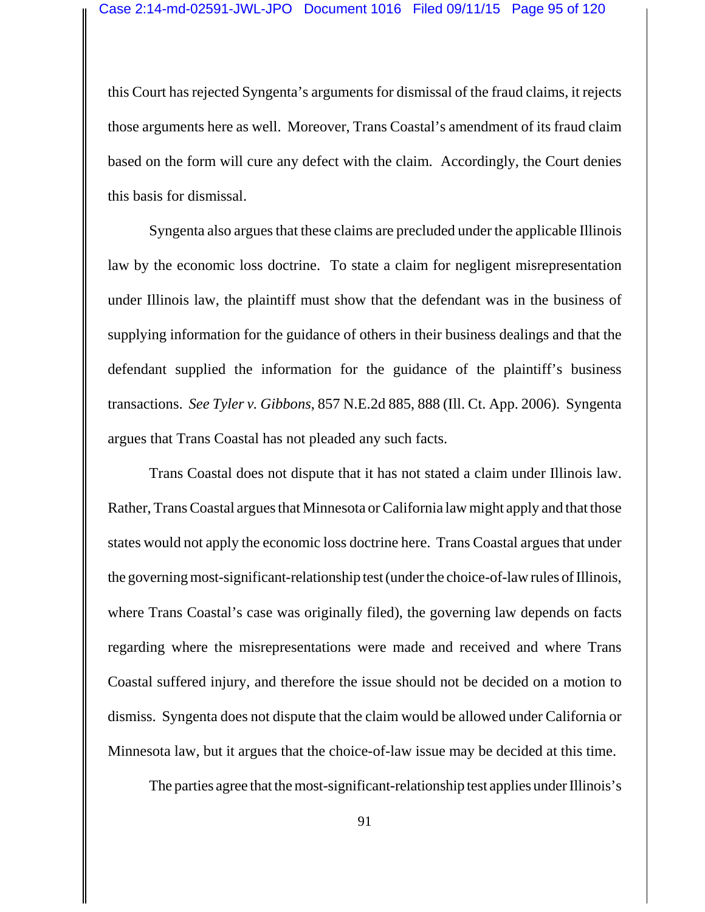this Court has rejected Syngenta's arguments for dismissal of the fraud claims, it rejects those arguments here as well. Moreover, Trans Coastal's amendment of its fraud claim based on the form will cure any defect with the claim. Accordingly, the Court denies this basis for dismissal.

Syngenta also argues that these claims are precluded under the applicable Illinois law by the economic loss doctrine. To state a claim for negligent misrepresentation under Illinois law, the plaintiff must show that the defendant was in the business of supplying information for the guidance of others in their business dealings and that the defendant supplied the information for the guidance of the plaintiff's business transactions. *See Tyler v. Gibbons*, 857 N.E.2d 885, 888 (Ill. Ct. App. 2006). Syngenta argues that Trans Coastal has not pleaded any such facts.

Trans Coastal does not dispute that it has not stated a claim under Illinois law. Rather, Trans Coastal argues that Minnesota or California law might apply and that those states would not apply the economic loss doctrine here. Trans Coastal argues that under the governing most-significant-relationship test (under the choice-of-law rules of Illinois, where Trans Coastal's case was originally filed), the governing law depends on facts regarding where the misrepresentations were made and received and where Trans Coastal suffered injury, and therefore the issue should not be decided on a motion to dismiss. Syngenta does not dispute that the claim would be allowed under California or Minnesota law, but it argues that the choice-of-law issue may be decided at this time.

The parties agree that the most-significant-relationship test applies under Illinois's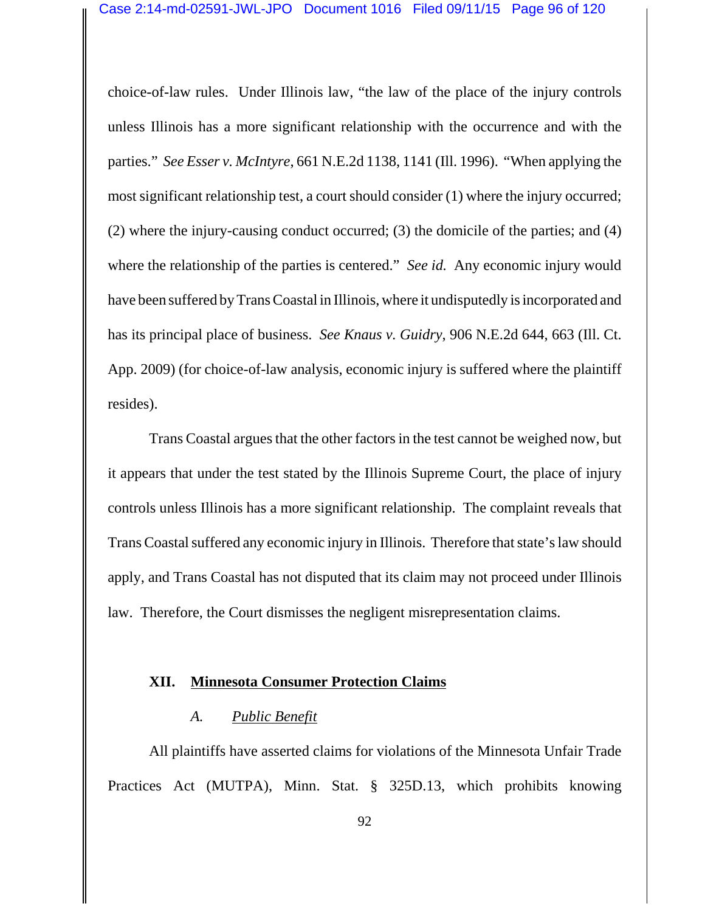choice-of-law rules. Under Illinois law, "the law of the place of the injury controls unless Illinois has a more significant relationship with the occurrence and with the parties." *See Esser v. McIntyre*, 661 N.E.2d 1138, 1141 (Ill. 1996). "When applying the most significant relationship test, a court should consider (1) where the injury occurred; (2) where the injury-causing conduct occurred; (3) the domicile of the parties; and (4) where the relationship of the parties is centered." *See id.* Any economic injury would have been suffered by Trans Coastal in Illinois, where it undisputedly is incorporated and has its principal place of business. *See Knaus v. Guidry*, 906 N.E.2d 644, 663 (Ill. Ct. App. 2009) (for choice-of-law analysis, economic injury is suffered where the plaintiff resides).

Trans Coastal argues that the other factors in the test cannot be weighed now, but it appears that under the test stated by the Illinois Supreme Court, the place of injury controls unless Illinois has a more significant relationship. The complaint reveals that Trans Coastal suffered any economic injury in Illinois. Therefore that state's law should apply, and Trans Coastal has not disputed that its claim may not proceed under Illinois law. Therefore, the Court dismisses the negligent misrepresentation claims.

#### **XII. Minnesota Consumer Protection Claims**

#### *A. Public Benefit*

All plaintiffs have asserted claims for violations of the Minnesota Unfair Trade Practices Act (MUTPA), Minn. Stat. § 325D.13, which prohibits knowing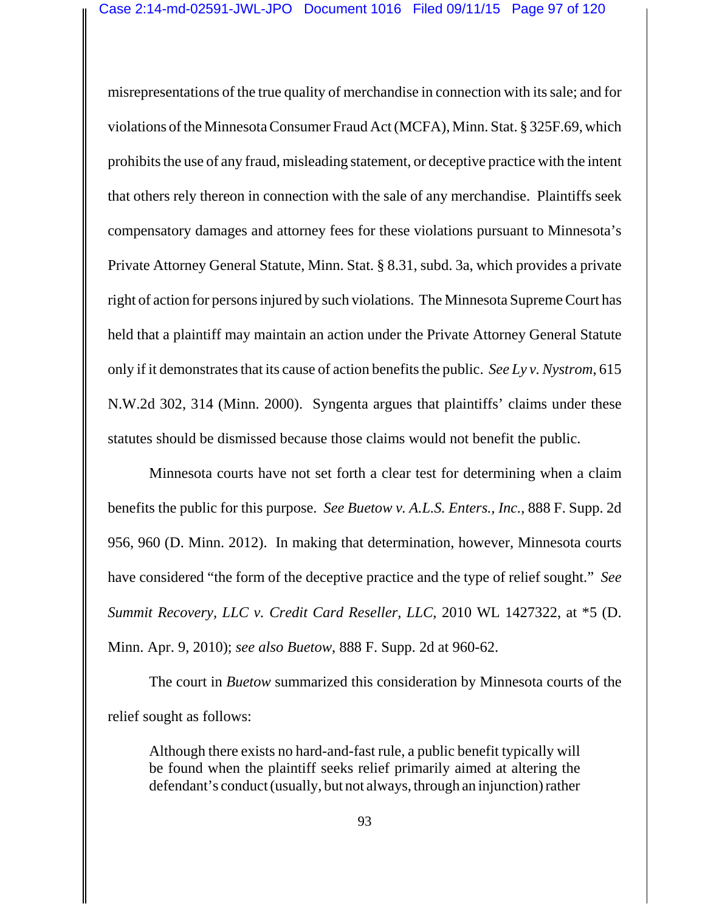misrepresentations of the true quality of merchandise in connection with its sale; and for violations of the Minnesota Consumer Fraud Act (MCFA), Minn. Stat. § 325F.69, which prohibits the use of any fraud, misleading statement, or deceptive practice with the intent that others rely thereon in connection with the sale of any merchandise. Plaintiffs seek compensatory damages and attorney fees for these violations pursuant to Minnesota's Private Attorney General Statute, Minn. Stat. § 8.31, subd. 3a, which provides a private right of action for persons injured by such violations. The Minnesota Supreme Court has held that a plaintiff may maintain an action under the Private Attorney General Statute only if it demonstrates that its cause of action benefits the public. *See Ly v. Nystrom*, 615 N.W.2d 302, 314 (Minn. 2000). Syngenta argues that plaintiffs' claims under these statutes should be dismissed because those claims would not benefit the public.

Minnesota courts have not set forth a clear test for determining when a claim benefits the public for this purpose. *See Buetow v. A.L.S. Enters., Inc.*, 888 F. Supp. 2d 956, 960 (D. Minn. 2012). In making that determination, however, Minnesota courts have considered "the form of the deceptive practice and the type of relief sought." *See Summit Recovery, LLC v. Credit Card Reseller, LLC*, 2010 WL 1427322, at \*5 (D. Minn. Apr. 9, 2010); *see also Buetow*, 888 F. Supp. 2d at 960-62.

The court in *Buetow* summarized this consideration by Minnesota courts of the relief sought as follows:

Although there exists no hard-and-fast rule, a public benefit typically will be found when the plaintiff seeks relief primarily aimed at altering the defendant's conduct (usually, but not always, through an injunction) rather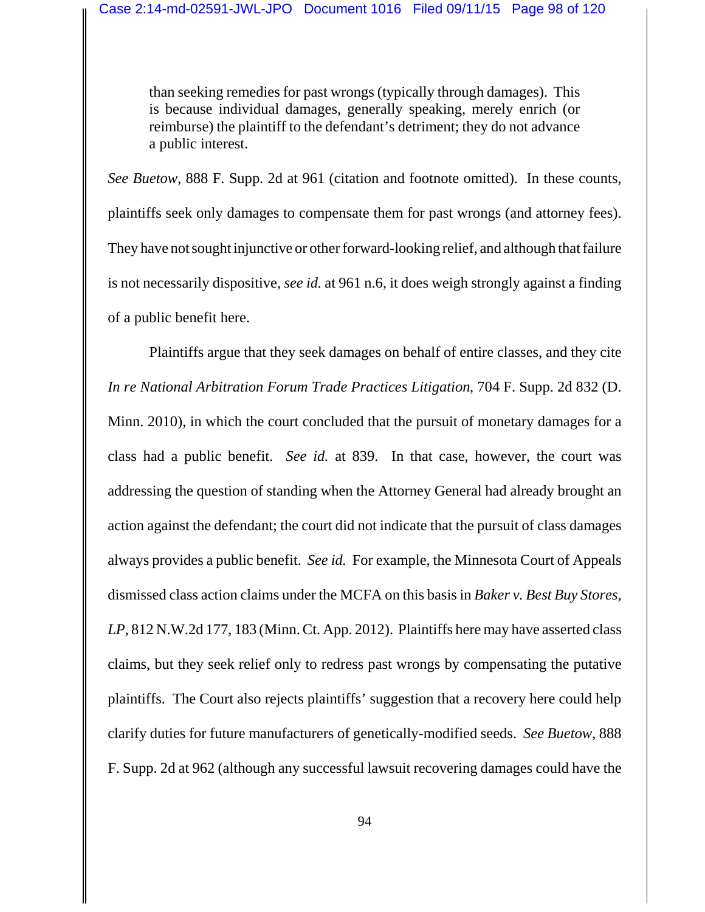than seeking remedies for past wrongs (typically through damages). This is because individual damages, generally speaking, merely enrich (or reimburse) the plaintiff to the defendant's detriment; they do not advance a public interest.

*See Buetow*, 888 F. Supp. 2d at 961 (citation and footnote omitted). In these counts, plaintiffs seek only damages to compensate them for past wrongs (and attorney fees). They have not sought injunctive or other forward-looking relief, and although that failure is not necessarily dispositive, *see id.* at 961 n.6, it does weigh strongly against a finding of a public benefit here.

Plaintiffs argue that they seek damages on behalf of entire classes, and they cite *In re National Arbitration Forum Trade Practices Litigation*, 704 F. Supp. 2d 832 (D. Minn. 2010), in which the court concluded that the pursuit of monetary damages for a class had a public benefit. *See id.* at 839. In that case, however, the court was addressing the question of standing when the Attorney General had already brought an action against the defendant; the court did not indicate that the pursuit of class damages always provides a public benefit. *See id.* For example, the Minnesota Court of Appeals dismissed class action claims under the MCFA on this basis in *Baker v. Best Buy Stores, LP*, 812 N.W.2d 177, 183 (Minn. Ct. App. 2012). Plaintiffs here may have asserted class claims, but they seek relief only to redress past wrongs by compensating the putative plaintiffs. The Court also rejects plaintiffs' suggestion that a recovery here could help clarify duties for future manufacturers of genetically-modified seeds. *See Buetow*, 888 F. Supp. 2d at 962 (although any successful lawsuit recovering damages could have the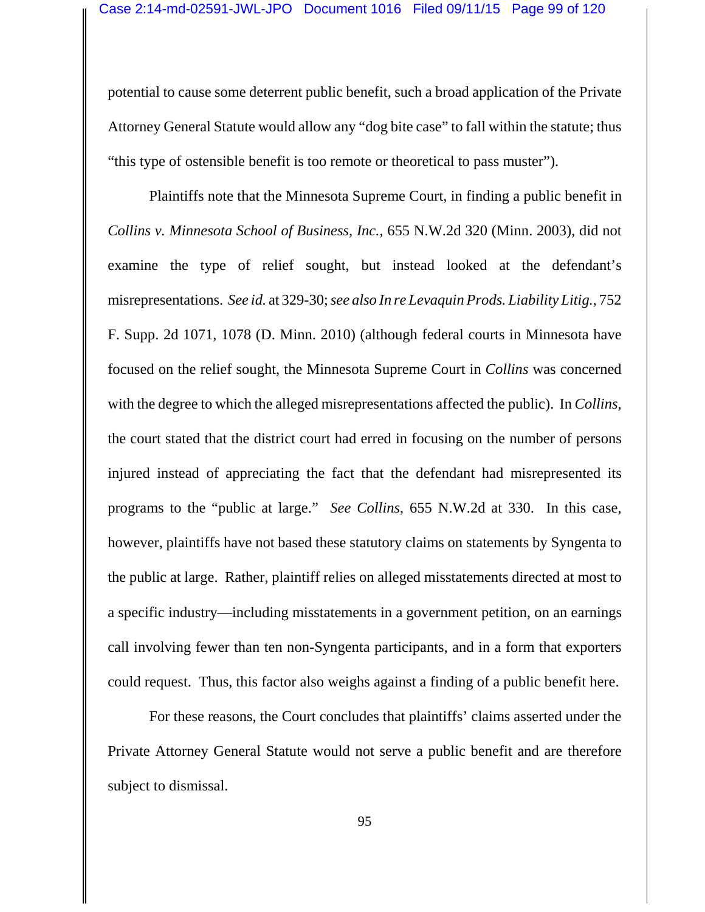potential to cause some deterrent public benefit, such a broad application of the Private Attorney General Statute would allow any "dog bite case" to fall within the statute; thus "this type of ostensible benefit is too remote or theoretical to pass muster").

Plaintiffs note that the Minnesota Supreme Court, in finding a public benefit in *Collins v. Minnesota School of Business, Inc.*, 655 N.W.2d 320 (Minn. 2003), did not examine the type of relief sought, but instead looked at the defendant's misrepresentations. *See id.* at 329-30; *see also In re Levaquin Prods. Liability Litig.*, 752 F. Supp. 2d 1071, 1078 (D. Minn. 2010) (although federal courts in Minnesota have focused on the relief sought, the Minnesota Supreme Court in *Collins* was concerned with the degree to which the alleged misrepresentations affected the public). In *Collins*, the court stated that the district court had erred in focusing on the number of persons injured instead of appreciating the fact that the defendant had misrepresented its programs to the "public at large." *See Collins*, 655 N.W.2d at 330. In this case, however, plaintiffs have not based these statutory claims on statements by Syngenta to the public at large. Rather, plaintiff relies on alleged misstatements directed at most to a specific industry—including misstatements in a government petition, on an earnings call involving fewer than ten non-Syngenta participants, and in a form that exporters could request. Thus, this factor also weighs against a finding of a public benefit here.

For these reasons, the Court concludes that plaintiffs' claims asserted under the Private Attorney General Statute would not serve a public benefit and are therefore subject to dismissal.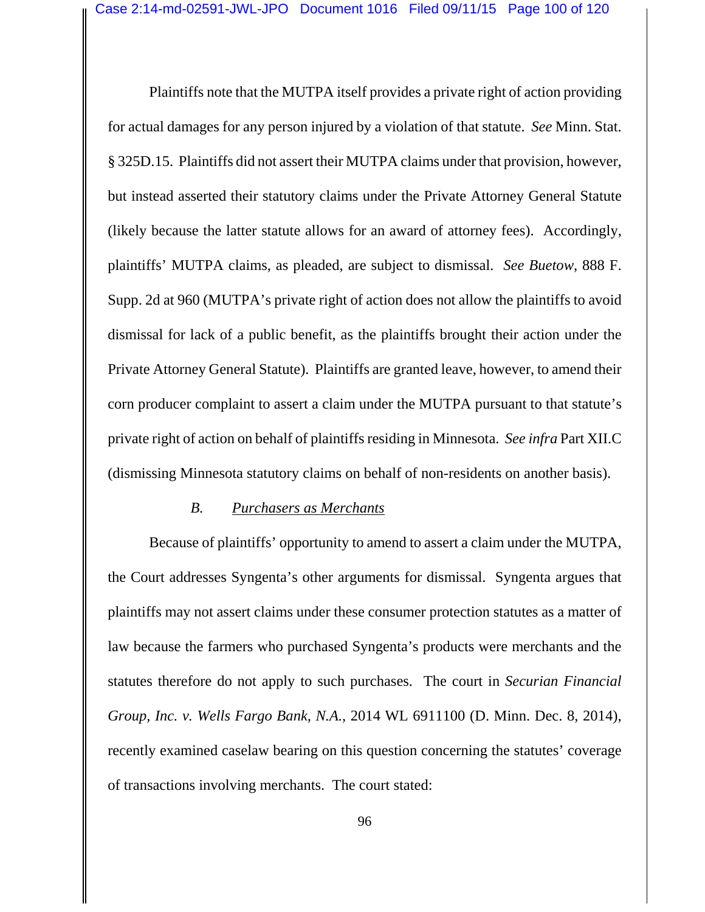Plaintiffs note that the MUTPA itself provides a private right of action providing for actual damages for any person injured by a violation of that statute. *See* Minn. Stat. § 325D.15. Plaintiffs did not assert their MUTPA claims under that provision, however, but instead asserted their statutory claims under the Private Attorney General Statute (likely because the latter statute allows for an award of attorney fees). Accordingly, plaintiffs' MUTPA claims, as pleaded, are subject to dismissal. *See Buetow*, 888 F. Supp. 2d at 960 (MUTPA's private right of action does not allow the plaintiffs to avoid dismissal for lack of a public benefit, as the plaintiffs brought their action under the Private Attorney General Statute). Plaintiffs are granted leave, however, to amend their corn producer complaint to assert a claim under the MUTPA pursuant to that statute's private right of action on behalf of plaintiffs residing in Minnesota. *See infra* Part XII.C (dismissing Minnesota statutory claims on behalf of non-residents on another basis).

### *B. Purchasers as Merchants*

Because of plaintiffs' opportunity to amend to assert a claim under the MUTPA, the Court addresses Syngenta's other arguments for dismissal. Syngenta argues that plaintiffs may not assert claims under these consumer protection statutes as a matter of law because the farmers who purchased Syngenta's products were merchants and the statutes therefore do not apply to such purchases. The court in *Securian Financial Group, Inc. v. Wells Fargo Bank, N.A.*, 2014 WL 6911100 (D. Minn. Dec. 8, 2014), recently examined caselaw bearing on this question concerning the statutes' coverage of transactions involving merchants. The court stated: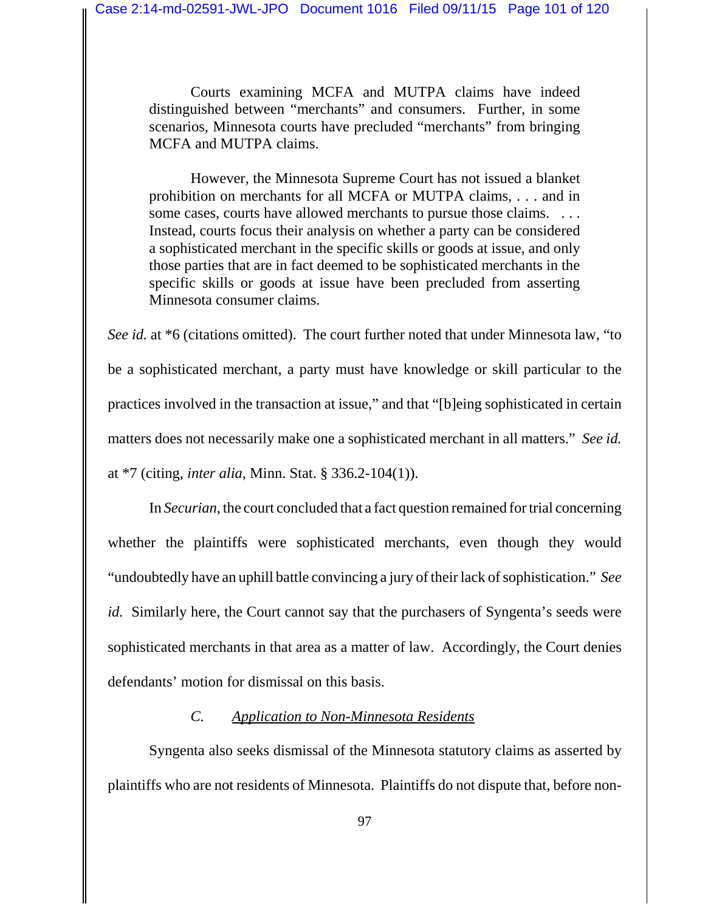Courts examining MCFA and MUTPA claims have indeed distinguished between "merchants" and consumers. Further, in some scenarios, Minnesota courts have precluded "merchants" from bringing MCFA and MUTPA claims.

However, the Minnesota Supreme Court has not issued a blanket prohibition on merchants for all MCFA or MUTPA claims, . . . and in some cases, courts have allowed merchants to pursue those claims. . . . . Instead, courts focus their analysis on whether a party can be considered a sophisticated merchant in the specific skills or goods at issue, and only those parties that are in fact deemed to be sophisticated merchants in the specific skills or goods at issue have been precluded from asserting Minnesota consumer claims.

*See id.* at \*6 (citations omitted). The court further noted that under Minnesota law, "to be a sophisticated merchant, a party must have knowledge or skill particular to the practices involved in the transaction at issue," and that "[b]eing sophisticated in certain matters does not necessarily make one a sophisticated merchant in all matters." *See id.* at \*7 (citing, *inter alia*, Minn. Stat. § 336.2-104(1)).

In *Securian*, the court concluded that a fact question remained for trial concerning whether the plaintiffs were sophisticated merchants, even though they would "undoubtedly have an uphill battle convincing a jury of their lack of sophistication." *See id.* Similarly here, the Court cannot say that the purchasers of Syngenta's seeds were sophisticated merchants in that area as a matter of law. Accordingly, the Court denies defendants' motion for dismissal on this basis.

# *C. Application to Non-Minnesota Residents*

Syngenta also seeks dismissal of the Minnesota statutory claims as asserted by plaintiffs who are not residents of Minnesota. Plaintiffs do not dispute that, before non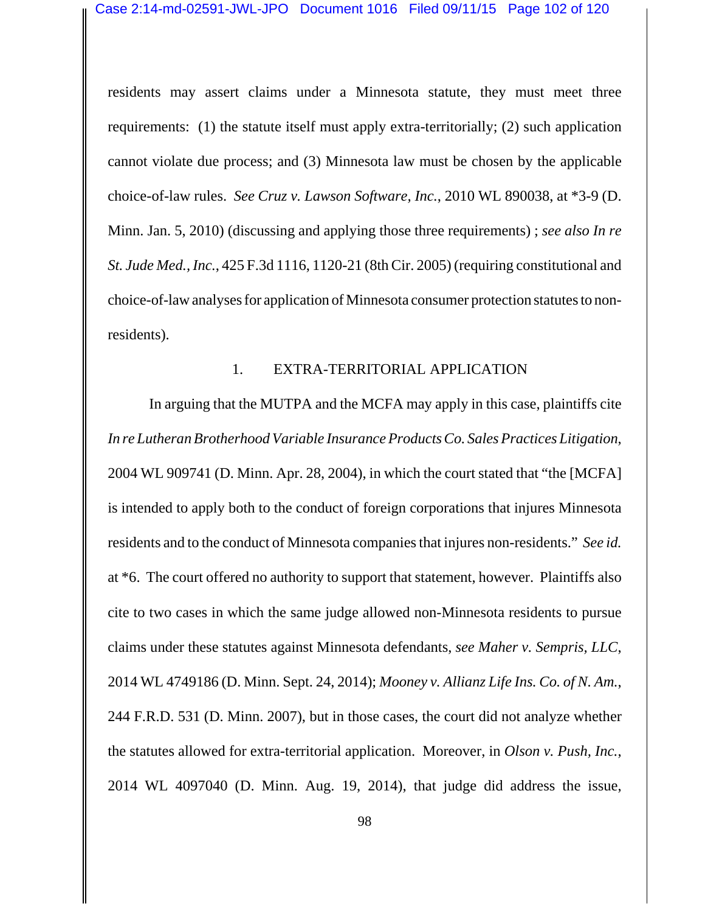residents may assert claims under a Minnesota statute, they must meet three requirements: (1) the statute itself must apply extra-territorially; (2) such application cannot violate due process; and (3) Minnesota law must be chosen by the applicable choice-of-law rules. *See Cruz v. Lawson Software, Inc.*, 2010 WL 890038, at \*3-9 (D. Minn. Jan. 5, 2010) (discussing and applying those three requirements) ; *see also In re St. Jude Med., Inc.*, 425 F.3d 1116, 1120-21 (8th Cir. 2005) (requiring constitutional and choice-of-law analyses for application of Minnesota consumer protection statutes to nonresidents).

#### 1. EXTRA-TERRITORIAL APPLICATION

In arguing that the MUTPA and the MCFA may apply in this case, plaintiffs cite *In re Lutheran Brotherhood Variable Insurance Products Co. Sales Practices Litigation*, 2004 WL 909741 (D. Minn. Apr. 28, 2004), in which the court stated that "the [MCFA] is intended to apply both to the conduct of foreign corporations that injures Minnesota residents and to the conduct of Minnesota companies that injures non-residents." *See id.* at \*6. The court offered no authority to support that statement, however. Plaintiffs also cite to two cases in which the same judge allowed non-Minnesota residents to pursue claims under these statutes against Minnesota defendants, *see Maher v. Sempris, LLC*, 2014 WL 4749186 (D. Minn. Sept. 24, 2014); *Mooney v. Allianz Life Ins. Co. of N. Am.*, 244 F.R.D. 531 (D. Minn. 2007), but in those cases, the court did not analyze whether the statutes allowed for extra-territorial application. Moreover, in *Olson v. Push, Inc.*, 2014 WL 4097040 (D. Minn. Aug. 19, 2014), that judge did address the issue,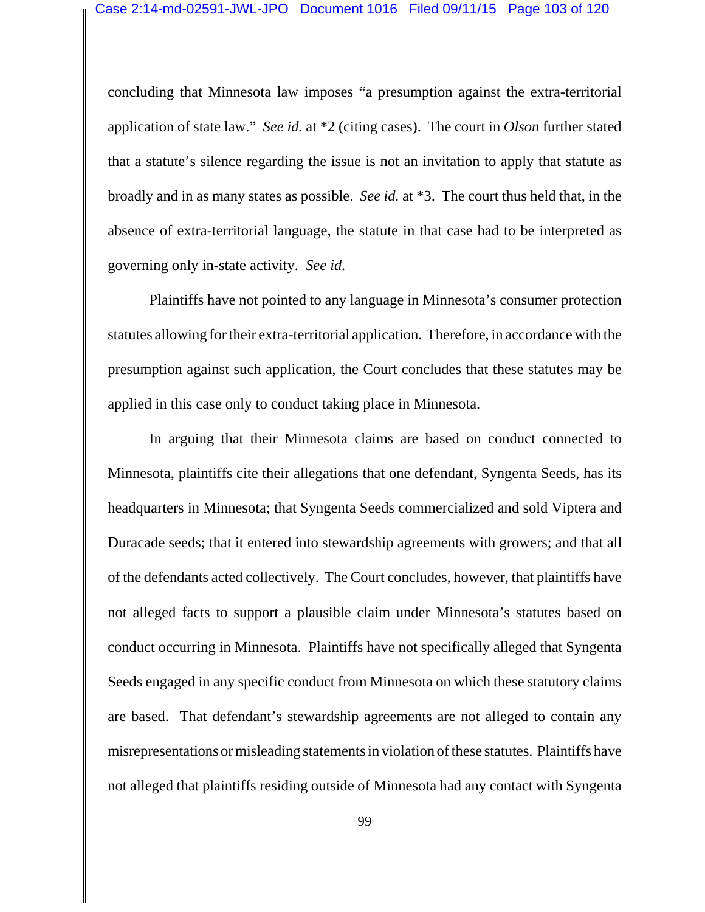concluding that Minnesota law imposes "a presumption against the extra-territorial application of state law." *See id.* at \*2 (citing cases). The court in *Olson* further stated that a statute's silence regarding the issue is not an invitation to apply that statute as broadly and in as many states as possible. *See id.* at \*3. The court thus held that, in the absence of extra-territorial language, the statute in that case had to be interpreted as governing only in-state activity. *See id.*

Plaintiffs have not pointed to any language in Minnesota's consumer protection statutes allowing for their extra-territorial application. Therefore, in accordance with the presumption against such application, the Court concludes that these statutes may be applied in this case only to conduct taking place in Minnesota.

In arguing that their Minnesota claims are based on conduct connected to Minnesota, plaintiffs cite their allegations that one defendant, Syngenta Seeds, has its headquarters in Minnesota; that Syngenta Seeds commercialized and sold Viptera and Duracade seeds; that it entered into stewardship agreements with growers; and that all of the defendants acted collectively. The Court concludes, however, that plaintiffs have not alleged facts to support a plausible claim under Minnesota's statutes based on conduct occurring in Minnesota. Plaintiffs have not specifically alleged that Syngenta Seeds engaged in any specific conduct from Minnesota on which these statutory claims are based. That defendant's stewardship agreements are not alleged to contain any misrepresentations or misleading statements in violation of these statutes. Plaintiffs have not alleged that plaintiffs residing outside of Minnesota had any contact with Syngenta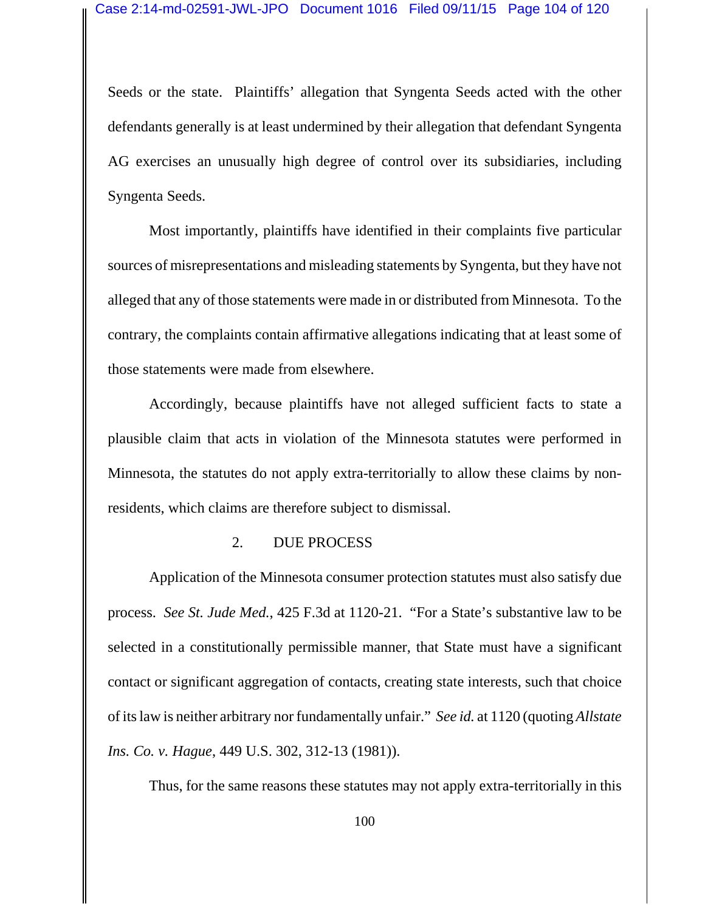Seeds or the state. Plaintiffs' allegation that Syngenta Seeds acted with the other defendants generally is at least undermined by their allegation that defendant Syngenta AG exercises an unusually high degree of control over its subsidiaries, including Syngenta Seeds.

Most importantly, plaintiffs have identified in their complaints five particular sources of misrepresentations and misleading statements by Syngenta, but they have not alleged that any of those statements were made in or distributed from Minnesota. To the contrary, the complaints contain affirmative allegations indicating that at least some of those statements were made from elsewhere.

Accordingly, because plaintiffs have not alleged sufficient facts to state a plausible claim that acts in violation of the Minnesota statutes were performed in Minnesota, the statutes do not apply extra-territorially to allow these claims by nonresidents, which claims are therefore subject to dismissal.

#### 2. DUE PROCESS

Application of the Minnesota consumer protection statutes must also satisfy due process. *See St. Jude Med.*, 425 F.3d at 1120-21. "For a State's substantive law to be selected in a constitutionally permissible manner, that State must have a significant contact or significant aggregation of contacts, creating state interests, such that choice of its law is neither arbitrary nor fundamentally unfair." *See id.* at 1120 (quoting *Allstate Ins. Co. v. Hague*, 449 U.S. 302, 312-13 (1981)).

Thus, for the same reasons these statutes may not apply extra-territorially in this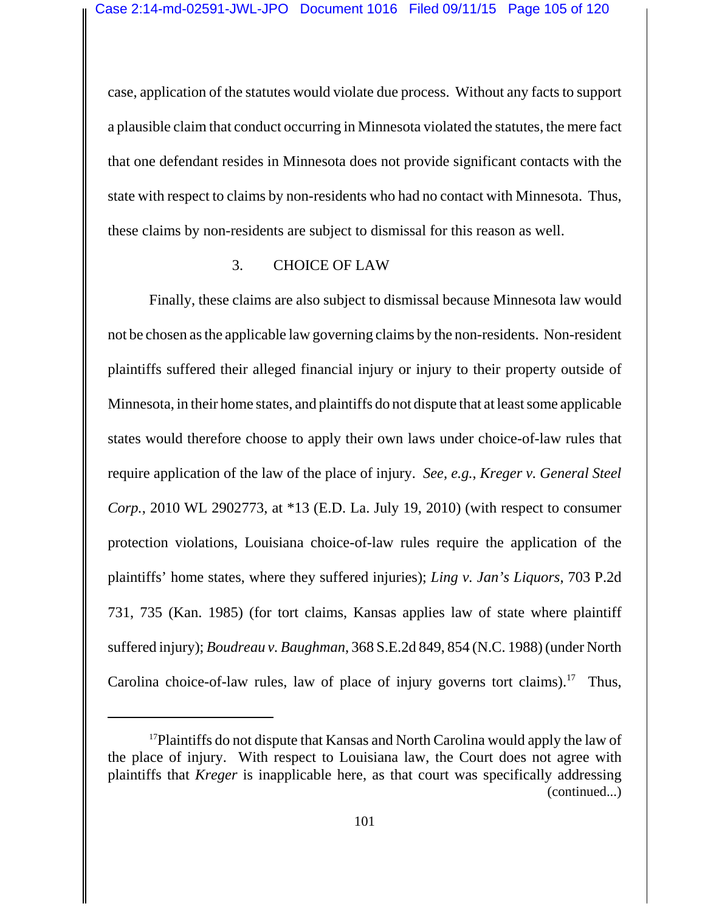case, application of the statutes would violate due process. Without any facts to support a plausible claim that conduct occurring in Minnesota violated the statutes, the mere fact that one defendant resides in Minnesota does not provide significant contacts with the state with respect to claims by non-residents who had no contact with Minnesota. Thus, these claims by non-residents are subject to dismissal for this reason as well.

### 3. CHOICE OF LAW

Finally, these claims are also subject to dismissal because Minnesota law would not be chosen as the applicable law governing claims by the non-residents. Non-resident plaintiffs suffered their alleged financial injury or injury to their property outside of Minnesota, in their home states, and plaintiffs do not dispute that at least some applicable states would therefore choose to apply their own laws under choice-of-law rules that require application of the law of the place of injury. *See, e.g.*, *Kreger v. General Steel Corp.*, 2010 WL 2902773, at \*13 (E.D. La. July 19, 2010) (with respect to consumer protection violations, Louisiana choice-of-law rules require the application of the plaintiffs' home states, where they suffered injuries); *Ling v. Jan's Liquors*, 703 P.2d 731, 735 (Kan. 1985) (for tort claims, Kansas applies law of state where plaintiff suffered injury); *Boudreau v. Baughman*, 368 S.E.2d 849, 854 (N.C. 1988) (under North Carolina choice-of-law rules, law of place of injury governs tort claims).<sup>17</sup> Thus,

<sup>&</sup>lt;sup>17</sup>Plaintiffs do not dispute that Kansas and North Carolina would apply the law of the place of injury. With respect to Louisiana law, the Court does not agree with plaintiffs that *Kreger* is inapplicable here, as that court was specifically addressing (continued...)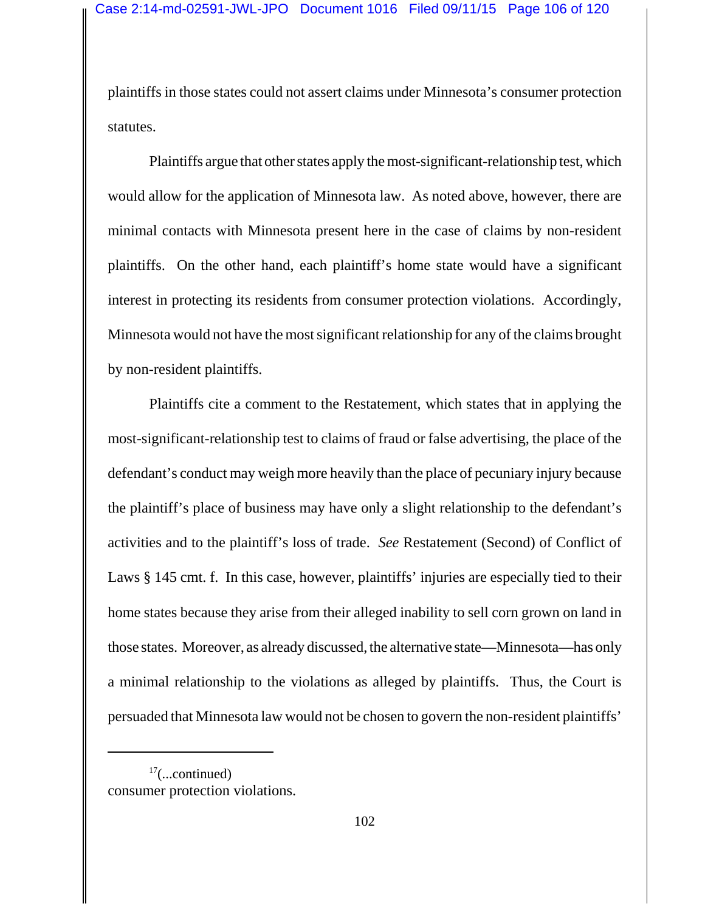plaintiffs in those states could not assert claims under Minnesota's consumer protection statutes.

Plaintiffs argue that other states apply the most-significant-relationship test, which would allow for the application of Minnesota law. As noted above, however, there are minimal contacts with Minnesota present here in the case of claims by non-resident plaintiffs. On the other hand, each plaintiff's home state would have a significant interest in protecting its residents from consumer protection violations. Accordingly, Minnesota would not have the most significant relationship for any of the claims brought by non-resident plaintiffs.

Plaintiffs cite a comment to the Restatement, which states that in applying the most-significant-relationship test to claims of fraud or false advertising, the place of the defendant's conduct may weigh more heavily than the place of pecuniary injury because the plaintiff's place of business may have only a slight relationship to the defendant's activities and to the plaintiff's loss of trade. *See* Restatement (Second) of Conflict of Laws § 145 cmt. f. In this case, however, plaintiffs' injuries are especially tied to their home states because they arise from their alleged inability to sell corn grown on land in those states. Moreover, as already discussed, the alternative state—Minnesota—has only a minimal relationship to the violations as alleged by plaintiffs. Thus, the Court is persuaded that Minnesota law would not be chosen to govern the non-resident plaintiffs'

<sup>17(...</sup>continued) consumer protection violations.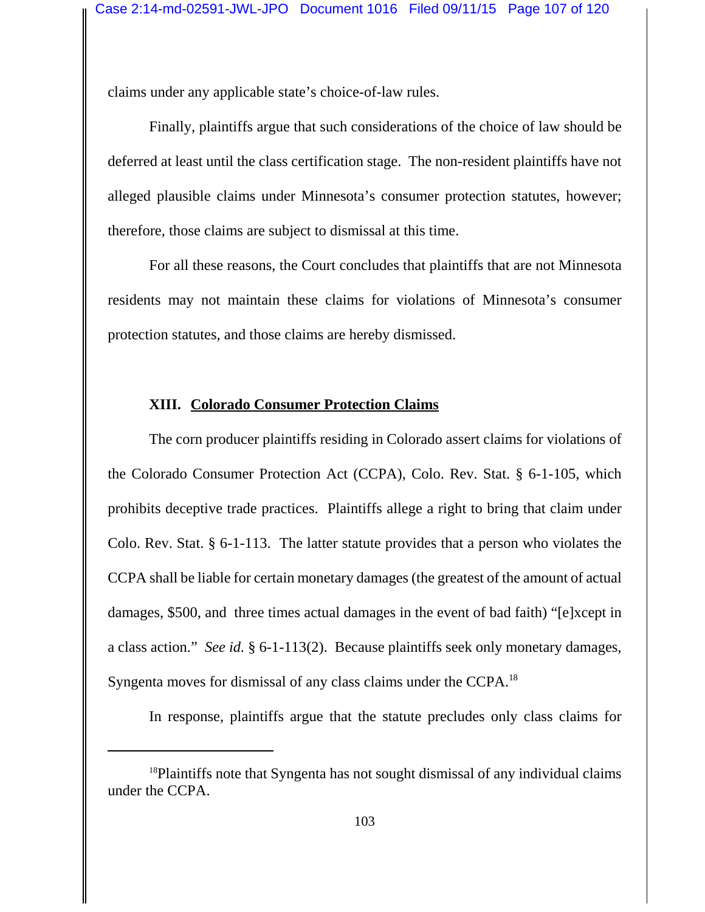claims under any applicable state's choice-of-law rules.

Finally, plaintiffs argue that such considerations of the choice of law should be deferred at least until the class certification stage. The non-resident plaintiffs have not alleged plausible claims under Minnesota's consumer protection statutes, however; therefore, those claims are subject to dismissal at this time.

For all these reasons, the Court concludes that plaintiffs that are not Minnesota residents may not maintain these claims for violations of Minnesota's consumer protection statutes, and those claims are hereby dismissed.

### **XIII. Colorado Consumer Protection Claims**

The corn producer plaintiffs residing in Colorado assert claims for violations of the Colorado Consumer Protection Act (CCPA), Colo. Rev. Stat. § 6-1-105, which prohibits deceptive trade practices. Plaintiffs allege a right to bring that claim under Colo. Rev. Stat. § 6-1-113. The latter statute provides that a person who violates the CCPA shall be liable for certain monetary damages (the greatest of the amount of actual damages, \$500, and three times actual damages in the event of bad faith) "[e]xcept in a class action." *See id.* § 6-1-113(2). Because plaintiffs seek only monetary damages, Syngenta moves for dismissal of any class claims under the CCPA.<sup>18</sup>

In response, plaintiffs argue that the statute precludes only class claims for

<sup>&</sup>lt;sup>18</sup>Plaintiffs note that Syngenta has not sought dismissal of any individual claims under the CCPA.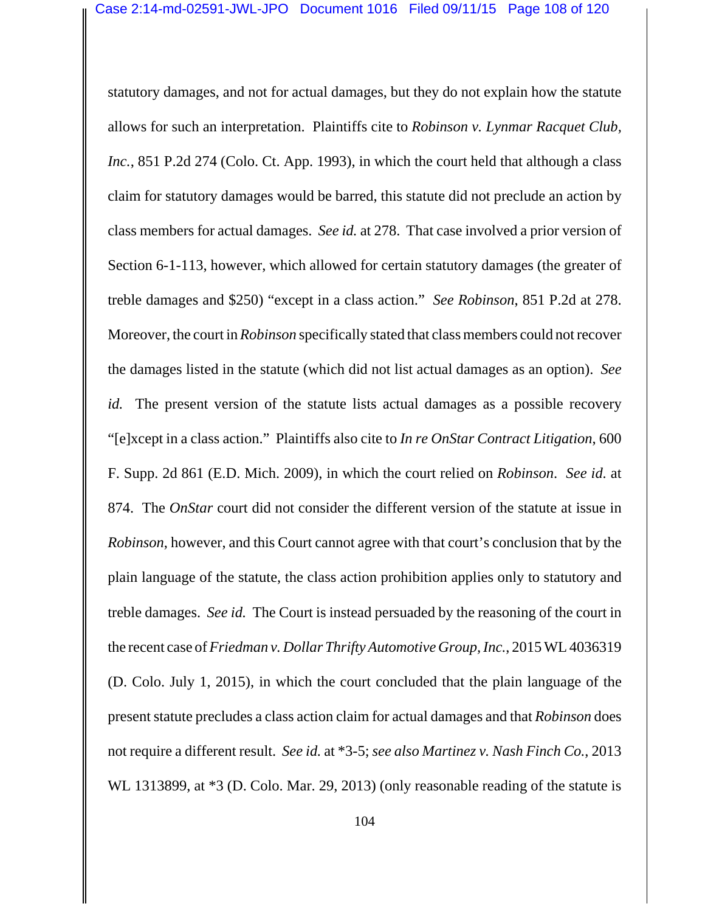statutory damages, and not for actual damages, but they do not explain how the statute allows for such an interpretation. Plaintiffs cite to *Robinson v. Lynmar Racquet Club, Inc.*, 851 P.2d 274 (Colo. Ct. App. 1993), in which the court held that although a class claim for statutory damages would be barred, this statute did not preclude an action by class members for actual damages. *See id.* at 278. That case involved a prior version of Section 6-1-113, however, which allowed for certain statutory damages (the greater of treble damages and \$250) "except in a class action." *See Robinson*, 851 P.2d at 278. Moreover, the court in *Robinson* specifically stated that class members could not recover the damages listed in the statute (which did not list actual damages as an option). *See id.* The present version of the statute lists actual damages as a possible recovery "[e]xcept in a class action." Plaintiffs also cite to *In re OnStar Contract Litigation*, 600 F. Supp. 2d 861 (E.D. Mich. 2009), in which the court relied on *Robinson*. *See id.* at 874. The *OnStar* court did not consider the different version of the statute at issue in *Robinson*, however, and this Court cannot agree with that court's conclusion that by the plain language of the statute, the class action prohibition applies only to statutory and treble damages. *See id.* The Court is instead persuaded by the reasoning of the court in the recent case of *Friedman v. Dollar Thrifty Automotive Group, Inc.*, 2015 WL 4036319 (D. Colo. July 1, 2015), in which the court concluded that the plain language of the present statute precludes a class action claim for actual damages and that *Robinson* does not require a different result. *See id.* at \*3-5; *see also Martinez v. Nash Finch Co.*, 2013 WL 1313899, at  $*3$  (D. Colo. Mar. 29, 2013) (only reasonable reading of the statute is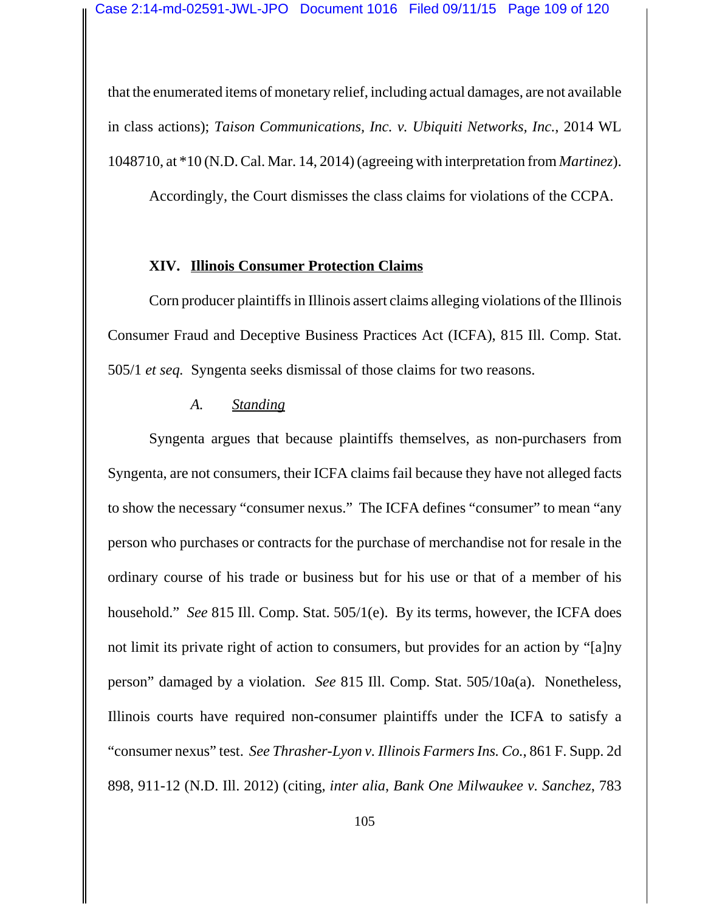that the enumerated items of monetary relief, including actual damages, are not available in class actions); *Taison Communications, Inc. v. Ubiquiti Networks, Inc.*, 2014 WL 1048710, at \*10 (N.D. Cal. Mar. 14, 2014) (agreeing with interpretation from *Martinez*).

Accordingly, the Court dismisses the class claims for violations of the CCPA.

# **XIV. Illinois Consumer Protection Claims**

Corn producer plaintiffs in Illinois assert claims alleging violations of the Illinois Consumer Fraud and Deceptive Business Practices Act (ICFA), 815 Ill. Comp. Stat. 505/1 *et seq.* Syngenta seeks dismissal of those claims for two reasons.

# *A. Standing*

Syngenta argues that because plaintiffs themselves, as non-purchasers from Syngenta, are not consumers, their ICFA claims fail because they have not alleged facts to show the necessary "consumer nexus." The ICFA defines "consumer" to mean "any person who purchases or contracts for the purchase of merchandise not for resale in the ordinary course of his trade or business but for his use or that of a member of his household." *See* 815 Ill. Comp. Stat. 505/1(e). By its terms, however, the ICFA does not limit its private right of action to consumers, but provides for an action by "[a]ny person" damaged by a violation. *See* 815 Ill. Comp. Stat. 505/10a(a). Nonetheless, Illinois courts have required non-consumer plaintiffs under the ICFA to satisfy a "consumer nexus" test. *See Thrasher-Lyon v. Illinois Farmers Ins. Co.*, 861 F. Supp. 2d 898, 911-12 (N.D. Ill. 2012) (citing, *inter alia*, *Bank One Milwaukee v. Sanchez*, 783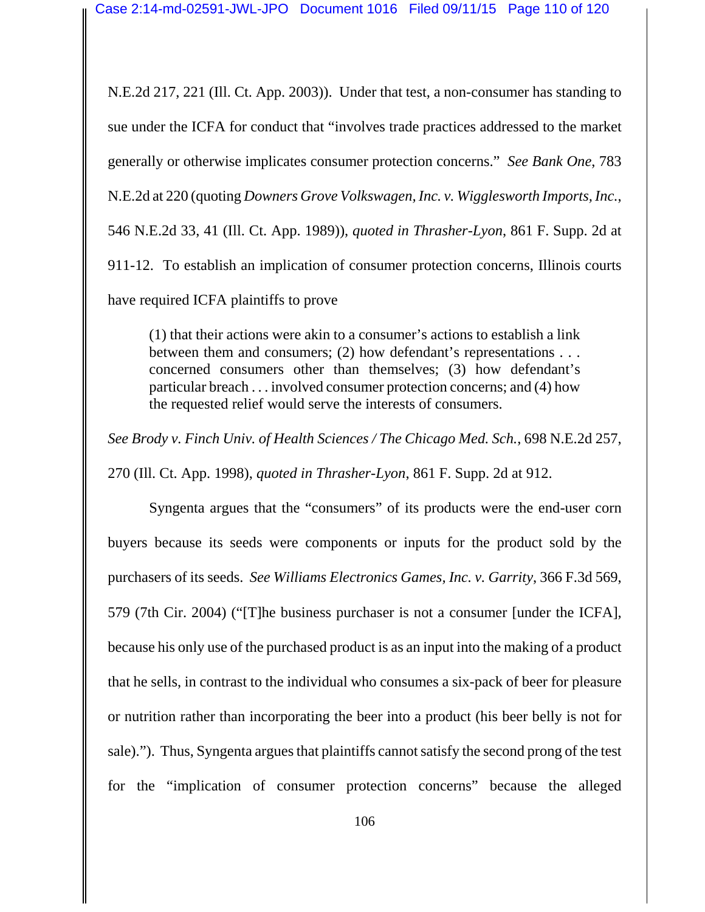N.E.2d 217, 221 (Ill. Ct. App. 2003)). Under that test, a non-consumer has standing to sue under the ICFA for conduct that "involves trade practices addressed to the market generally or otherwise implicates consumer protection concerns." *See Bank One*, 783 N.E.2d at 220 (quoting *Downers Grove Volkswagen, Inc. v. Wigglesworth Imports, Inc.*, 546 N.E.2d 33, 41 (Ill. Ct. App. 1989)), *quoted in Thrasher-Lyon*, 861 F. Supp. 2d at 911-12. To establish an implication of consumer protection concerns, Illinois courts have required ICFA plaintiffs to prove

(1) that their actions were akin to a consumer's actions to establish a link between them and consumers; (2) how defendant's representations . . . concerned consumers other than themselves; (3) how defendant's particular breach . . . involved consumer protection concerns; and (4) how the requested relief would serve the interests of consumers.

*See Brody v. Finch Univ. of Health Sciences / The Chicago Med. Sch.*, 698 N.E.2d 257, 270 (Ill. Ct. App. 1998), *quoted in Thrasher-Lyon*, 861 F. Supp. 2d at 912.

Syngenta argues that the "consumers" of its products were the end-user corn buyers because its seeds were components or inputs for the product sold by the purchasers of its seeds. *See Williams Electronics Games, Inc. v. Garrity*, 366 F.3d 569, 579 (7th Cir. 2004) ("[T]he business purchaser is not a consumer [under the ICFA], because his only use of the purchased product is as an input into the making of a product that he sells, in contrast to the individual who consumes a six-pack of beer for pleasure or nutrition rather than incorporating the beer into a product (his beer belly is not for sale)."). Thus, Syngenta argues that plaintiffs cannot satisfy the second prong of the test for the "implication of consumer protection concerns" because the alleged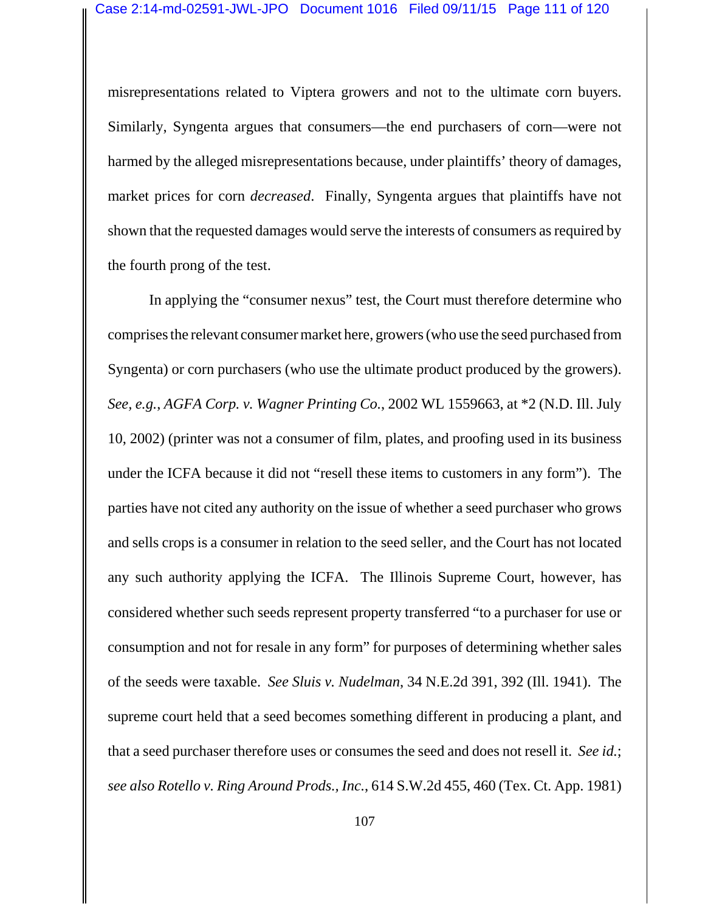misrepresentations related to Viptera growers and not to the ultimate corn buyers. Similarly, Syngenta argues that consumers—the end purchasers of corn—were not harmed by the alleged misrepresentations because, under plaintiffs' theory of damages, market prices for corn *decreased*. Finally, Syngenta argues that plaintiffs have not shown that the requested damages would serve the interests of consumers as required by the fourth prong of the test.

In applying the "consumer nexus" test, the Court must therefore determine who comprises the relevant consumer market here, growers (who use the seed purchased from Syngenta) or corn purchasers (who use the ultimate product produced by the growers). *See, e.g.*, *AGFA Corp. v. Wagner Printing Co.*, 2002 WL 1559663, at \*2 (N.D. Ill. July 10, 2002) (printer was not a consumer of film, plates, and proofing used in its business under the ICFA because it did not "resell these items to customers in any form"). The parties have not cited any authority on the issue of whether a seed purchaser who grows and sells crops is a consumer in relation to the seed seller, and the Court has not located any such authority applying the ICFA. The Illinois Supreme Court, however, has considered whether such seeds represent property transferred "to a purchaser for use or consumption and not for resale in any form" for purposes of determining whether sales of the seeds were taxable. *See Sluis v. Nudelman*, 34 N.E.2d 391, 392 (Ill. 1941). The supreme court held that a seed becomes something different in producing a plant, and that a seed purchaser therefore uses or consumes the seed and does not resell it. *See id.*; *see also Rotello v. Ring Around Prods., Inc.*, 614 S.W.2d 455, 460 (Tex. Ct. App. 1981)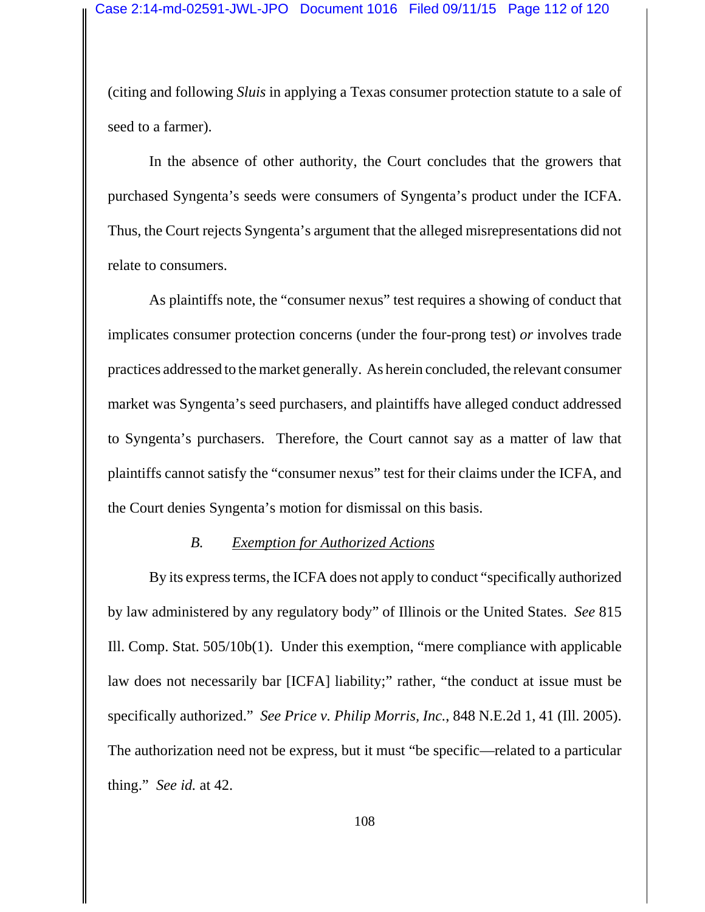(citing and following *Sluis* in applying a Texas consumer protection statute to a sale of seed to a farmer).

In the absence of other authority, the Court concludes that the growers that purchased Syngenta's seeds were consumers of Syngenta's product under the ICFA. Thus, the Court rejects Syngenta's argument that the alleged misrepresentations did not relate to consumers.

As plaintiffs note, the "consumer nexus" test requires a showing of conduct that implicates consumer protection concerns (under the four-prong test) *or* involves trade practices addressed to the market generally. As herein concluded, the relevant consumer market was Syngenta's seed purchasers, and plaintiffs have alleged conduct addressed to Syngenta's purchasers. Therefore, the Court cannot say as a matter of law that plaintiffs cannot satisfy the "consumer nexus" test for their claims under the ICFA, and the Court denies Syngenta's motion for dismissal on this basis.

### *B. Exemption for Authorized Actions*

By its express terms, the ICFA does not apply to conduct "specifically authorized by law administered by any regulatory body" of Illinois or the United States. *See* 815 Ill. Comp. Stat. 505/10b(1). Under this exemption, "mere compliance with applicable law does not necessarily bar [ICFA] liability;" rather, "the conduct at issue must be specifically authorized." *See Price v. Philip Morris, Inc.*, 848 N.E.2d 1, 41 (Ill. 2005). The authorization need not be express, but it must "be specific—related to a particular thing." *See id.* at 42.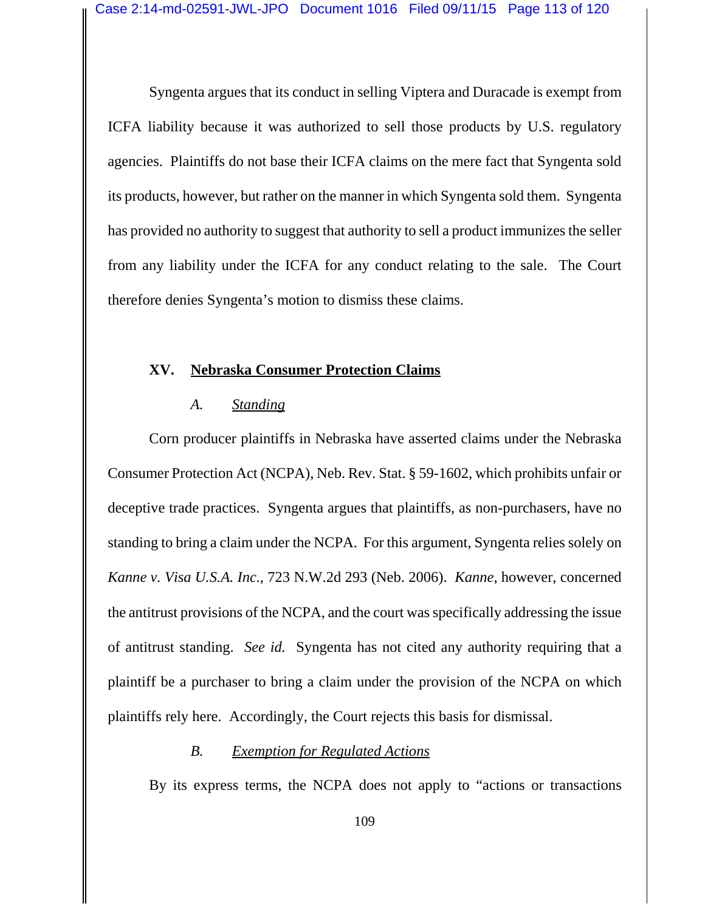Syngenta argues that its conduct in selling Viptera and Duracade is exempt from ICFA liability because it was authorized to sell those products by U.S. regulatory agencies. Plaintiffs do not base their ICFA claims on the mere fact that Syngenta sold its products, however, but rather on the manner in which Syngenta sold them. Syngenta has provided no authority to suggest that authority to sell a product immunizes the seller from any liability under the ICFA for any conduct relating to the sale. The Court therefore denies Syngenta's motion to dismiss these claims.

# **XV. Nebraska Consumer Protection Claims**

# *A. Standing*

Corn producer plaintiffs in Nebraska have asserted claims under the Nebraska Consumer Protection Act (NCPA), Neb. Rev. Stat. § 59-1602, which prohibits unfair or deceptive trade practices. Syngenta argues that plaintiffs, as non-purchasers, have no standing to bring a claim under the NCPA. For this argument, Syngenta relies solely on *Kanne v. Visa U.S.A. Inc.*, 723 N.W.2d 293 (Neb. 2006). *Kanne*, however, concerned the antitrust provisions of the NCPA, and the court was specifically addressing the issue of antitrust standing. *See id.* Syngenta has not cited any authority requiring that a plaintiff be a purchaser to bring a claim under the provision of the NCPA on which plaintiffs rely here. Accordingly, the Court rejects this basis for dismissal.

# *B. Exemption for Regulated Actions*

By its express terms, the NCPA does not apply to "actions or transactions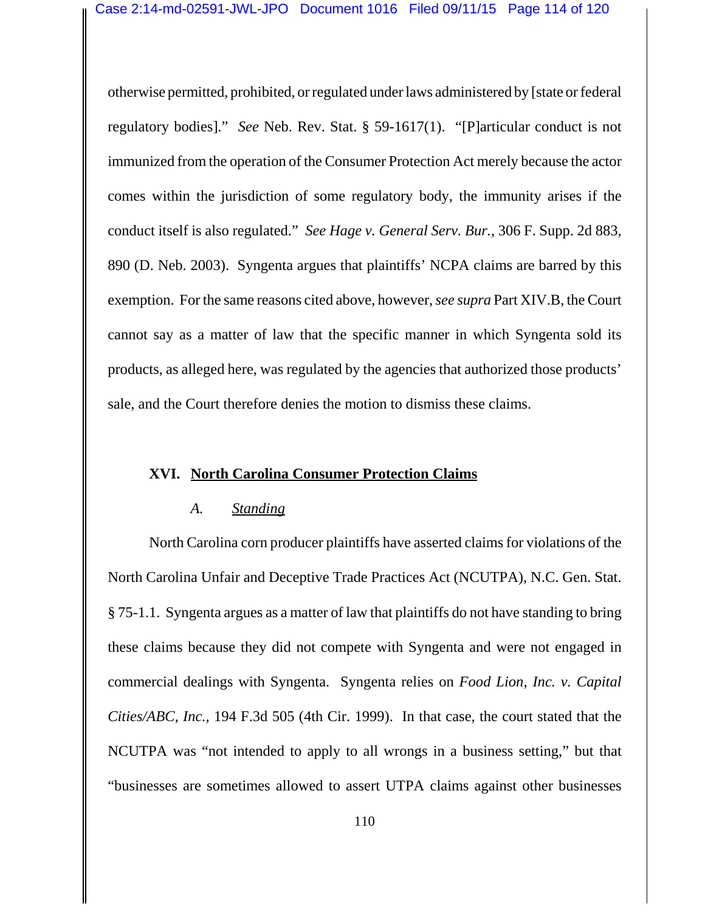otherwise permitted, prohibited, or regulated under laws administered by [state or federal regulatory bodies]." *See* Neb. Rev. Stat. § 59-1617(1). "[P]articular conduct is not immunized from the operation of the Consumer Protection Act merely because the actor comes within the jurisdiction of some regulatory body, the immunity arises if the conduct itself is also regulated." *See Hage v. General Serv. Bur.*, 306 F. Supp. 2d 883, 890 (D. Neb. 2003). Syngenta argues that plaintiffs' NCPA claims are barred by this exemption. For the same reasons cited above, however, *see supra* Part XIV.B, the Court cannot say as a matter of law that the specific manner in which Syngenta sold its products, as alleged here, was regulated by the agencies that authorized those products' sale, and the Court therefore denies the motion to dismiss these claims.

### **XVI. North Carolina Consumer Protection Claims**

### *A. Standing*

North Carolina corn producer plaintiffs have asserted claims for violations of the North Carolina Unfair and Deceptive Trade Practices Act (NCUTPA), N.C. Gen. Stat. § 75-1.1. Syngenta argues as a matter of law that plaintiffs do not have standing to bring these claims because they did not compete with Syngenta and were not engaged in commercial dealings with Syngenta. Syngenta relies on *Food Lion, Inc. v. Capital Cities/ABC, Inc.*, 194 F.3d 505 (4th Cir. 1999). In that case, the court stated that the NCUTPA was "not intended to apply to all wrongs in a business setting," but that "businesses are sometimes allowed to assert UTPA claims against other businesses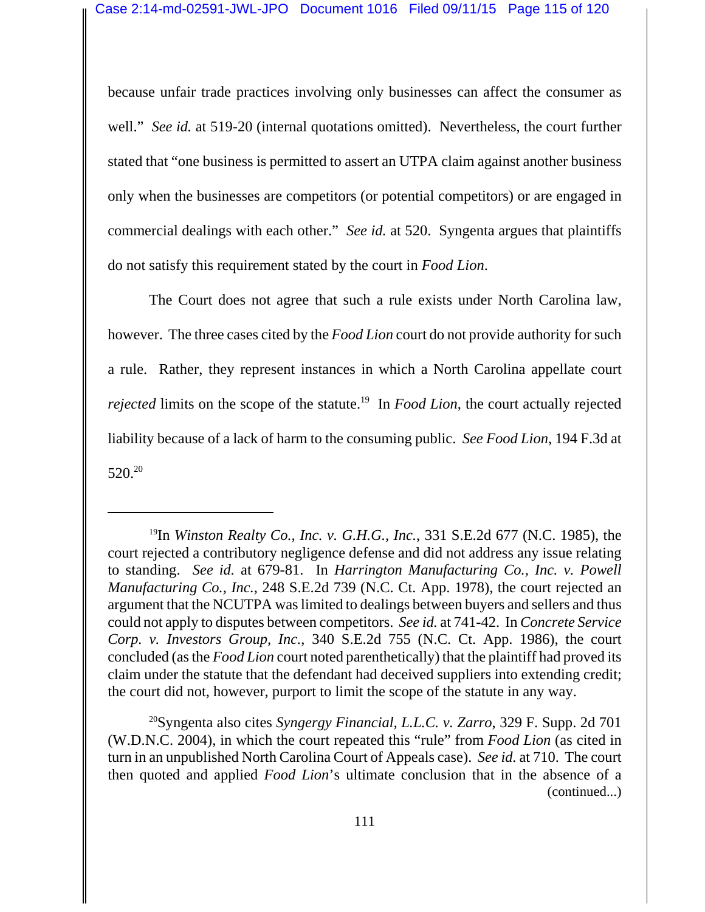because unfair trade practices involving only businesses can affect the consumer as well." *See id.* at 519-20 (internal quotations omitted). Nevertheless, the court further stated that "one business is permitted to assert an UTPA claim against another business only when the businesses are competitors (or potential competitors) or are engaged in commercial dealings with each other." *See id.* at 520. Syngenta argues that plaintiffs do not satisfy this requirement stated by the court in *Food Lion*.

The Court does not agree that such a rule exists under North Carolina law, however. The three cases cited by the *Food Lion* court do not provide authority for such a rule. Rather, they represent instances in which a North Carolina appellate court *rejected* limits on the scope of the statute.<sup>19</sup> In *Food Lion*, the court actually rejected liability because of a lack of harm to the consuming public. *See Food Lion*, 194 F.3d at  $520.<sup>20</sup>$ 

20Syngenta also cites *Syngergy Financial, L.L.C. v. Zarro*, 329 F. Supp. 2d 701 (W.D.N.C. 2004), in which the court repeated this "rule" from *Food Lion* (as cited in turn in an unpublished North Carolina Court of Appeals case). *See id.* at 710. The court then quoted and applied *Food Lion*'s ultimate conclusion that in the absence of a (continued...)

<sup>19</sup>In *Winston Realty Co., Inc. v. G.H.G., Inc.*, 331 S.E.2d 677 (N.C. 1985), the court rejected a contributory negligence defense and did not address any issue relating to standing. *See id.* at 679-81. In *Harrington Manufacturing Co., Inc. v. Powell Manufacturing Co., Inc.*, 248 S.E.2d 739 (N.C. Ct. App. 1978), the court rejected an argument that the NCUTPA was limited to dealings between buyers and sellers and thus could not apply to disputes between competitors. *See id.* at 741-42. In *Concrete Service Corp. v. Investors Group, Inc.*, 340 S.E.2d 755 (N.C. Ct. App. 1986), the court concluded (as the *Food Lion* court noted parenthetically) that the plaintiff had proved its claim under the statute that the defendant had deceived suppliers into extending credit; the court did not, however, purport to limit the scope of the statute in any way.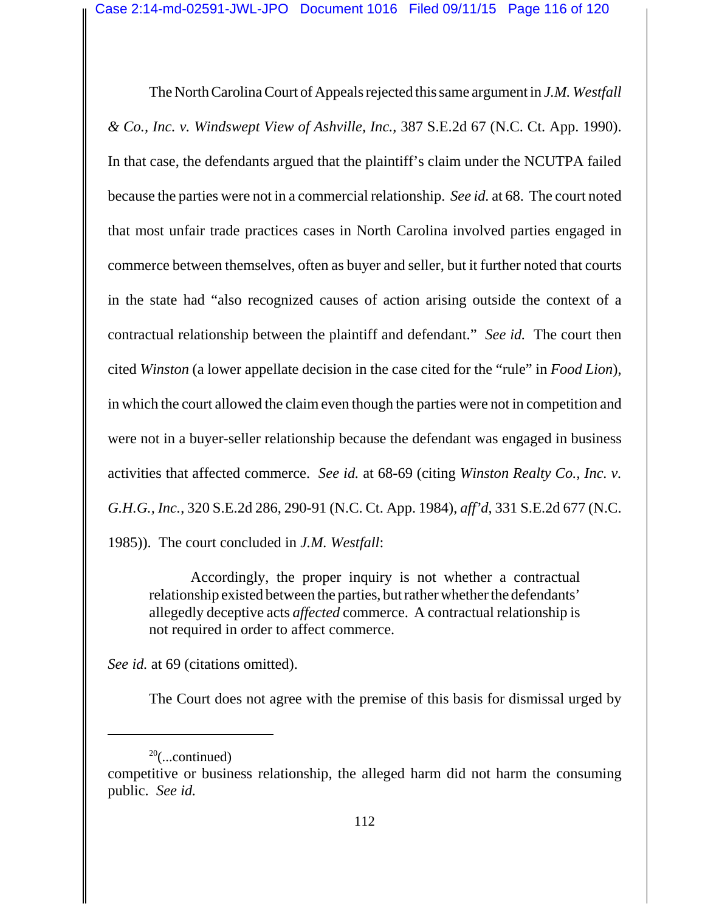The North Carolina Court of Appeals rejected this same argument in *J.M. Westfall & Co., Inc. v. Windswept View of Ashville, Inc.*, 387 S.E.2d 67 (N.C. Ct. App. 1990). In that case, the defendants argued that the plaintiff's claim under the NCUTPA failed because the parties were not in a commercial relationship. *See id.* at 68. The court noted that most unfair trade practices cases in North Carolina involved parties engaged in commerce between themselves, often as buyer and seller, but it further noted that courts in the state had "also recognized causes of action arising outside the context of a contractual relationship between the plaintiff and defendant." *See id.* The court then cited *Winston* (a lower appellate decision in the case cited for the "rule" in *Food Lion*), in which the court allowed the claim even though the parties were not in competition and were not in a buyer-seller relationship because the defendant was engaged in business activities that affected commerce. *See id.* at 68-69 (citing *Winston Realty Co., Inc. v. G.H.G., Inc.*, 320 S.E.2d 286, 290-91 (N.C. Ct. App. 1984), *aff'd*, 331 S.E.2d 677 (N.C. 1985)). The court concluded in *J.M. Westfall*:

Accordingly, the proper inquiry is not whether a contractual relationship existed between the parties, but rather whether the defendants' allegedly deceptive acts *affected* commerce. A contractual relationship is not required in order to affect commerce.

*See id.* at 69 (citations omitted).

The Court does not agree with the premise of this basis for dismissal urged by

 $20$ (...continued)

competitive or business relationship, the alleged harm did not harm the consuming public. *See id.*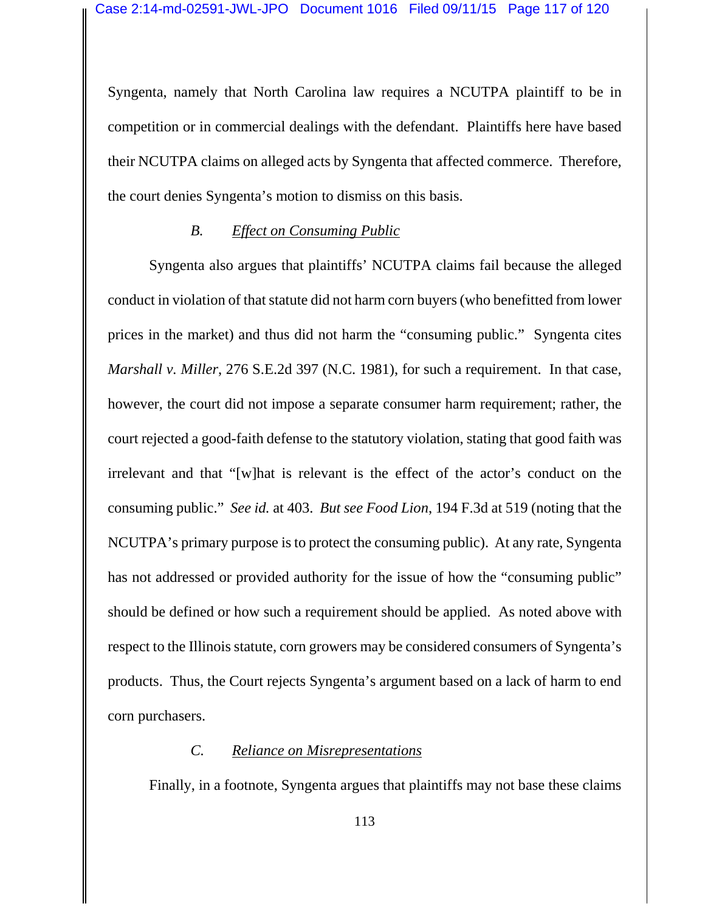Syngenta, namely that North Carolina law requires a NCUTPA plaintiff to be in competition or in commercial dealings with the defendant. Plaintiffs here have based their NCUTPA claims on alleged acts by Syngenta that affected commerce. Therefore, the court denies Syngenta's motion to dismiss on this basis.

# *B. Effect on Consuming Public*

Syngenta also argues that plaintiffs' NCUTPA claims fail because the alleged conduct in violation of that statute did not harm corn buyers (who benefitted from lower prices in the market) and thus did not harm the "consuming public." Syngenta cites *Marshall v. Miller*, 276 S.E.2d 397 (N.C. 1981), for such a requirement. In that case, however, the court did not impose a separate consumer harm requirement; rather, the court rejected a good-faith defense to the statutory violation, stating that good faith was irrelevant and that "[w]hat is relevant is the effect of the actor's conduct on the consuming public." *See id.* at 403. *But see Food Lion*, 194 F.3d at 519 (noting that the NCUTPA's primary purpose is to protect the consuming public). At any rate, Syngenta has not addressed or provided authority for the issue of how the "consuming public" should be defined or how such a requirement should be applied. As noted above with respect to the Illinois statute, corn growers may be considered consumers of Syngenta's products. Thus, the Court rejects Syngenta's argument based on a lack of harm to end corn purchasers.

# *C. Reliance on Misrepresentations*

Finally, in a footnote, Syngenta argues that plaintiffs may not base these claims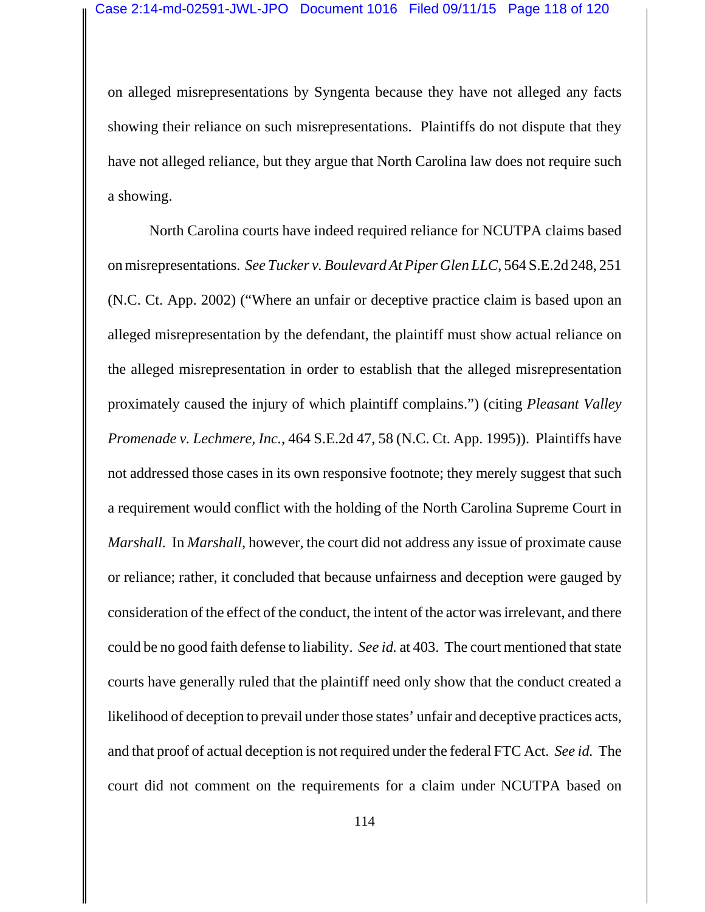on alleged misrepresentations by Syngenta because they have not alleged any facts showing their reliance on such misrepresentations. Plaintiffs do not dispute that they have not alleged reliance, but they argue that North Carolina law does not require such a showing.

North Carolina courts have indeed required reliance for NCUTPA claims based on misrepresentations. *See Tucker v. Boulevard At Piper Glen LLC*, 564 S.E.2d 248, 251 (N.C. Ct. App. 2002) ("Where an unfair or deceptive practice claim is based upon an alleged misrepresentation by the defendant, the plaintiff must show actual reliance on the alleged misrepresentation in order to establish that the alleged misrepresentation proximately caused the injury of which plaintiff complains.") (citing *Pleasant Valley Promenade v. Lechmere, Inc.*, 464 S.E.2d 47, 58 (N.C. Ct. App. 1995)). Plaintiffs have not addressed those cases in its own responsive footnote; they merely suggest that such a requirement would conflict with the holding of the North Carolina Supreme Court in *Marshall.* In *Marshall*, however, the court did not address any issue of proximate cause or reliance; rather, it concluded that because unfairness and deception were gauged by consideration of the effect of the conduct, the intent of the actor was irrelevant, and there could be no good faith defense to liability. *See id.* at 403. The court mentioned that state courts have generally ruled that the plaintiff need only show that the conduct created a likelihood of deception to prevail under those states' unfair and deceptive practices acts, and that proof of actual deception is not required under the federal FTC Act. *See id.* The court did not comment on the requirements for a claim under NCUTPA based on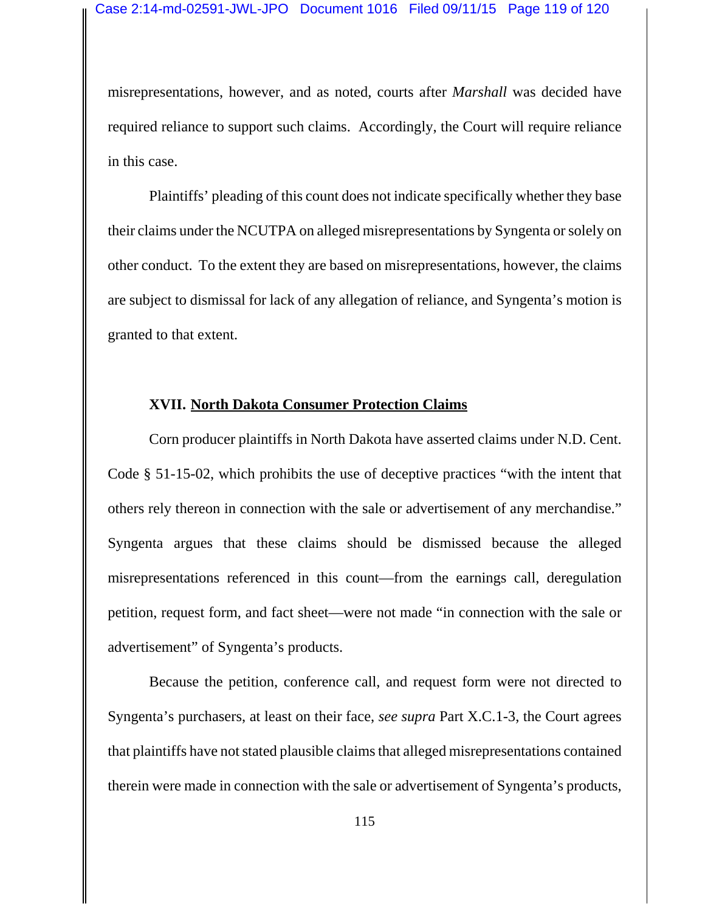misrepresentations, however, and as noted, courts after *Marshall* was decided have required reliance to support such claims. Accordingly, the Court will require reliance in this case.

Plaintiffs' pleading of this count does not indicate specifically whether they base their claims under the NCUTPA on alleged misrepresentations by Syngenta or solely on other conduct. To the extent they are based on misrepresentations, however, the claims are subject to dismissal for lack of any allegation of reliance, and Syngenta's motion is granted to that extent.

#### **XVII. North Dakota Consumer Protection Claims**

Corn producer plaintiffs in North Dakota have asserted claims under N.D. Cent. Code § 51-15-02, which prohibits the use of deceptive practices "with the intent that others rely thereon in connection with the sale or advertisement of any merchandise." Syngenta argues that these claims should be dismissed because the alleged misrepresentations referenced in this count—from the earnings call, deregulation petition, request form, and fact sheet—were not made "in connection with the sale or advertisement" of Syngenta's products.

Because the petition, conference call, and request form were not directed to Syngenta's purchasers, at least on their face, *see supra* Part X.C.1-3, the Court agrees that plaintiffs have not stated plausible claims that alleged misrepresentations contained therein were made in connection with the sale or advertisement of Syngenta's products,